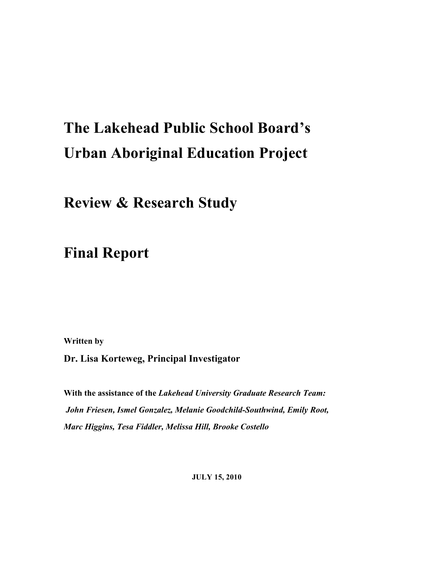# **The Lakehead Public School Board's Urban Aboriginal Education Project**

**Review & Research Study** 

**Final Report**

**Written by**

**Dr. Lisa Korteweg, Principal Investigator**

**With the assistance of the** *Lakehead University Graduate Research Team: John Friesen, Ismel Gonzalez, Melanie Goodchild-Southwind, Emily Root, Marc Higgins, Tesa Fiddler, Melissa Hill, Brooke Costello* 

**JULY 15, 2010**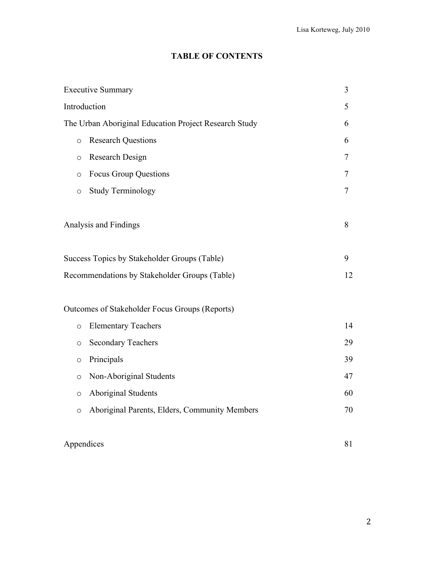## **TABLE OF CONTENTS**

|              | <b>Executive Summary</b>                              | 3  |  |  |  |
|--------------|-------------------------------------------------------|----|--|--|--|
| Introduction |                                                       | 5  |  |  |  |
|              | The Urban Aboriginal Education Project Research Study | 6  |  |  |  |
| $\circ$      | <b>Research Questions</b><br>6                        |    |  |  |  |
| $\circ$      | Research Design                                       | 7  |  |  |  |
| $\circ$      | <b>Focus Group Questions</b>                          | 7  |  |  |  |
| $\circ$      | <b>Study Terminology</b>                              | 7  |  |  |  |
|              | Analysis and Findings                                 | 8  |  |  |  |
|              | Success Topics by Stakeholder Groups (Table)          | 9  |  |  |  |
|              | Recommendations by Stakeholder Groups (Table)         | 12 |  |  |  |
|              | Outcomes of Stakeholder Focus Groups (Reports)        |    |  |  |  |
| $\circ$      | <b>Elementary Teachers</b>                            | 14 |  |  |  |
| $\circ$      | <b>Secondary Teachers</b>                             | 29 |  |  |  |
| $\circ$      | Principals                                            | 39 |  |  |  |
| $\circ$      | Non-Aboriginal Students                               | 47 |  |  |  |
| $\circ$      | Aboriginal Students                                   | 60 |  |  |  |
| $\circ$      | Aboriginal Parents, Elders, Community Members         | 70 |  |  |  |

# Appendices 81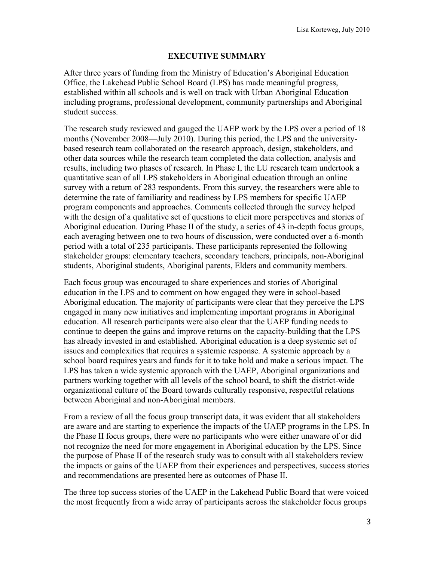## **EXECUTIVE SUMMARY**

After three years of funding from the Ministry of Education's Aboriginal Education Office, the Lakehead Public School Board (LPS) has made meaningful progress, established within all schools and is well on track with Urban Aboriginal Education including programs, professional development, community partnerships and Aboriginal student success.

The research study reviewed and gauged the UAEP work by the LPS over a period of 18 months (November 2008—July 2010). During this period, the LPS and the universitybased research team collaborated on the research approach, design, stakeholders, and other data sources while the research team completed the data collection, analysis and results, including two phases of research. In Phase I, the LU research team undertook a quantitative scan of all LPS stakeholders in Aboriginal education through an online survey with a return of 283 respondents. From this survey, the researchers were able to determine the rate of familiarity and readiness by LPS members for specific UAEP program components and approaches. Comments collected through the survey helped with the design of a qualitative set of questions to elicit more perspectives and stories of Aboriginal education. During Phase II of the study, a series of 43 in-depth focus groups, each averaging between one to two hours of discussion, were conducted over a 6-month period with a total of 235 participants. These participants represented the following stakeholder groups: elementary teachers, secondary teachers, principals, non-Aboriginal students, Aboriginal students, Aboriginal parents, Elders and community members.

Each focus group was encouraged to share experiences and stories of Aboriginal education in the LPS and to comment on how engaged they were in school-based Aboriginal education. The majority of participants were clear that they perceive the LPS engaged in many new initiatives and implementing important programs in Aboriginal education. All research participants were also clear that the UAEP funding needs to continue to deepen the gains and improve returns on the capacity-building that the LPS has already invested in and established. Aboriginal education is a deep systemic set of issues and complexities that requires a systemic response. A systemic approach by a school board requires years and funds for it to take hold and make a serious impact. The LPS has taken a wide systemic approach with the UAEP, Aboriginal organizations and partners working together with all levels of the school board, to shift the district-wide organizational culture of the Board towards culturally responsive, respectful relations between Aboriginal and non-Aboriginal members.

From a review of all the focus group transcript data, it was evident that all stakeholders are aware and are starting to experience the impacts of the UAEP programs in the LPS. In the Phase II focus groups, there were no participants who were either unaware of or did not recognize the need for more engagement in Aboriginal education by the LPS. Since the purpose of Phase II of the research study was to consult with all stakeholders review the impacts or gains of the UAEP from their experiences and perspectives, success stories and recommendations are presented here as outcomes of Phase II.

The three top success stories of the UAEP in the Lakehead Public Board that were voiced the most frequently from a wide array of participants across the stakeholder focus groups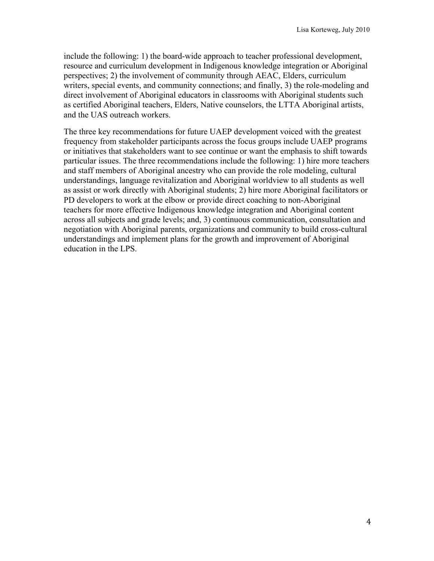include the following: 1) the board-wide approach to teacher professional development, resource and curriculum development in Indigenous knowledge integration or Aboriginal perspectives; 2) the involvement of community through AEAC, Elders, curriculum writers, special events, and community connections; and finally, 3) the role-modeling and direct involvement of Aboriginal educators in classrooms with Aboriginal students such as certified Aboriginal teachers, Elders, Native counselors, the LTTA Aboriginal artists, and the UAS outreach workers.

The three key recommendations for future UAEP development voiced with the greatest frequency from stakeholder participants across the focus groups include UAEP programs or initiatives that stakeholders want to see continue or want the emphasis to shift towards particular issues. The three recommendations include the following: 1) hire more teachers and staff members of Aboriginal ancestry who can provide the role modeling, cultural understandings, language revitalization and Aboriginal worldview to all students as well as assist or work directly with Aboriginal students; 2) hire more Aboriginal facilitators or PD developers to work at the elbow or provide direct coaching to non-Aboriginal teachers for more effective Indigenous knowledge integration and Aboriginal content across all subjects and grade levels; and, 3) continuous communication, consultation and negotiation with Aboriginal parents, organizations and community to build cross-cultural understandings and implement plans for the growth and improvement of Aboriginal education in the LPS.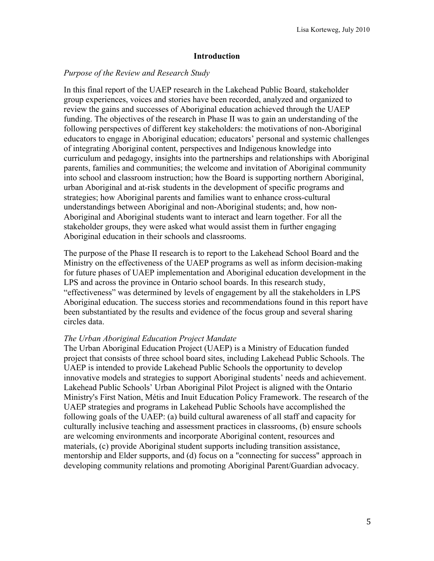#### **Introduction**

#### *Purpose of the Review and Research Study*

In this final report of the UAEP research in the Lakehead Public Board, stakeholder group experiences, voices and stories have been recorded, analyzed and organized to review the gains and successes of Aboriginal education achieved through the UAEP funding. The objectives of the research in Phase II was to gain an understanding of the following perspectives of different key stakeholders: the motivations of non-Aboriginal educators to engage in Aboriginal education; educators' personal and systemic challenges of integrating Aboriginal content, perspectives and Indigenous knowledge into curriculum and pedagogy, insights into the partnerships and relationships with Aboriginal parents, families and communities; the welcome and invitation of Aboriginal community into school and classroom instruction; how the Board is supporting northern Aboriginal, urban Aboriginal and at-risk students in the development of specific programs and strategies; how Aboriginal parents and families want to enhance cross-cultural understandings between Aboriginal and non-Aboriginal students; and, how non-Aboriginal and Aboriginal students want to interact and learn together. For all the stakeholder groups, they were asked what would assist them in further engaging Aboriginal education in their schools and classrooms.

The purpose of the Phase II research is to report to the Lakehead School Board and the Ministry on the effectiveness of the UAEP programs as well as inform decision-making for future phases of UAEP implementation and Aboriginal education development in the LPS and across the province in Ontario school boards. In this research study, "effectiveness" was determined by levels of engagement by all the stakeholders in LPS Aboriginal education. The success stories and recommendations found in this report have been substantiated by the results and evidence of the focus group and several sharing circles data.

#### *The Urban Aboriginal Education Project Mandate*

The Urban Aboriginal Education Project (UAEP) is a Ministry of Education funded project that consists of three school board sites, including Lakehead Public Schools. The UAEP is intended to provide Lakehead Public Schools the opportunity to develop innovative models and strategies to support Aboriginal students' needs and achievement. Lakehead Public Schools' Urban Aboriginal Pilot Project is aligned with the Ontario Ministry's First Nation, Métis and Inuit Education Policy Framework. The research of the UAEP strategies and programs in Lakehead Public Schools have accomplished the following goals of the UAEP: (a) build cultural awareness of all staff and capacity for culturally inclusive teaching and assessment practices in classrooms, (b) ensure schools are welcoming environments and incorporate Aboriginal content, resources and materials, (c) provide Aboriginal student supports including transition assistance, mentorship and Elder supports, and (d) focus on a "connecting for success" approach in developing community relations and promoting Aboriginal Parent/Guardian advocacy.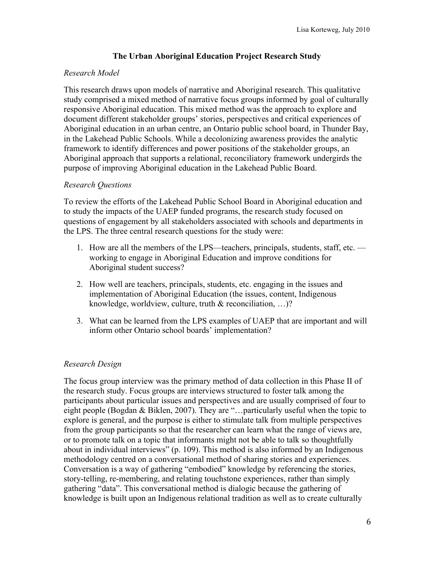## **The Urban Aboriginal Education Project Research Study**

## *Research Model*

This research draws upon models of narrative and Aboriginal research. This qualitative study comprised a mixed method of narrative focus groups informed by goal of culturally responsive Aboriginal education. This mixed method was the approach to explore and document different stakeholder groups' stories, perspectives and critical experiences of Aboriginal education in an urban centre, an Ontario public school board, in Thunder Bay, in the Lakehead Public Schools. While a decolonizing awareness provides the analytic framework to identify differences and power positions of the stakeholder groups, an Aboriginal approach that supports a relational, reconciliatory framework undergirds the purpose of improving Aboriginal education in the Lakehead Public Board.

## *Research Questions*

To review the efforts of the Lakehead Public School Board in Aboriginal education and to study the impacts of the UAEP funded programs, the research study focused on questions of engagement by all stakeholders associated with schools and departments in the LPS. The three central research questions for the study were:

- 1. How are all the members of the LPS—teachers, principals, students, staff, etc. working to engage in Aboriginal Education and improve conditions for Aboriginal student success?
- 2. How well are teachers, principals, students, etc. engaging in the issues and implementation of Aboriginal Education (the issues, content, Indigenous knowledge, worldview, culture, truth & reconciliation, …)?
- 3. What can be learned from the LPS examples of UAEP that are important and will inform other Ontario school boards' implementation?

## *Research Design*

The focus group interview was the primary method of data collection in this Phase II of the research study. Focus groups are interviews structured to foster talk among the participants about particular issues and perspectives and are usually comprised of four to eight people (Bogdan & Biklen, 2007). They are "…particularly useful when the topic to explore is general, and the purpose is either to stimulate talk from multiple perspectives from the group participants so that the researcher can learn what the range of views are, or to promote talk on a topic that informants might not be able to talk so thoughtfully about in individual interviews" (p. 109). This method is also informed by an Indigenous methodology centred on a conversational method of sharing stories and experiences. Conversation is a way of gathering "embodied" knowledge by referencing the stories, story-telling, re-membering, and relating touchstone experiences, rather than simply gathering "data". This conversational method is dialogic because the gathering of knowledge is built upon an Indigenous relational tradition as well as to create culturally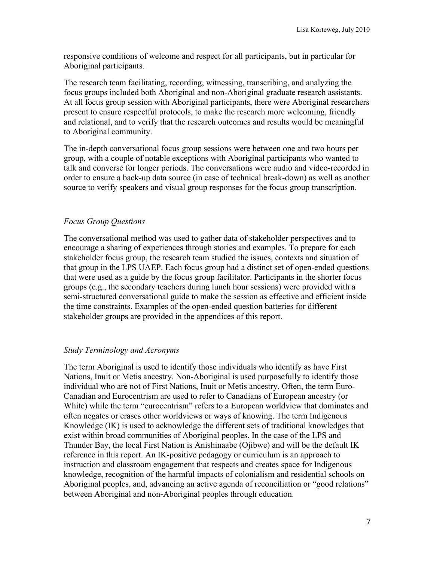responsive conditions of welcome and respect for all participants, but in particular for Aboriginal participants.

The research team facilitating, recording, witnessing, transcribing, and analyzing the focus groups included both Aboriginal and non-Aboriginal graduate research assistants. At all focus group session with Aboriginal participants, there were Aboriginal researchers present to ensure respectful protocols, to make the research more welcoming, friendly and relational, and to verify that the research outcomes and results would be meaningful to Aboriginal community.

The in-depth conversational focus group sessions were between one and two hours per group, with a couple of notable exceptions with Aboriginal participants who wanted to talk and converse for longer periods. The conversations were audio and video-recorded in order to ensure a back-up data source (in case of technical break-down) as well as another source to verify speakers and visual group responses for the focus group transcription.

## *Focus Group Questions*

The conversational method was used to gather data of stakeholder perspectives and to encourage a sharing of experiences through stories and examples. To prepare for each stakeholder focus group, the research team studied the issues, contexts and situation of that group in the LPS UAEP. Each focus group had a distinct set of open-ended questions that were used as a guide by the focus group facilitator. Participants in the shorter focus groups (e.g., the secondary teachers during lunch hour sessions) were provided with a semi-structured conversational guide to make the session as effective and efficient inside the time constraints. Examples of the open-ended question batteries for different stakeholder groups are provided in the appendices of this report.

#### *Study Terminology and Acronyms*

The term Aboriginal is used to identify those individuals who identify as have First Nations, Inuit or Metis ancestry. Non-Aboriginal is used purposefully to identify those individual who are not of First Nations, Inuit or Metis ancestry. Often, the term Euro-Canadian and Eurocentrism are used to refer to Canadians of European ancestry (or White) while the term "eurocentrism" refers to a European worldview that dominates and often negates or erases other worldviews or ways of knowing. The term Indigenous Knowledge (IK) is used to acknowledge the different sets of traditional knowledges that exist within broad communities of Aboriginal peoples. In the case of the LPS and Thunder Bay, the local First Nation is Anishinaabe (Ojibwe) and will be the default IK reference in this report. An IK-positive pedagogy or curriculum is an approach to instruction and classroom engagement that respects and creates space for Indigenous knowledge, recognition of the harmful impacts of colonialism and residential schools on Aboriginal peoples, and, advancing an active agenda of reconciliation or "good relations" between Aboriginal and non-Aboriginal peoples through education.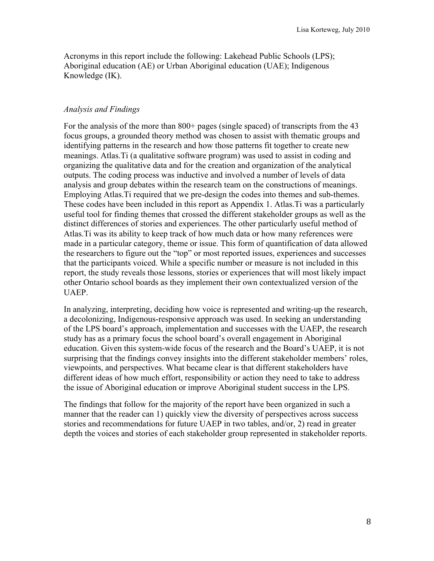Acronyms in this report include the following: Lakehead Public Schools (LPS); Aboriginal education (AE) or Urban Aboriginal education (UAE); Indigenous Knowledge (IK).

## *Analysis and Findings*

For the analysis of the more than 800+ pages (single spaced) of transcripts from the 43 focus groups, a grounded theory method was chosen to assist with thematic groups and identifying patterns in the research and how those patterns fit together to create new meanings. Atlas.Ti (a qualitative software program) was used to assist in coding and organizing the qualitative data and for the creation and organization of the analytical outputs. The coding process was inductive and involved a number of levels of data analysis and group debates within the research team on the constructions of meanings. Employing Atlas.Ti required that we pre-design the codes into themes and sub-themes. These codes have been included in this report as Appendix 1. Atlas.Ti was a particularly useful tool for finding themes that crossed the different stakeholder groups as well as the distinct differences of stories and experiences. The other particularly useful method of Atlas.Ti was its ability to keep track of how much data or how many references were made in a particular category, theme or issue. This form of quantification of data allowed the researchers to figure out the "top" or most reported issues, experiences and successes that the participants voiced. While a specific number or measure is not included in this report, the study reveals those lessons, stories or experiences that will most likely impact other Ontario school boards as they implement their own contextualized version of the UAEP.

In analyzing, interpreting, deciding how voice is represented and writing-up the research, a decolonizing, Indigenous-responsive approach was used. In seeking an understanding of the LPS board's approach, implementation and successes with the UAEP, the research study has as a primary focus the school board's overall engagement in Aboriginal education. Given this system-wide focus of the research and the Board's UAEP, it is not surprising that the findings convey insights into the different stakeholder members' roles, viewpoints, and perspectives. What became clear is that different stakeholders have different ideas of how much effort, responsibility or action they need to take to address the issue of Aboriginal education or improve Aboriginal student success in the LPS.

The findings that follow for the majority of the report have been organized in such a manner that the reader can 1) quickly view the diversity of perspectives across success stories and recommendations for future UAEP in two tables, and/or, 2) read in greater depth the voices and stories of each stakeholder group represented in stakeholder reports.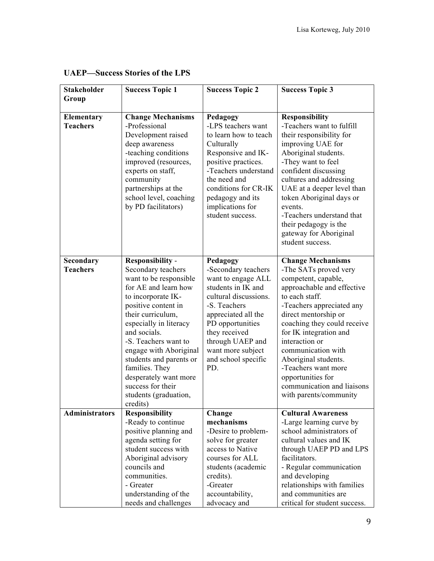| <b>Stakeholder</b>            | <b>Success Topic 1</b>                                                                                                                                                                                                                                                                                                                                                                        | <b>Success Topic 2</b>                                                                                                                                                                                                                                  | <b>Success Topic 3</b>                                                                                                                                                                                                                                                                                                                                                                                     |
|-------------------------------|-----------------------------------------------------------------------------------------------------------------------------------------------------------------------------------------------------------------------------------------------------------------------------------------------------------------------------------------------------------------------------------------------|---------------------------------------------------------------------------------------------------------------------------------------------------------------------------------------------------------------------------------------------------------|------------------------------------------------------------------------------------------------------------------------------------------------------------------------------------------------------------------------------------------------------------------------------------------------------------------------------------------------------------------------------------------------------------|
| Group                         |                                                                                                                                                                                                                                                                                                                                                                                               |                                                                                                                                                                                                                                                         |                                                                                                                                                                                                                                                                                                                                                                                                            |
| Elementary<br><b>Teachers</b> | <b>Change Mechanisms</b><br>-Professional<br>Development raised<br>deep awareness<br>-teaching conditions<br>improved (resources,<br>experts on staff,<br>community<br>partnerships at the<br>school level, coaching<br>by PD facilitators)                                                                                                                                                   | Pedagogy<br>-LPS teachers want<br>to learn how to teach<br>Culturally<br>Responsive and IK-<br>positive practices.<br>-Teachers understand<br>the need and<br>conditions for CR-IK<br>pedagogy and its<br>implications for<br>student success.          | <b>Responsibility</b><br>-Teachers want to fulfill<br>their responsibility for<br>improving UAE for<br>Aboriginal students.<br>-They want to feel<br>confident discussing<br>cultures and addressing<br>UAE at a deeper level than<br>token Aboriginal days or<br>events.<br>-Teachers understand that<br>their pedagogy is the<br>gateway for Aboriginal<br>student success.                              |
| Secondary<br><b>Teachers</b>  | <b>Responsibility -</b><br>Secondary teachers<br>want to be responsible<br>for AE and learn how<br>to incorporate IK-<br>positive content in<br>their curriculum,<br>especially in literacy<br>and socials.<br>-S. Teachers want to<br>engage with Aboriginal<br>students and parents or<br>families. They<br>desperately want more<br>success for their<br>students (graduation,<br>credits) | Pedagogy<br>-Secondary teachers<br>want to engage ALL<br>students in IK and<br>cultural discussions.<br>-S. Teachers<br>appreciated all the<br>PD opportunities<br>they received<br>through UAEP and<br>want more subject<br>and school specific<br>PD. | <b>Change Mechanisms</b><br>-The SATs proved very<br>competent, capable,<br>approachable and effective<br>to each staff.<br>-Teachers appreciated any<br>direct mentorship or<br>coaching they could receive<br>for IK integration and<br>interaction or<br>communication with<br>Aboriginal students.<br>-Teachers want more<br>opportunities for<br>communication and liaisons<br>with parents/community |
| <b>Administrators</b>         | <b>Responsibility</b><br>-Ready to continue<br>positive planning and<br>agenda setting for<br>student success with<br>Aboriginal advisory<br>councils and<br>communities.<br>- Greater<br>understanding of the<br>needs and challenges                                                                                                                                                        | Change<br>mechanisms<br>-Desire to problem-<br>solve for greater<br>access to Native<br>courses for ALL<br>students (academic<br>credits).<br>-Greater<br>accountability,<br>advocacy and                                                               | <b>Cultural Awareness</b><br>-Large learning curve by<br>school administrators of<br>cultural values and IK<br>through UAEP PD and LPS<br>facilitators.<br>- Regular communication<br>and developing<br>relationships with families<br>and communities are<br>critical for student success.                                                                                                                |

## **UAEP—Success Stories of the LPS**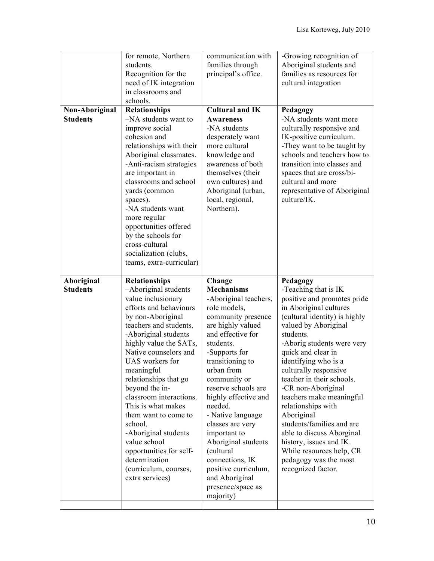| Non-Aboriginal<br><b>Students</b> | for remote, Northern<br>students.<br>Recognition for the<br>need of IK integration<br>in classrooms and<br>schools.<br>Relationships<br>-NA students want to<br>improve social<br>cohesion and<br>relationships with their<br>Aboriginal classmates.<br>-Anti-racism strategies<br>are important in<br>classrooms and school<br>yards (common                                                                                                                                                                   | communication with<br>families through<br>principal's office.<br><b>Cultural and IK</b><br><b>Awareness</b><br>-NA students<br>desperately want<br>more cultural<br>knowledge and<br>awareness of both<br>themselves (their<br>own cultures) and<br>Aboriginal (urban,                                                                                                                                                                                                     | -Growing recognition of<br>Aboriginal students and<br>families as resources for<br>cultural integration<br>Pedagogy<br>-NA students want more<br>culturally responsive and<br>IK-positive curriculum.<br>-They want to be taught by<br>schools and teachers how to<br>transition into classes and<br>spaces that are cross/bi-<br>cultural and more<br>representative of Aboriginal                                                                                                                                                                     |
|-----------------------------------|-----------------------------------------------------------------------------------------------------------------------------------------------------------------------------------------------------------------------------------------------------------------------------------------------------------------------------------------------------------------------------------------------------------------------------------------------------------------------------------------------------------------|----------------------------------------------------------------------------------------------------------------------------------------------------------------------------------------------------------------------------------------------------------------------------------------------------------------------------------------------------------------------------------------------------------------------------------------------------------------------------|---------------------------------------------------------------------------------------------------------------------------------------------------------------------------------------------------------------------------------------------------------------------------------------------------------------------------------------------------------------------------------------------------------------------------------------------------------------------------------------------------------------------------------------------------------|
|                                   | spaces).<br>-NA students want<br>more regular<br>opportunities offered<br>by the schools for<br>cross-cultural<br>socialization (clubs,<br>teams, extra-curricular)                                                                                                                                                                                                                                                                                                                                             | local, regional,<br>Northern).                                                                                                                                                                                                                                                                                                                                                                                                                                             | culture/IK.                                                                                                                                                                                                                                                                                                                                                                                                                                                                                                                                             |
| Aboriginal<br><b>Students</b>     | Relationships<br>-Aboriginal students<br>value inclusionary<br>efforts and behaviours<br>by non-Aboriginal<br>teachers and students.<br>-Aboriginal students<br>highly value the SATs,<br>Native counselors and<br>UAS workers for<br>meaningful<br>relationships that go<br>beyond the in-<br>classroom interactions.<br>This is what makes<br>them want to come to<br>school.<br>-Aboriginal students<br>value school<br>opportunities for self-<br>determination<br>(curriculum, courses,<br>extra services) | Change<br><b>Mechanisms</b><br>-Aboriginal teachers,<br>role models,<br>community presence<br>are highly valued<br>and effective for<br>students.<br>-Supports for<br>transitioning to<br>urban from<br>community or<br>reserve schools are<br>highly effective and<br>needed.<br>- Native language<br>classes are very<br>important to<br>Aboriginal students<br>(cultural<br>connections, IK<br>positive curriculum,<br>and Aboriginal<br>presence/space as<br>majority) | Pedagogy<br>-Teaching that is IK<br>positive and promotes pride<br>in Aboriginal cultures<br>(cultural identity) is highly<br>valued by Aboriginal<br>students.<br>-Aborig students were very<br>quick and clear in<br>identifying who is a<br>culturally responsive<br>teacher in their schools.<br>-CR non-Aboriginal<br>teachers make meaningful<br>relationships with<br>Aboriginal<br>students/families and are<br>able to discuss Aborginal<br>history, issues and IK.<br>While resources help, CR<br>pedagogy was the most<br>recognized factor. |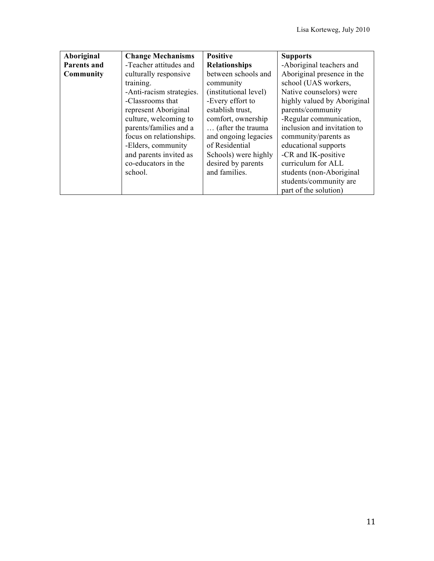| Aboriginal         | <b>Change Mechanisms</b> | <b>Positive</b>       | <b>Supports</b>             |
|--------------------|--------------------------|-----------------------|-----------------------------|
| <b>Parents and</b> | -Teacher attitudes and   | <b>Relationships</b>  | -Aboriginal teachers and    |
| Community          | culturally responsive    | between schools and   | Aboriginal presence in the  |
|                    | training.                | community             | school (UAS workers,        |
|                    | -Anti-racism strategies. | (institutional level) | Native counselors) were     |
|                    | -Classrooms that         | -Every effort to      | highly valued by Aboriginal |
|                    | represent Aboriginal     | establish trust,      | parents/community           |
|                    | culture, welcoming to    | comfort, ownership    | -Regular communication,     |
|                    | parents/families and a   | (after the trauma     | inclusion and invitation to |
|                    | focus on relationships.  | and ongoing legacies  | community/parents as        |
|                    | -Elders, community       | of Residential        | educational supports        |
|                    | and parents invited as   | Schools) were highly  | -CR and IK-positive         |
|                    | co-educators in the      | desired by parents    | curriculum for ALL          |
|                    | school.                  | and families.         | students (non-Aboriginal    |
|                    |                          |                       | students/community are      |
|                    |                          |                       | part of the solution)       |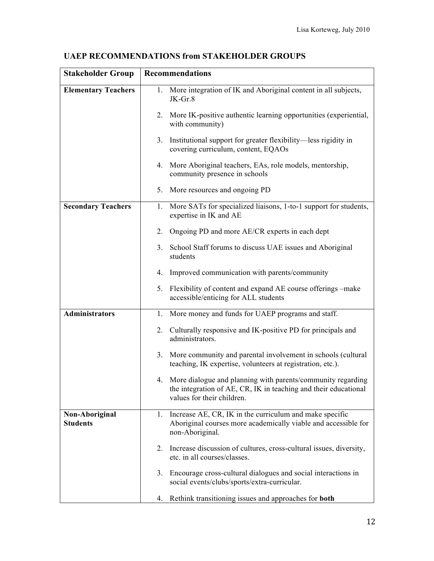| <b>Stakeholder Group</b>          | <b>Recommendations</b>                                                                                                                                          |  |  |
|-----------------------------------|-----------------------------------------------------------------------------------------------------------------------------------------------------------------|--|--|
| <b>Elementary Teachers</b>        | 1. More integration of IK and Aboriginal content in all subjects,<br>$JK-Gr.8$                                                                                  |  |  |
|                                   | 2.<br>More IK-positive authentic learning opportunities (experiential,<br>with community)                                                                       |  |  |
|                                   | 3.<br>Institutional support for greater flexibility—less rigidity in<br>covering curriculum, content, EQAOs                                                     |  |  |
|                                   | More Aboriginal teachers, EAs, role models, mentorship,<br>4.<br>community presence in schools                                                                  |  |  |
|                                   | 5.<br>More resources and ongoing PD                                                                                                                             |  |  |
| <b>Secondary Teachers</b>         | More SATs for specialized liaisons, 1-to-1 support for students,<br>1.<br>expertise in IK and AE                                                                |  |  |
|                                   | 2.<br>Ongoing PD and more AE/CR experts in each dept                                                                                                            |  |  |
|                                   | 3.<br>School Staff forums to discuss UAE issues and Aboriginal<br>students                                                                                      |  |  |
|                                   | Improved communication with parents/community<br>4.                                                                                                             |  |  |
|                                   | Flexibility of content and expand AE course offerings –make<br>5.<br>accessible/enticing for ALL students                                                       |  |  |
| <b>Administrators</b>             | More money and funds for UAEP programs and staff.<br>1.                                                                                                         |  |  |
|                                   | Culturally responsive and IK-positive PD for principals and<br>2.<br>administrators.                                                                            |  |  |
|                                   | More community and parental involvement in schools (cultural<br>3.<br>teaching, IK expertise, volunteers at registration, etc.).                                |  |  |
|                                   | 4. More dialogue and planning with parents/community regarding<br>the integration of AE, CR, IK in teaching and their educational<br>values for their children. |  |  |
| Non-Aboriginal<br><b>Students</b> | 1. Increase AE, CR, IK in the curriculum and make specific<br>Aboriginal courses more academically viable and accessible for<br>non-Aboriginal.                 |  |  |
|                                   | Increase discussion of cultures, cross-cultural issues, diversity,<br>2.<br>etc. in all courses/classes.                                                        |  |  |
|                                   | Encourage cross-cultural dialogues and social interactions in<br>3.<br>social events/clubs/sports/extra-curricular.                                             |  |  |
|                                   | Rethink transitioning issues and approaches for both<br>4.                                                                                                      |  |  |

## **UAEP RECOMMENDATIONS from STAKEHOLDER GROUPS**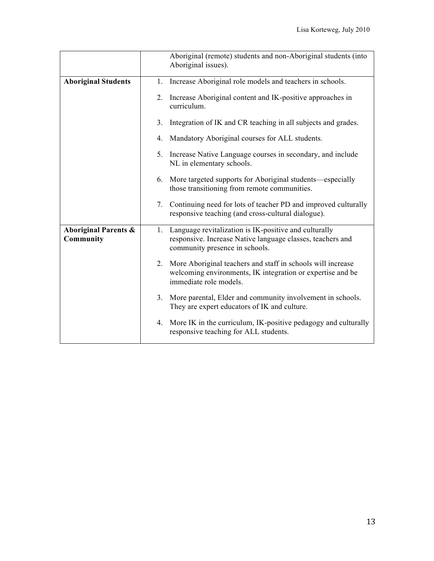|                                              |    | Aboriginal (remote) students and non-Aboriginal students (into<br>Aboriginal issues).                                                                 |  |
|----------------------------------------------|----|-------------------------------------------------------------------------------------------------------------------------------------------------------|--|
| <b>Aboriginal Students</b>                   | 1. | Increase Aboriginal role models and teachers in schools.                                                                                              |  |
|                                              | 2. | Increase Aboriginal content and IK-positive approaches in<br>curriculum.                                                                              |  |
|                                              | 3. | Integration of IK and CR teaching in all subjects and grades.                                                                                         |  |
|                                              | 4. | Mandatory Aboriginal courses for ALL students.                                                                                                        |  |
|                                              | 5. | Increase Native Language courses in secondary, and include<br>NL in elementary schools.                                                               |  |
|                                              |    | 6. More targeted supports for Aboriginal students—especially<br>those transitioning from remote communities.                                          |  |
|                                              | 7. | Continuing need for lots of teacher PD and improved culturally<br>responsive teaching (and cross-cultural dialogue).                                  |  |
| <b>Aboriginal Parents &amp;</b><br>Community | 1. | Language revitalization is IK-positive and culturally<br>responsive. Increase Native language classes, teachers and<br>community presence in schools. |  |
|                                              | 2. | More Aboriginal teachers and staff in schools will increase<br>welcoming environments, IK integration or expertise and be<br>immediate role models.   |  |
|                                              | 3. | More parental, Elder and community involvement in schools.<br>They are expert educators of IK and culture.                                            |  |
|                                              | 4. | More IK in the curriculum, IK-positive pedagogy and culturally<br>responsive teaching for ALL students.                                               |  |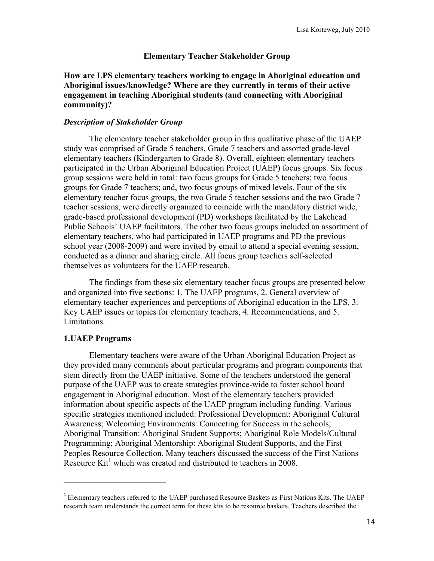#### **Elementary Teacher Stakeholder Group**

**How are LPS elementary teachers working to engage in Aboriginal education and Aboriginal issues/knowledge? Where are they currently in terms of their active engagement in teaching Aboriginal students (and connecting with Aboriginal community)?**

#### *Description of Stakeholder Group*

The elementary teacher stakeholder group in this qualitative phase of the UAEP study was comprised of Grade 5 teachers, Grade 7 teachers and assorted grade-level elementary teachers (Kindergarten to Grade 8). Overall, eighteen elementary teachers participated in the Urban Aboriginal Education Project (UAEP) focus groups. Six focus group sessions were held in total: two focus groups for Grade 5 teachers; two focus groups for Grade 7 teachers; and, two focus groups of mixed levels. Four of the six elementary teacher focus groups, the two Grade 5 teacher sessions and the two Grade 7 teacher sessions, were directly organized to coincide with the mandatory district wide, grade-based professional development (PD) workshops facilitated by the Lakehead Public Schools' UAEP facilitators. The other two focus groups included an assortment of elementary teachers, who had participated in UAEP programs and PD the previous school year (2008-2009) and were invited by email to attend a special evening session, conducted as a dinner and sharing circle. All focus group teachers self-selected themselves as volunteers for the UAEP research.

The findings from these six elementary teacher focus groups are presented below and organized into five sections: 1. The UAEP programs, 2. General overview of elementary teacher experiences and perceptions of Aboriginal education in the LPS, 3. Key UAEP issues or topics for elementary teachers, 4. Recommendations, and 5. Limitations.

#### **1.UAEP Programs**

!!!!!!!!!!!!!!!!!!!!!!!!!!!!!!!!!!!!!!!!!!!!!!!!!!!!!!!

Elementary teachers were aware of the Urban Aboriginal Education Project as they provided many comments about particular programs and program components that stem directly from the UAEP initiative. Some of the teachers understood the general purpose of the UAEP was to create strategies province-wide to foster school board engagement in Aboriginal education. Most of the elementary teachers provided information about specific aspects of the UAEP program including funding. Various specific strategies mentioned included: Professional Development: Aboriginal Cultural Awareness; Welcoming Environments: Connecting for Success in the schools; Aboriginal Transition: Aboriginal Student Supports; Aboriginal Role Models/Cultural Programming; Aboriginal Mentorship: Aboriginal Student Supports, and the First Peoples Resource Collection. Many teachers discussed the success of the First Nations Resource  $\text{Kit}^1$  which was created and distributed to teachers in 2008.

<sup>1</sup> Elementary teachers referred to the UAEP purchased Resource Baskets as First Nations Kits. The UAEP research team understands the correct term for these kits to be resource baskets. Teachers described the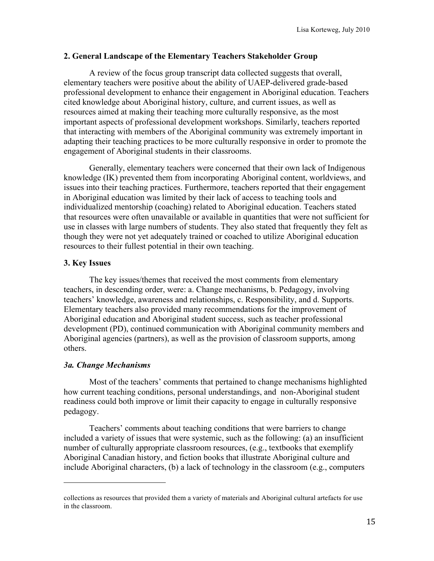#### **2. General Landscape of the Elementary Teachers Stakeholder Group**

A review of the focus group transcript data collected suggests that overall, elementary teachers were positive about the ability of UAEP-delivered grade-based professional development to enhance their engagement in Aboriginal education. Teachers cited knowledge about Aboriginal history, culture, and current issues, as well as resources aimed at making their teaching more culturally responsive, as the most important aspects of professional development workshops. Similarly, teachers reported that interacting with members of the Aboriginal community was extremely important in adapting their teaching practices to be more culturally responsive in order to promote the engagement of Aboriginal students in their classrooms.

Generally, elementary teachers were concerned that their own lack of Indigenous knowledge (IK) prevented them from incorporating Aboriginal content, worldviews, and issues into their teaching practices. Furthermore, teachers reported that their engagement in Aboriginal education was limited by their lack of access to teaching tools and individualized mentorship (coaching) related to Aboriginal education. Teachers stated that resources were often unavailable or available in quantities that were not sufficient for use in classes with large numbers of students. They also stated that frequently they felt as though they were not yet adequately trained or coached to utilize Aboriginal education resources to their fullest potential in their own teaching.

#### **3. Key Issues**

The key issues/themes that received the most comments from elementary teachers, in descending order, were: a. Change mechanisms, b. Pedagogy, involving teachers' knowledge, awareness and relationships, c. Responsibility, and d. Supports. Elementary teachers also provided many recommendations for the improvement of Aboriginal education and Aboriginal student success, such as teacher professional development (PD), continued communication with Aboriginal community members and Aboriginal agencies (partners), as well as the provision of classroom supports, among others.

#### *3a. Change Mechanisms*

!!!!!!!!!!!!!!!!!!!!!!!!!!!!!!!!!!!!!!!!!!!!!!!!!!!!!!!

Most of the teachers' comments that pertained to change mechanisms highlighted how current teaching conditions, personal understandings, and non-Aboriginal student readiness could both improve or limit their capacity to engage in culturally responsive pedagogy.

Teachers' comments about teaching conditions that were barriers to change included a variety of issues that were systemic, such as the following: (a) an insufficient number of culturally appropriate classroom resources, (e.g., textbooks that exemplify Aboriginal Canadian history, and fiction books that illustrate Aboriginal culture and include Aboriginal characters, (b) a lack of technology in the classroom (e.g., computers

collections as resources that provided them a variety of materials and Aboriginal cultural artefacts for use in the classroom.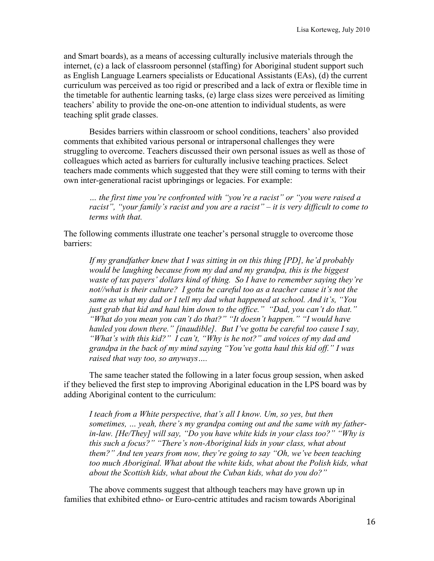and Smart boards), as a means of accessing culturally inclusive materials through the internet, (c) a lack of classroom personnel (staffing) for Aboriginal student support such as English Language Learners specialists or Educational Assistants (EAs), (d) the current curriculum was perceived as too rigid or prescribed and a lack of extra or flexible time in the timetable for authentic learning tasks, (e) large class sizes were perceived as limiting teachers' ability to provide the one-on-one attention to individual students, as were teaching split grade classes.

Besides barriers within classroom or school conditions, teachers' also provided comments that exhibited various personal or intrapersonal challenges they were struggling to overcome. Teachers discussed their own personal issues as well as those of colleagues which acted as barriers for culturally inclusive teaching practices. Select teachers made comments which suggested that they were still coming to terms with their own inter-generational racist upbringings or legacies. For example:

*… the first time you're confronted with "you're a racist" or "you were raised a racist", "your family's racist and you are a racist" – it is very difficult to come to terms with that.*

The following comments illustrate one teacher's personal struggle to overcome those barriers:

*If my grandfather knew that I was sitting in on this thing [PD], he'd probably would be laughing because from my dad and my grandpa, this is the biggest waste of tax payers' dollars kind of thing. So I have to remember saying they're not//what is their culture? I gotta be careful too as a teacher cause it's not the same as what my dad or I tell my dad what happened at school. And it's, "You just grab that kid and haul him down to the office." "Dad, you can't do that." "What do you mean you can't do that?" "It doesn't happen." "I would have hauled you down there." [inaudible]. But I've gotta be careful too cause I say, "What's with this kid?" I can't, "Why is he not?" and voices of my dad and grandpa in the back of my mind saying "You've gotta haul this kid off." I was raised that way too, so anyways….*

The same teacher stated the following in a later focus group session, when asked if they believed the first step to improving Aboriginal education in the LPS board was by adding Aboriginal content to the curriculum:

*I teach from a White perspective, that's all I know. Um, so yes, but then sometimes, … yeah, there's my grandpa coming out and the same with my fatherin-law. [He/They] will say, "Do you have white kids in your class too?" "Why is this such a focus?" "There's non-Aboriginal kids in your class, what about them?" And ten years from now, they're going to say "Oh, we've been teaching*  too much Aboriginal. What about the white kids, what about the Polish kids, what *about the Scottish kids, what about the Cuban kids, what do you do?"*

The above comments suggest that although teachers may have grown up in families that exhibited ethno- or Euro-centric attitudes and racism towards Aboriginal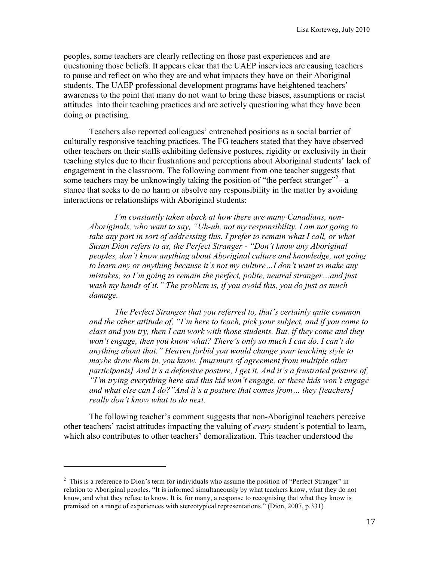peoples, some teachers are clearly reflecting on those past experiences and are questioning those beliefs. It appears clear that the UAEP inservices are causing teachers to pause and reflect on who they are and what impacts they have on their Aboriginal students. The UAEP professional development programs have heightened teachers' awareness to the point that many do not want to bring these biases, assumptions or racist attitudes into their teaching practices and are actively questioning what they have been doing or practising.

Teachers also reported colleagues' entrenched positions as a social barrier of culturally responsive teaching practices. The FG teachers stated that they have observed other teachers on their staffs exhibiting defensive postures, rigidity or exclusivity in their teaching styles due to their frustrations and perceptions about Aboriginal students' lack of engagement in the classroom. The following comment from one teacher suggests that some teachers may be unknowingly taking the position of "the perfect stranger"<sup>2</sup> –a stance that seeks to do no harm or absolve any responsibility in the matter by avoiding interactions or relationships with Aboriginal students:

*I'm constantly taken aback at how there are many Canadians, non-Aboriginals, who want to say, "Uh-uh, not my responsibility. I am not going to take any part in sort of addressing this. I prefer to remain what I call, or what Susan Dion refers to as, the Perfect Stranger - "Don't know any Aboriginal peoples, don't know anything about Aboriginal culture and knowledge, not going to learn any or anything because it's not my culture…I don't want to make any mistakes, so I'm going to remain the perfect, polite, neutral stranger…and just wash my hands of it." The problem is, if you avoid this, you do just as much damage.*

*The Perfect Stranger that you referred to, that's certainly quite common and the other attitude of, "I'm here to teach, pick your subject, and if you come to class and you try, then I can work with those students. But, if they come and they won't engage, then you know what? There's only so much I can do. I can't do anything about that." Heaven forbid you would change your teaching style to maybe draw them in, you know. [murmurs of agreement from multiple other participants] And it's a defensive posture, I get it. And it's a frustrated posture of, "I'm trying everything here and this kid won't engage, or these kids won't engage and what else can I do?"And it's a posture that comes from… they [teachers] really don't know what to do next.*

The following teacher's comment suggests that non-Aboriginal teachers perceive other teachers' racist attitudes impacting the valuing of *every* student's potential to learn, which also contributes to other teachers' demoralization. This teacher understood the

!!!!!!!!!!!!!!!!!!!!!!!!!!!!!!!!!!!!!!!!!!!!!!!!!!!!!!!

 $2$  This is a reference to Dion's term for individuals who assume the position of "Perfect Stranger" in relation to Aboriginal peoples. "It is informed simultaneously by what teachers know, what they do not know, and what they refuse to know. It is, for many, a response to recognising that what they know is premised on a range of experiences with stereotypical representations." (Dion, 2007, p.331)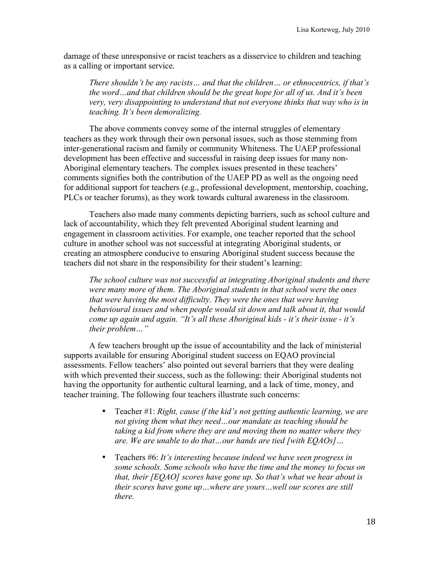damage of these unresponsive or racist teachers as a disservice to children and teaching as a calling or important service.

*There shouldn't be any racists… and that the children… or ethnocentrics, if that's the word…and that children should be the great hope for all of us. And it's been very, very disappointing to understand that not everyone thinks that way who is in teaching. It's been demoralizing.*

The above comments convey some of the internal struggles of elementary teachers as they work through their own personal issues, such as those stemming from inter-generational racism and family or community Whiteness. The UAEP professional development has been effective and successful in raising deep issues for many non-Aboriginal elementary teachers. The complex issues presented in these teachers' comments signifies both the contribution of the UAEP PD as well as the ongoing need for additional support for teachers (e.g., professional development, mentorship, coaching, PLCs or teacher forums), as they work towards cultural awareness in the classroom.

Teachers also made many comments depicting barriers, such as school culture and lack of accountability, which they felt prevented Aboriginal student learning and engagement in classroom activities. For example, one teacher reported that the school culture in another school was not successful at integrating Aboriginal students, or creating an atmosphere conducive to ensuring Aboriginal student success because the teachers did not share in the responsibility for their student's learning:

*The school culture was not successful at integrating Aboriginal students and there were many more of them. The Aboriginal students in that school were the ones that were having the most difficulty. They were the ones that were having behavioural issues and when people would sit down and talk about it, that would come up again and again. "It's all these Aboriginal kids - it's their issue - it's their problem…"*

A few teachers brought up the issue of accountability and the lack of ministerial supports available for ensuring Aboriginal student success on EQAO provincial assessments. Fellow teachers' also pointed out several barriers that they were dealing with which prevented their success, such as the following: their Aboriginal students not having the opportunity for authentic cultural learning, and a lack of time, money, and teacher training. The following four teachers illustrate such concerns:

- Teacher #1: *Right, cause if the kid's not getting authentic learning, we are not giving them what they need…our mandate as teaching should be taking a kid from where they are and moving them no matter where they are. We are unable to do that…our hands are tied [with EQAOs]…*
- Teachers #6: *It's interesting because indeed we have seen progress in some schools. Some schools who have the time and the money to focus on that, their [EQAO] scores have gone up. So that's what we hear about is their scores have gone up…where are yours…well our scores are still there.*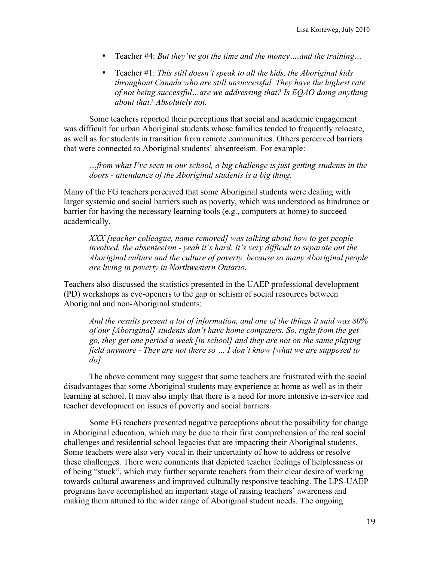- Teacher #4: *But they've got the time and the money….and the training…*
- Teacher #1: *This still doesn't speak to all the kids, the Aboriginal kids throughout Canada who are still unsuccessful. They have the highest rate of not being successful…are we addressing that? Is EQAO doing anything about that? Absolutely not.*

Some teachers reported their perceptions that social and academic engagement was difficult for urban Aboriginal students whose families tended to frequently relocate, as well as for students in transition from remote communities. Others perceived barriers that were connected to Aboriginal students' absenteeism. For example:

*…from what I've seen in our school, a big challenge is just getting students in the doors - attendance of the Aboriginal students is a big thing.*

Many of the FG teachers perceived that some Aboriginal students were dealing with larger systemic and social barriers such as poverty, which was understood as hindrance or barrier for having the necessary learning tools (e.g., computers at home) to succeed academically.

*XXX [teacher colleague, name removed] was talking about how to get people involved, the absenteeism - yeah it's hard. It's very difficult to separate out the Aboriginal culture and the culture of poverty, because so many Aboriginal people are living in poverty in Northwestern Ontario.*

Teachers also discussed the statistics presented in the UAEP professional development (PD) workshops as eye-openers to the gap or schism of social resources between Aboriginal and non-Aboriginal students:

*And the results present a lot of information, and one of the things it said was 80% of our [Aboriginal] students don't have home computers. So, right from the getgo, they get one period a week [in school] and they are not on the same playing field anymore - They are not there so … I don't know [what we are supposed to do].* 

The above comment may suggest that some teachers are frustrated with the social disadvantages that some Aboriginal students may experience at home as well as in their learning at school. It may also imply that there is a need for more intensive in-service and teacher development on issues of poverty and social barriers.

Some FG teachers presented negative perceptions about the possibility for change in Aboriginal education, which may be due to their first comprehension of the real social challenges and residential school legacies that are impacting their Aboriginal students. Some teachers were also very vocal in their uncertainty of how to address or resolve these challenges. There were comments that depicted teacher feelings of helplessness or of being "stuck", which may further separate teachers from their clear desire of working towards cultural awareness and improved culturally responsive teaching. The LPS-UAEP programs have accomplished an important stage of raising teachers' awareness and making them attuned to the wider range of Aboriginal student needs. The ongoing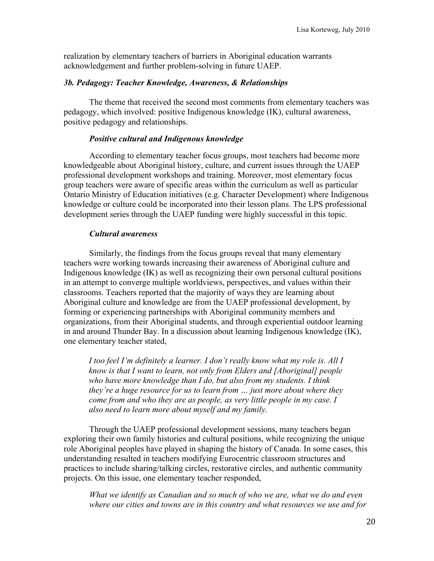realization by elementary teachers of barriers in Aboriginal education warrants acknowledgement and further problem-solving in future UAEP.

#### *3b. Pedagogy: Teacher Knowledge, Awareness, & Relationships*

The theme that received the second most comments from elementary teachers was pedagogy, which involved: positive Indigenous knowledge (IK), cultural awareness, positive pedagogy and relationships.

#### *Positive cultural and Indigenous knowledge*

According to elementary teacher focus groups, most teachers had become more knowledgeable about Aboriginal history, culture, and current issues through the UAEP professional development workshops and training. Moreover, most elementary focus group teachers were aware of specific areas within the curriculum as well as particular Ontario Ministry of Education initiatives (e.g. Character Development) where Indigenous knowledge or culture could be incorporated into their lesson plans. The LPS professional development series through the UAEP funding were highly successful in this topic.

#### *Cultural awareness*

Similarly, the findings from the focus groups reveal that many elementary teachers were working towards increasing their awareness of Aboriginal culture and Indigenous knowledge (IK) as well as recognizing their own personal cultural positions in an attempt to converge multiple worldviews, perspectives, and values within their classrooms. Teachers reported that the majority of ways they are learning about Aboriginal culture and knowledge are from the UAEP professional development, by forming or experiencing partnerships with Aboriginal community members and organizations, from their Aboriginal students, and through experiential outdoor learning in and around Thunder Bay. In a discussion about learning Indigenous knowledge (IK), one elementary teacher stated,

*I too feel I'm definitely a learner. I don't really know what my role is. All I know is that I want to learn, not only from Elders and [Aboriginal] people who have more knowledge than I do, but also from my students. I think they're a huge resource for us to learn from … just more about where they come from and who they are as people, as very little people in my case. I also need to learn more about myself and my family.*

Through the UAEP professional development sessions, many teachers began exploring their own family histories and cultural positions, while recognizing the unique role Aboriginal peoples have played in shaping the history of Canada. In some cases, this understanding resulted in teachers modifying Eurocentric classroom structures and practices to include sharing/talking circles, restorative circles, and authentic community projects. On this issue, one elementary teacher responded,

*What we identify as Canadian and so much of who we are, what we do and even where our cities and towns are in this country and what resources we use and for*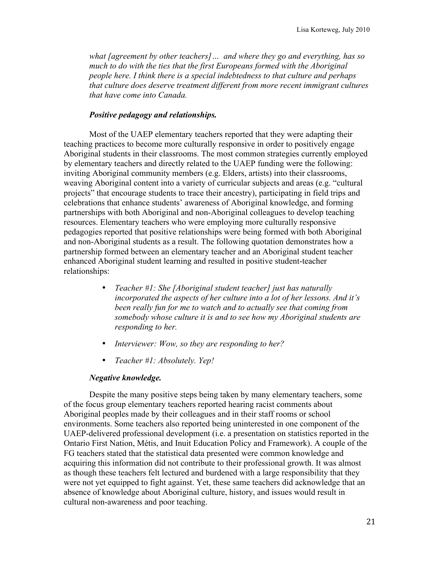*what [agreement by other teachers]… and where they go and everything, has so much to do with the ties that the first Europeans formed with the Aboriginal people here. I think there is a special indebtedness to that culture and perhaps that culture does deserve treatment different from more recent immigrant cultures that have come into Canada.*

#### *Positive pedagogy and relationships.*

Most of the UAEP elementary teachers reported that they were adapting their teaching practices to become more culturally responsive in order to positively engage Aboriginal students in their classrooms. The most common strategies currently employed by elementary teachers and directly related to the UAEP funding were the following: inviting Aboriginal community members (e.g. Elders, artists) into their classrooms, weaving Aboriginal content into a variety of curricular subjects and areas (e.g. "cultural projects" that encourage students to trace their ancestry), participating in field trips and celebrations that enhance students' awareness of Aboriginal knowledge, and forming partnerships with both Aboriginal and non-Aboriginal colleagues to develop teaching resources. Elementary teachers who were employing more culturally responsive pedagogies reported that positive relationships were being formed with both Aboriginal and non-Aboriginal students as a result. The following quotation demonstrates how a partnership formed between an elementary teacher and an Aboriginal student teacher enhanced Aboriginal student learning and resulted in positive student-teacher relationships:

- *Teacher #1: She [Aboriginal student teacher] just has naturally incorporated the aspects of her culture into a lot of her lessons. And it's been really fun for me to watch and to actually see that coming from somebody whose culture it is and to see how my Aboriginal students are responding to her.*
- *Interviewer: Wow, so they are responding to her?*
- *Teacher #1: Absolutely. Yep!*

#### *Negative knowledge.*

Despite the many positive steps being taken by many elementary teachers, some of the focus group elementary teachers reported hearing racist comments about Aboriginal peoples made by their colleagues and in their staff rooms or school environments. Some teachers also reported being uninterested in one component of the UAEP-delivered professional development (i.e. a presentation on statistics reported in the Ontario First Nation, Métis, and Inuit Education Policy and Framework). A couple of the FG teachers stated that the statistical data presented were common knowledge and acquiring this information did not contribute to their professional growth. It was almost as though these teachers felt lectured and burdened with a large responsibility that they were not yet equipped to fight against. Yet, these same teachers did acknowledge that an absence of knowledge about Aboriginal culture, history, and issues would result in cultural non-awareness and poor teaching.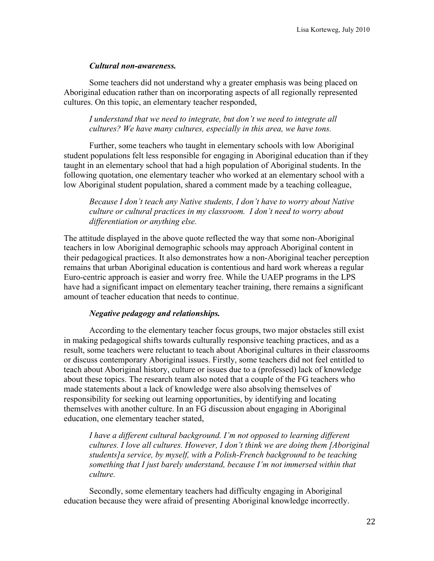#### *Cultural non-awareness.*

Some teachers did not understand why a greater emphasis was being placed on Aboriginal education rather than on incorporating aspects of all regionally represented cultures. On this topic, an elementary teacher responded,

*I understand that we need to integrate, but don't we need to integrate all cultures? We have many cultures, especially in this area, we have tons.*

Further, some teachers who taught in elementary schools with low Aboriginal student populations felt less responsible for engaging in Aboriginal education than if they taught in an elementary school that had a high population of Aboriginal students. In the following quotation, one elementary teacher who worked at an elementary school with a low Aboriginal student population, shared a comment made by a teaching colleague,

*Because I don't teach any Native students, I don't have to worry about Native culture or cultural practices in my classroom. I don't need to worry about differentiation or anything else.*

The attitude displayed in the above quote reflected the way that some non-Aboriginal teachers in low Aboriginal demographic schools may approach Aboriginal content in their pedagogical practices. It also demonstrates how a non-Aboriginal teacher perception remains that urban Aboriginal education is contentious and hard work whereas a regular Euro-centric approach is easier and worry free. While the UAEP programs in the LPS have had a significant impact on elementary teacher training, there remains a significant amount of teacher education that needs to continue.

#### *Negative pedagogy and relationships.*

According to the elementary teacher focus groups, two major obstacles still exist in making pedagogical shifts towards culturally responsive teaching practices, and as a result, some teachers were reluctant to teach about Aboriginal cultures in their classrooms or discuss contemporary Aboriginal issues. Firstly, some teachers did not feel entitled to teach about Aboriginal history, culture or issues due to a (professed) lack of knowledge about these topics. The research team also noted that a couple of the FG teachers who made statements about a lack of knowledge were also absolving themselves of responsibility for seeking out learning opportunities, by identifying and locating themselves with another culture. In an FG discussion about engaging in Aboriginal education, one elementary teacher stated,

*I have a different cultural background. I'm not opposed to learning different cultures. I love all cultures. However, I don't think we are doing them [Aboriginal students]a service, by myself, with a Polish-French background to be teaching something that I just barely understand, because I'm not immersed within that culture.*

Secondly, some elementary teachers had difficulty engaging in Aboriginal education because they were afraid of presenting Aboriginal knowledge incorrectly.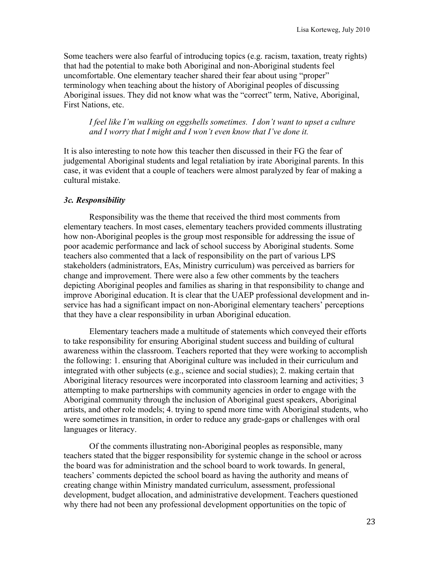Some teachers were also fearful of introducing topics (e.g. racism, taxation, treaty rights) that had the potential to make both Aboriginal and non-Aboriginal students feel uncomfortable. One elementary teacher shared their fear about using "proper" terminology when teaching about the history of Aboriginal peoples of discussing Aboriginal issues. They did not know what was the "correct" term, Native, Aboriginal, First Nations, etc.

*I feel like I'm walking on eggshells sometimes. I don't want to upset a culture and I worry that I might and I won't even know that I've done it.*

It is also interesting to note how this teacher then discussed in their FG the fear of judgemental Aboriginal students and legal retaliation by irate Aboriginal parents. In this case, it was evident that a couple of teachers were almost paralyzed by fear of making a cultural mistake.

#### *3c. Responsibility*

Responsibility was the theme that received the third most comments from elementary teachers. In most cases, elementary teachers provided comments illustrating how non-Aboriginal peoples is the group most responsible for addressing the issue of poor academic performance and lack of school success by Aboriginal students. Some teachers also commented that a lack of responsibility on the part of various LPS stakeholders (administrators, EAs, Ministry curriculum) was perceived as barriers for change and improvement. There were also a few other comments by the teachers depicting Aboriginal peoples and families as sharing in that responsibility to change and improve Aboriginal education. It is clear that the UAEP professional development and inservice has had a significant impact on non-Aboriginal elementary teachers' perceptions that they have a clear responsibility in urban Aboriginal education.

Elementary teachers made a multitude of statements which conveyed their efforts to take responsibility for ensuring Aboriginal student success and building of cultural awareness within the classroom. Teachers reported that they were working to accomplish the following: 1. ensuring that Aboriginal culture was included in their curriculum and integrated with other subjects (e.g., science and social studies); 2. making certain that Aboriginal literacy resources were incorporated into classroom learning and activities; 3 attempting to make partnerships with community agencies in order to engage with the Aboriginal community through the inclusion of Aboriginal guest speakers, Aboriginal artists, and other role models; 4. trying to spend more time with Aboriginal students, who were sometimes in transition, in order to reduce any grade-gaps or challenges with oral languages or literacy.

Of the comments illustrating non-Aboriginal peoples as responsible, many teachers stated that the bigger responsibility for systemic change in the school or across the board was for administration and the school board to work towards. In general, teachers' comments depicted the school board as having the authority and means of creating change within Ministry mandated curriculum, assessment, professional development, budget allocation, and administrative development. Teachers questioned why there had not been any professional development opportunities on the topic of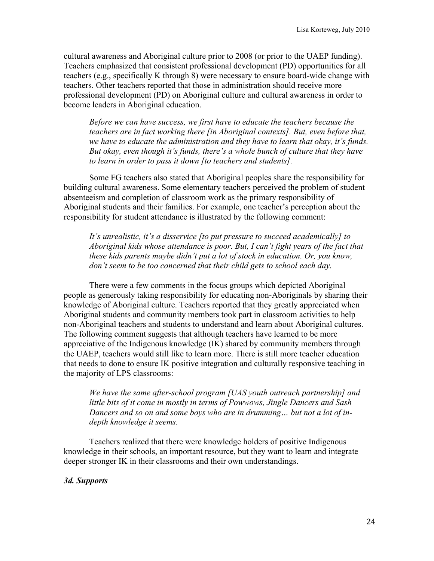cultural awareness and Aboriginal culture prior to 2008 (or prior to the UAEP funding). Teachers emphasized that consistent professional development (PD) opportunities for all teachers (e.g., specifically K through 8) were necessary to ensure board-wide change with teachers. Other teachers reported that those in administration should receive more professional development (PD) on Aboriginal culture and cultural awareness in order to become leaders in Aboriginal education.

*Before we can have success, we first have to educate the teachers because the teachers are in fact working there [in Aboriginal contexts]. But, even before that, we have to educate the administration and they have to learn that okay, it's funds. But okay, even though it's funds, there's a whole bunch of culture that they have to learn in order to pass it down [to teachers and students].* 

Some FG teachers also stated that Aboriginal peoples share the responsibility for building cultural awareness. Some elementary teachers perceived the problem of student absenteeism and completion of classroom work as the primary responsibility of Aboriginal students and their families. For example, one teacher's perception about the responsibility for student attendance is illustrated by the following comment:

*It's unrealistic, it's a disservice [to put pressure to succeed academically] to Aboriginal kids whose attendance is poor. But, I can't fight years of the fact that these kids parents maybe didn't put a lot of stock in education. Or, you know, don't seem to be too concerned that their child gets to school each day.*

There were a few comments in the focus groups which depicted Aboriginal people as generously taking responsibility for educating non-Aboriginals by sharing their knowledge of Aboriginal culture. Teachers reported that they greatly appreciated when Aboriginal students and community members took part in classroom activities to help non-Aboriginal teachers and students to understand and learn about Aboriginal cultures. The following comment suggests that although teachers have learned to be more appreciative of the Indigenous knowledge (IK) shared by community members through the UAEP, teachers would still like to learn more. There is still more teacher education that needs to done to ensure IK positive integration and culturally responsive teaching in the majority of LPS classrooms:

*We have the same after-school program [UAS youth outreach partnership] and little bits of it come in mostly in terms of Powwows, Jingle Dancers and Sash Dancers and so on and some boys who are in drumming… but not a lot of indepth knowledge it seems.*

Teachers realized that there were knowledge holders of positive Indigenous knowledge in their schools, an important resource, but they want to learn and integrate deeper stronger IK in their classrooms and their own understandings.

#### *3d. Supports*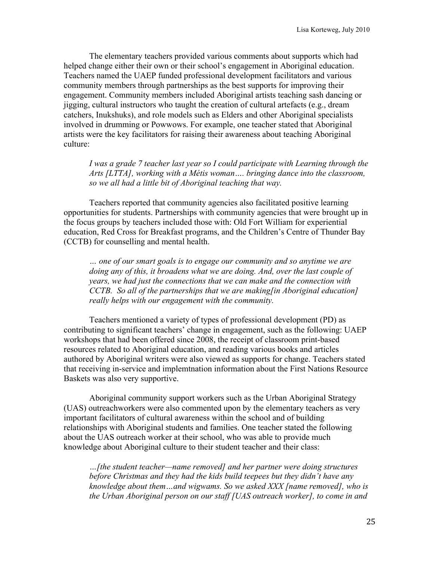The elementary teachers provided various comments about supports which had helped change either their own or their school's engagement in Aboriginal education. Teachers named the UAEP funded professional development facilitators and various community members through partnerships as the best supports for improving their engagement. Community members included Aboriginal artists teaching sash dancing or jigging, cultural instructors who taught the creation of cultural artefacts (e.g., dream catchers, Inukshuks), and role models such as Elders and other Aboriginal specialists involved in drumming or Powwows. For example, one teacher stated that Aboriginal artists were the key facilitators for raising their awareness about teaching Aboriginal culture:

*I was a grade 7 teacher last year so I could participate with Learning through the Arts [LTTA], working with a Métis woman…. bringing dance into the classroom, so we all had a little bit of Aboriginal teaching that way.*

Teachers reported that community agencies also facilitated positive learning opportunities for students. Partnerships with community agencies that were brought up in the focus groups by teachers included those with: Old Fort William for experiential education, Red Cross for Breakfast programs, and the Children's Centre of Thunder Bay (CCTB) for counselling and mental health.

*… one of our smart goals is to engage our community and so anytime we are doing any of this, it broadens what we are doing. And, over the last couple of years, we had just the connections that we can make and the connection with CCTB. So all of the partnerships that we are making[in Aboriginal education] really helps with our engagement with the community.*

Teachers mentioned a variety of types of professional development (PD) as contributing to significant teachers' change in engagement, such as the following: UAEP workshops that had been offered since 2008, the receipt of classroom print-based resources related to Aboriginal education, and reading various books and articles authored by Aboriginal writers were also viewed as supports for change. Teachers stated that receiving in-service and implemtnation information about the First Nations Resource Baskets was also very supportive.

Aboriginal community support workers such as the Urban Aboriginal Strategy (UAS) outreachworkers were also commented upon by the elementary teachers as very important facilitators of cultural awareness within the school and of building relationships with Aboriginal students and families. One teacher stated the following about the UAS outreach worker at their school, who was able to provide much knowledge about Aboriginal culture to their student teacher and their class:

*…[the student teacher—name removed] and her partner were doing structures before Christmas and they had the kids build teepees but they didn't have any knowledge about them…and wigwams. So we asked XXX [name removed], who is the Urban Aboriginal person on our staff [UAS outreach worker], to come in and*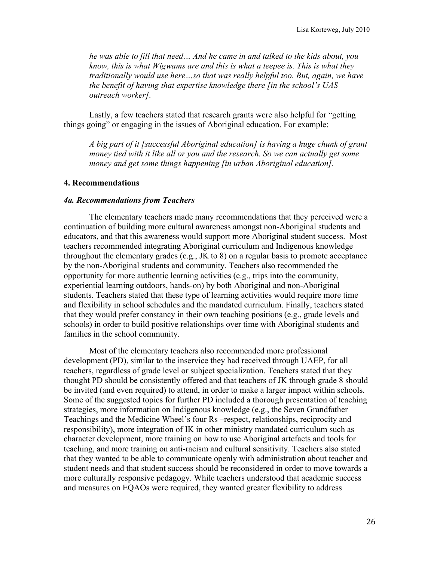*he was able to fill that need… And he came in and talked to the kids about, you know, this is what Wigwams are and this is what a teepee is. This is what they traditionally would use here…so that was really helpful too. But, again, we have the benefit of having that expertise knowledge there [in the school's UAS outreach worker].*

Lastly, a few teachers stated that research grants were also helpful for "getting things going" or engaging in the issues of Aboriginal education. For example:

*A big part of it [successful Aboriginal education] is having a huge chunk of grant money tied with it like all or you and the research. So we can actually get some money and get some things happening [in urban Aboriginal education].*

#### **4. Recommendations**

#### *4a. Recommendations from Teachers*

The elementary teachers made many recommendations that they perceived were a continuation of building more cultural awareness amongst non-Aboriginal students and educators, and that this awareness would support more Aboriginal student success. Most teachers recommended integrating Aboriginal curriculum and Indigenous knowledge throughout the elementary grades (e.g., JK to 8) on a regular basis to promote acceptance by the non-Aboriginal students and community. Teachers also recommended the opportunity for more authentic learning activities (e.g., trips into the community, experiential learning outdoors, hands-on) by both Aboriginal and non-Aboriginal students. Teachers stated that these type of learning activities would require more time and flexibility in school schedules and the mandated curriculum. Finally, teachers stated that they would prefer constancy in their own teaching positions (e.g., grade levels and schools) in order to build positive relationships over time with Aboriginal students and families in the school community.

Most of the elementary teachers also recommended more professional development (PD), similar to the inservice they had received through UAEP, for all teachers, regardless of grade level or subject specialization. Teachers stated that they thought PD should be consistently offered and that teachers of JK through grade 8 should be invited (and even required) to attend, in order to make a larger impact within schools. Some of the suggested topics for further PD included a thorough presentation of teaching strategies, more information on Indigenous knowledge (e.g., the Seven Grandfather Teachings and the Medicine Wheel's four Rs –respect, relationships, reciprocity and responsibility), more integration of IK in other ministry mandated curriculum such as character development, more training on how to use Aboriginal artefacts and tools for teaching, and more training on anti-racism and cultural sensitivity. Teachers also stated that they wanted to be able to communicate openly with administration about teacher and student needs and that student success should be reconsidered in order to move towards a more culturally responsive pedagogy. While teachers understood that academic success and measures on EQAOs were required, they wanted greater flexibility to address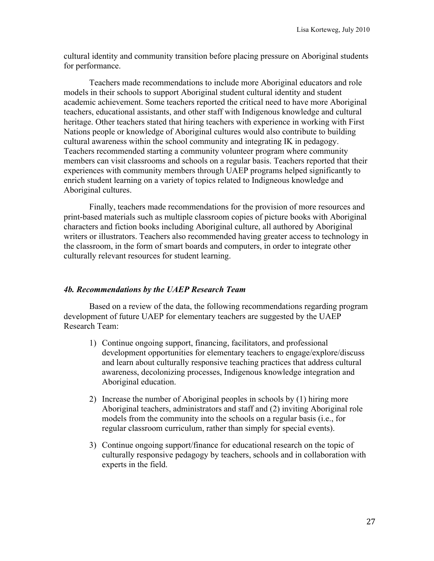cultural identity and community transition before placing pressure on Aboriginal students for performance.

Teachers made recommendations to include more Aboriginal educators and role models in their schools to support Aboriginal student cultural identity and student academic achievement. Some teachers reported the critical need to have more Aboriginal teachers, educational assistants, and other staff with Indigenous knowledge and cultural heritage. Other teachers stated that hiring teachers with experience in working with First Nations people or knowledge of Aboriginal cultures would also contribute to building cultural awareness within the school community and integrating IK in pedagogy. Teachers recommended starting a community volunteer program where community members can visit classrooms and schools on a regular basis. Teachers reported that their experiences with community members through UAEP programs helped significantly to enrich student learning on a variety of topics related to Indigneous knowledge and Aboriginal cultures.

Finally, teachers made recommendations for the provision of more resources and print-based materials such as multiple classroom copies of picture books with Aboriginal characters and fiction books including Aboriginal culture, all authored by Aboriginal writers or illustrators. Teachers also recommended having greater access to technology in the classroom, in the form of smart boards and computers, in order to integrate other culturally relevant resources for student learning.

#### *4b. Recommendations by the UAEP Research Team*

Based on a review of the data, the following recommendations regarding program development of future UAEP for elementary teachers are suggested by the UAEP Research Team:

- 1) Continue ongoing support, financing, facilitators, and professional development opportunities for elementary teachers to engage/explore/discuss and learn about culturally responsive teaching practices that address cultural awareness, decolonizing processes, Indigenous knowledge integration and Aboriginal education.
- 2) Increase the number of Aboriginal peoples in schools by (1) hiring more Aboriginal teachers, administrators and staff and (2) inviting Aboriginal role models from the community into the schools on a regular basis (i.e., for regular classroom curriculum, rather than simply for special events).
- 3) Continue ongoing support/finance for educational research on the topic of culturally responsive pedagogy by teachers, schools and in collaboration with experts in the field.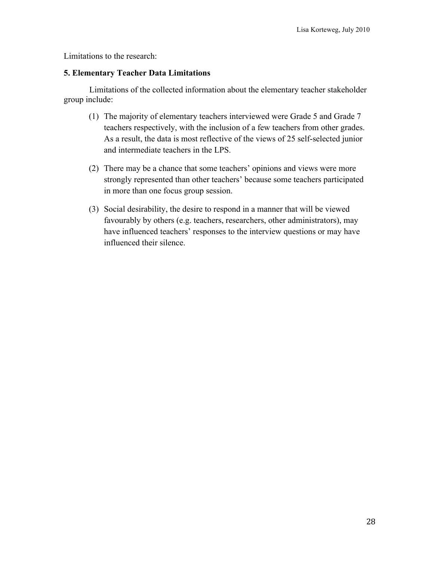Limitations to the research:

## **5. Elementary Teacher Data Limitations**

Limitations of the collected information about the elementary teacher stakeholder group include:

- (1) The majority of elementary teachers interviewed were Grade 5 and Grade 7 teachers respectively, with the inclusion of a few teachers from other grades. As a result, the data is most reflective of the views of 25 self-selected junior and intermediate teachers in the LPS.
- (2) There may be a chance that some teachers' opinions and views were more strongly represented than other teachers' because some teachers participated in more than one focus group session.
- (3) Social desirability, the desire to respond in a manner that will be viewed favourably by others (e.g. teachers, researchers, other administrators), may have influenced teachers' responses to the interview questions or may have influenced their silence.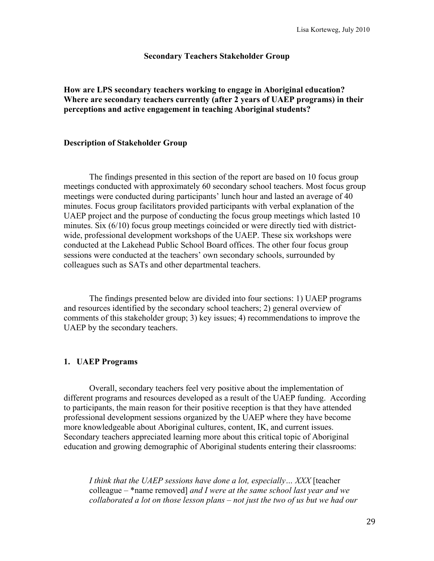#### **Secondary Teachers Stakeholder Group**

**How are LPS secondary teachers working to engage in Aboriginal education? Where are secondary teachers currently (after 2 years of UAEP programs) in their perceptions and active engagement in teaching Aboriginal students?** 

#### **Description of Stakeholder Group**

The findings presented in this section of the report are based on 10 focus group meetings conducted with approximately 60 secondary school teachers. Most focus group meetings were conducted during participants' lunch hour and lasted an average of 40 minutes. Focus group facilitators provided participants with verbal explanation of the UAEP project and the purpose of conducting the focus group meetings which lasted 10 minutes. Six (6/10) focus group meetings coincided or were directly tied with districtwide, professional development workshops of the UAEP. These six workshops were conducted at the Lakehead Public School Board offices. The other four focus group sessions were conducted at the teachers' own secondary schools, surrounded by colleagues such as SATs and other departmental teachers.

The findings presented below are divided into four sections: 1) UAEP programs and resources identified by the secondary school teachers; 2) general overview of comments of this stakeholder group; 3) key issues; 4) recommendations to improve the UAEP by the secondary teachers.

#### **1. UAEP Programs**

Overall, secondary teachers feel very positive about the implementation of different programs and resources developed as a result of the UAEP funding. According to participants, the main reason for their positive reception is that they have attended professional development sessions organized by the UAEP where they have become more knowledgeable about Aboriginal cultures, content, IK, and current issues. Secondary teachers appreciated learning more about this critical topic of Aboriginal education and growing demographic of Aboriginal students entering their classrooms:

*I think that the UAEP sessions have done a lot, especially… XXX* [teacher colleague – \*name removed] *and I were at the same school last year and we collaborated a lot on those lesson plans – not just the two of us but we had our*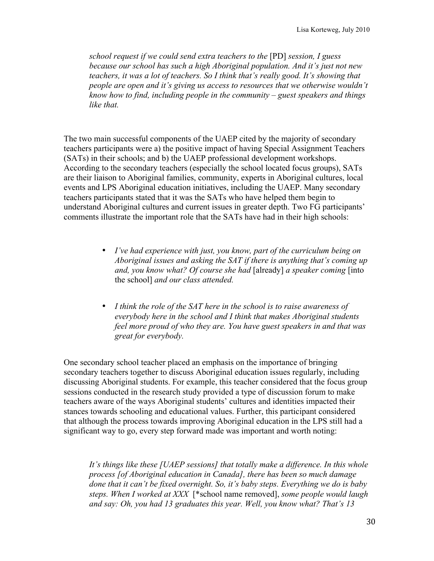*school request if we could send extra teachers to the* [PD] *session, I guess because our school has such a high Aboriginal population. And it's just not new teachers, it was a lot of teachers. So I think that's really good. It's showing that people are open and it's giving us access to resources that we otherwise wouldn't know how to find, including people in the community – guest speakers and things like that.* 

The two main successful components of the UAEP cited by the majority of secondary teachers participants were a) the positive impact of having Special Assignment Teachers (SATs) in their schools; and b) the UAEP professional development workshops. According to the secondary teachers (especially the school located focus groups), SATs are their liaison to Aboriginal families, community, experts in Aboriginal cultures, local events and LPS Aboriginal education initiatives, including the UAEP. Many secondary teachers participants stated that it was the SATs who have helped them begin to understand Aboriginal cultures and current issues in greater depth. Two FG participants' comments illustrate the important role that the SATs have had in their high schools:

- *I've had experience with just, you know, part of the curriculum being on Aboriginal issues and asking the SAT if there is anything that's coming up and, you know what? Of course she had* [already] *a speaker coming* [into the school] *and our class attended.*
- *I think the role of the SAT here in the school is to raise awareness of everybody here in the school and I think that makes Aboriginal students feel more proud of who they are. You have guest speakers in and that was great for everybody.*

One secondary school teacher placed an emphasis on the importance of bringing secondary teachers together to discuss Aboriginal education issues regularly, including discussing Aboriginal students. For example, this teacher considered that the focus group sessions conducted in the research study provided a type of discussion forum to make teachers aware of the ways Aboriginal students' cultures and identities impacted their stances towards schooling and educational values. Further, this participant considered that although the process towards improving Aboriginal education in the LPS still had a significant way to go, every step forward made was important and worth noting:

*It's things like these [UAEP sessions] that totally make a difference. In this whole process [of Aboriginal education in Canada], there has been so much damage done that it can't be fixed overnight. So, it's baby steps. Everything we do is baby steps. When I worked at XXX* [\*school name removed], *some people would laugh and say: Oh, you had 13 graduates this year. Well, you know what? That's 13*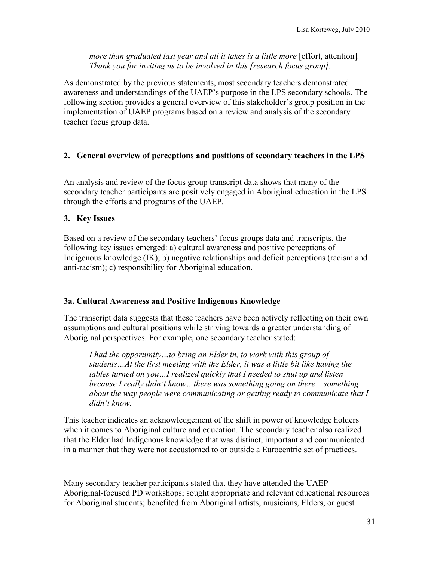*more than graduated last year and all it takes is a little more* [effort, attention]*. Thank you for inviting us to be involved in this [research focus group].* 

As demonstrated by the previous statements, most secondary teachers demonstrated awareness and understandings of the UAEP's purpose in the LPS secondary schools. The following section provides a general overview of this stakeholder's group position in the implementation of UAEP programs based on a review and analysis of the secondary teacher focus group data.

## **2. General overview of perceptions and positions of secondary teachers in the LPS**

An analysis and review of the focus group transcript data shows that many of the secondary teacher participants are positively engaged in Aboriginal education in the LPS through the efforts and programs of the UAEP.

## **3. Key Issues**

Based on a review of the secondary teachers' focus groups data and transcripts, the following key issues emerged: a) cultural awareness and positive perceptions of Indigenous knowledge (IK); b) negative relationships and deficit perceptions (racism and anti-racism); c) responsibility for Aboriginal education.

## **3a. Cultural Awareness and Positive Indigenous Knowledge**

The transcript data suggests that these teachers have been actively reflecting on their own assumptions and cultural positions while striving towards a greater understanding of Aboriginal perspectives. For example, one secondary teacher stated:

*I had the opportunity…to bring an Elder in, to work with this group of students…At the first meeting with the Elder, it was a little bit like having the tables turned on you…I realized quickly that I needed to shut up and listen because I really didn't know…there was something going on there – something about the way people were communicating or getting ready to communicate that I didn't know.*

This teacher indicates an acknowledgement of the shift in power of knowledge holders when it comes to Aboriginal culture and education. The secondary teacher also realized that the Elder had Indigenous knowledge that was distinct, important and communicated in a manner that they were not accustomed to or outside a Eurocentric set of practices.

Many secondary teacher participants stated that they have attended the UAEP Aboriginal-focused PD workshops; sought appropriate and relevant educational resources for Aboriginal students; benefited from Aboriginal artists, musicians, Elders, or guest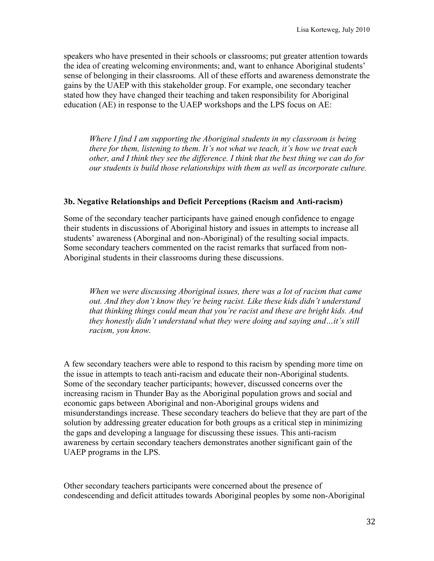speakers who have presented in their schools or classrooms; put greater attention towards the idea of creating welcoming environments; and, want to enhance Aboriginal students' sense of belonging in their classrooms. All of these efforts and awareness demonstrate the gains by the UAEP with this stakeholder group. For example, one secondary teacher stated how they have changed their teaching and taken responsibility for Aboriginal education (AE) in response to the UAEP workshops and the LPS focus on AE:

*Where I find I am supporting the Aboriginal students in my classroom is being there for them, listening to them. It's not what we teach, it's how we treat each other, and I think they see the difference. I think that the best thing we can do for our students is build those relationships with them as well as incorporate culture.* 

## **3b. Negative Relationships and Deficit Perceptions (Racism and Anti-racism)**

Some of the secondary teacher participants have gained enough confidence to engage their students in discussions of Aboriginal history and issues in attempts to increase all students' awareness (Aborginal and non-Aboriginal) of the resulting social impacts. Some secondary teachers commented on the racist remarks that surfaced from non-Aboriginal students in their classrooms during these discussions.

*When we were discussing Aboriginal issues, there was a lot of racism that came out. And they don't know they're being racist. Like these kids didn't understand that thinking things could mean that you're racist and these are bright kids. And they honestly didn't understand what they were doing and saying and…it's still racism, you know.*

A few secondary teachers were able to respond to this racism by spending more time on the issue in attempts to teach anti-racism and educate their non-Aboriginal students. Some of the secondary teacher participants; however, discussed concerns over the increasing racism in Thunder Bay as the Aboriginal population grows and social and economic gaps between Aboriginal and non-Aboriginal groups widens and misunderstandings increase. These secondary teachers do believe that they are part of the solution by addressing greater education for both groups as a critical step in minimizing the gaps and developing a language for discussing these issues. This anti-racism awareness by certain secondary teachers demonstrates another significant gain of the UAEP programs in the LPS.

Other secondary teachers participants were concerned about the presence of condescending and deficit attitudes towards Aboriginal peoples by some non-Aboriginal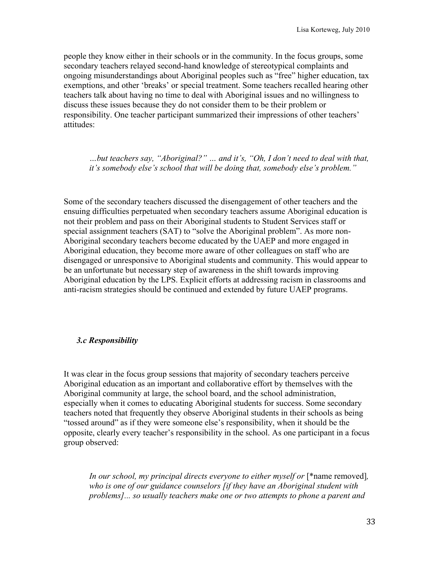people they know either in their schools or in the community. In the focus groups, some secondary teachers relayed second-hand knowledge of stereotypical complaints and ongoing misunderstandings about Aboriginal peoples such as "free" higher education, tax exemptions, and other 'breaks' or special treatment. Some teachers recalled hearing other teachers talk about having no time to deal with Aboriginal issues and no willingness to discuss these issues because they do not consider them to be their problem or responsibility. One teacher participant summarized their impressions of other teachers' attitudes:

*…but teachers say, "Aboriginal?" … and it's, "Oh, I don't need to deal with that, it's somebody else's school that will be doing that, somebody else's problem."*

Some of the secondary teachers discussed the disengagement of other teachers and the ensuing difficulties perpetuated when secondary teachers assume Aboriginal education is not their problem and pass on their Aboriginal students to Student Services staff or special assignment teachers (SAT) to "solve the Aboriginal problem". As more non-Aboriginal secondary teachers become educated by the UAEP and more engaged in Aboriginal education, they become more aware of other colleagues on staff who are disengaged or unresponsive to Aboriginal students and community. This would appear to be an unfortunate but necessary step of awareness in the shift towards improving Aboriginal education by the LPS. Explicit efforts at addressing racism in classrooms and anti-racism strategies should be continued and extended by future UAEP programs.

## *3.c Responsibility*

It was clear in the focus group sessions that majority of secondary teachers perceive Aboriginal education as an important and collaborative effort by themselves with the Aboriginal community at large, the school board, and the school administration, especially when it comes to educating Aboriginal students for success. Some secondary teachers noted that frequently they observe Aboriginal students in their schools as being "tossed around" as if they were someone else's responsibility, when it should be the opposite, clearly every teacher's responsibility in the school. As one participant in a focus group observed:

*In our school, my principal directs everyone to either myself or* [\*name removed], *who is one of our guidance counselors [if they have an Aboriginal student with problems]... so usually teachers make one or two attempts to phone a parent and*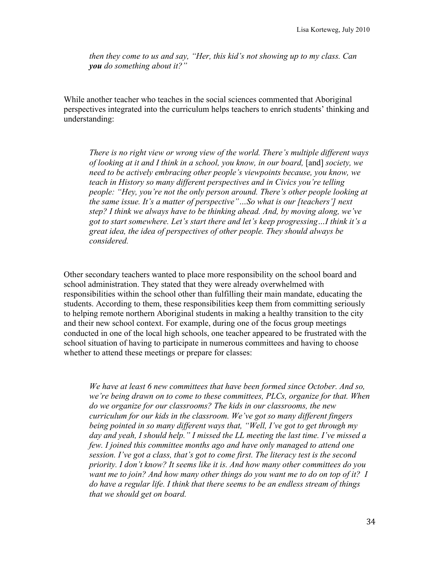*then they come to us and say, "Her, this kid's not showing up to my class. Can you do something about it?"*

While another teacher who teaches in the social sciences commented that Aboriginal perspectives integrated into the curriculum helps teachers to enrich students' thinking and understanding:

*There is no right view or wrong view of the world. There's multiple different ways of looking at it and I think in a school, you know, in our board,* [and] *society, we need to be actively embracing other people's viewpoints because, you know, we teach in History so many different perspectives and in Civics you're telling people: "Hey, you're not the only person around. There's other people looking at the same issue. It's a matter of perspective"…So what is our [teachers'] next step? I think we always have to be thinking ahead. And, by moving along, we've got to start somewhere. Let's start there and let's keep progressing…I think it's a great idea, the idea of perspectives of other people. They should always be considered.* 

Other secondary teachers wanted to place more responsibility on the school board and school administration. They stated that they were already overwhelmed with responsibilities within the school other than fulfilling their main mandate, educating the students. According to them, these responsibilities keep them from committing seriously to helping remote northern Aboriginal students in making a healthy transition to the city and their new school context. For example, during one of the focus group meetings conducted in one of the local high schools, one teacher appeared to be frustrated with the school situation of having to participate in numerous committees and having to choose whether to attend these meetings or prepare for classes:

*We have at least 6 new committees that have been formed since October. And so, we're being drawn on to come to these committees, PLCs, organize for that. When do we organize for our classrooms? The kids in our classrooms, the new curriculum for our kids in the classroom. We've got so many different fingers being pointed in so many different ways that, "Well, I've got to get through my day and yeah, I should help." I missed the LL meeting the last time. I've missed a few. I joined this committee months ago and have only managed to attend one session. I've got a class, that's got to come first. The literacy test is the second priority. I don't know? It seems like it is. And how many other committees do you want me to join? And how many other things do you want me to do on top of it? I do have a regular life. I think that there seems to be an endless stream of things that we should get on board.*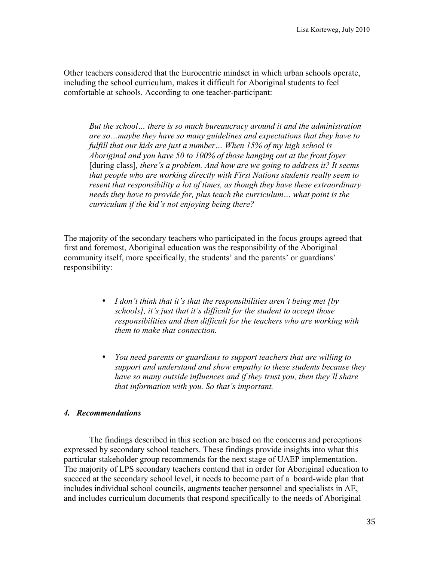Other teachers considered that the Eurocentric mindset in which urban schools operate, including the school curriculum, makes it difficult for Aboriginal students to feel comfortable at schools. According to one teacher-participant:

*But the school… there is so much bureaucracy around it and the administration are so…maybe they have so many guidelines and expectations that they have to fulfill that our kids are just a number… When 15% of my high school is Aboriginal and you have 50 to 100% of those hanging out at the front foyer*  [during class]*, there's a problem. And how are we going to address it? It seems that people who are working directly with First Nations students really seem to resent that responsibility a lot of times, as though they have these extraordinary needs they have to provide for, plus teach the curriculum… what point is the curriculum if the kid's not enjoying being there?* 

The majority of the secondary teachers who participated in the focus groups agreed that first and foremost, Aboriginal education was the responsibility of the Aboriginal community itself, more specifically, the students' and the parents' or guardians' responsibility:

- *I don't think that it's that the responsibilities aren't being met [by schools], it's just that it's difficult for the student to accept those responsibilities and then difficult for the teachers who are working with them to make that connection.*
- *You need parents or guardians to support teachers that are willing to support and understand and show empathy to these students because they have so many outside influences and if they trust you, then they'll share that information with you. So that's important.*

#### *4. Recommendations*

The findings described in this section are based on the concerns and perceptions expressed by secondary school teachers. These findings provide insights into what this particular stakeholder group recommends for the next stage of UAEP implementation. The majority of LPS secondary teachers contend that in order for Aboriginal education to succeed at the secondary school level, it needs to become part of a board-wide plan that includes individual school councils, augments teacher personnel and specialists in AE, and includes curriculum documents that respond specifically to the needs of Aboriginal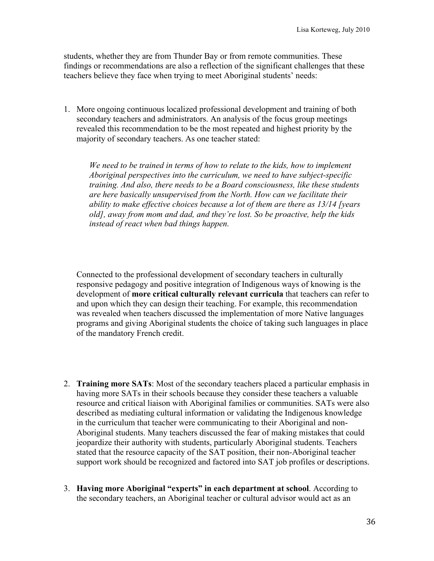students, whether they are from Thunder Bay or from remote communities. These findings or recommendations are also a reflection of the significant challenges that these teachers believe they face when trying to meet Aboriginal students' needs:

1. More ongoing continuous localized professional development and training of both secondary teachers and administrators. An analysis of the focus group meetings revealed this recommendation to be the most repeated and highest priority by the majority of secondary teachers. As one teacher stated:

*We need to be trained in terms of how to relate to the kids, how to implement Aboriginal perspectives into the curriculum, we need to have subject-specific training. And also, there needs to be a Board consciousness, like these students are here basically unsupervised from the North. How can we facilitate their ability to make effective choices because a lot of them are there as 13/14 [years old], away from mom and dad, and they're lost. So be proactive, help the kids instead of react when bad things happen.* 

Connected to the professional development of secondary teachers in culturally responsive pedagogy and positive integration of Indigenous ways of knowing is the development of **more critical culturally relevant curricula** that teachers can refer to and upon which they can design their teaching. For example, this recommendation was revealed when teachers discussed the implementation of more Native languages programs and giving Aboriginal students the choice of taking such languages in place of the mandatory French credit.

- 2. **Training more SATs**: Most of the secondary teachers placed a particular emphasis in having more SATs in their schools because they consider these teachers a valuable resource and critical liaison with Aboriginal families or communities. SATs were also described as mediating cultural information or validating the Indigenous knowledge in the curriculum that teacher were communicating to their Aboriginal and non-Aboriginal students. Many teachers discussed the fear of making mistakes that could jeopardize their authority with students, particularly Aboriginal students. Teachers stated that the resource capacity of the SAT position, their non-Aboriginal teacher support work should be recognized and factored into SAT job profiles or descriptions.
- 3. **Having more Aboriginal "experts" in each department at school**. According to the secondary teachers, an Aboriginal teacher or cultural advisor would act as an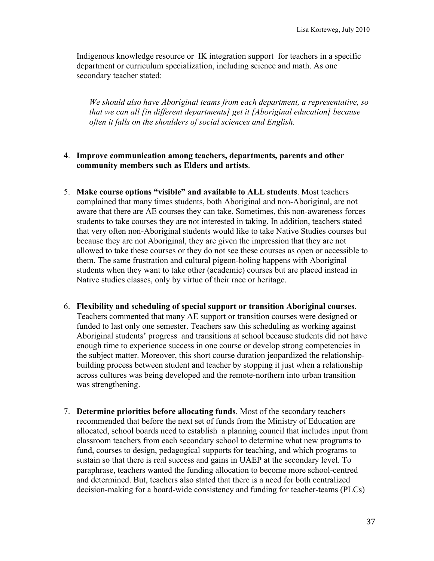Indigenous knowledge resource or IK integration support for teachers in a specific department or curriculum specialization, including science and math. As one secondary teacher stated:

*We should also have Aboriginal teams from each department, a representative, so that we can all [in different departments] get it [Aboriginal education] because often it falls on the shoulders of social sciences and English.* 

### 4. **Improve communication among teachers, departments, parents and other community members such as Elders and artists**.

- 5. **Make course options "visible" and available to ALL students**. Most teachers complained that many times students, both Aboriginal and non-Aboriginal, are not aware that there are AE courses they can take. Sometimes, this non-awareness forces students to take courses they are not interested in taking. In addition, teachers stated that very often non-Aboriginal students would like to take Native Studies courses but because they are not Aboriginal, they are given the impression that they are not allowed to take these courses or they do not see these courses as open or accessible to them. The same frustration and cultural pigeon-holing happens with Aboriginal students when they want to take other (academic) courses but are placed instead in Native studies classes, only by virtue of their race or heritage.
- 6. **Flexibility and scheduling of special support or transition Aboriginal courses**. Teachers commented that many AE support or transition courses were designed or funded to last only one semester. Teachers saw this scheduling as working against Aboriginal students' progress and transitions at school because students did not have enough time to experience success in one course or develop strong competencies in the subject matter. Moreover, this short course duration jeopardized the relationshipbuilding process between student and teacher by stopping it just when a relationship across cultures was being developed and the remote-northern into urban transition was strengthening.
- 7. **Determine priorities before allocating funds**. Most of the secondary teachers recommended that before the next set of funds from the Ministry of Education are allocated, school boards need to establish a planning council that includes input from classroom teachers from each secondary school to determine what new programs to fund, courses to design, pedagogical supports for teaching, and which programs to sustain so that there is real success and gains in UAEP at the secondary level. To paraphrase, teachers wanted the funding allocation to become more school-centred and determined. But, teachers also stated that there is a need for both centralized decision-making for a board-wide consistency and funding for teacher-teams (PLCs)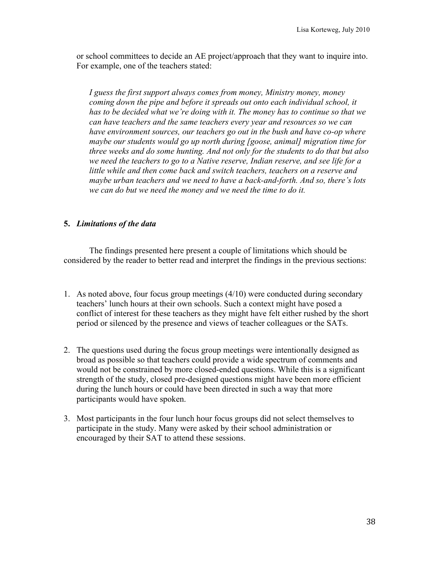or school committees to decide an AE project/approach that they want to inquire into. For example, one of the teachers stated:

*I guess the first support always comes from money, Ministry money, money coming down the pipe and before it spreads out onto each individual school, it has to be decided what we're doing with it. The money has to continue so that we can have teachers and the same teachers every year and resources so we can have environment sources, our teachers go out in the bush and have co-op where maybe our students would go up north during [goose, animal] migration time for three weeks and do some hunting. And not only for the students to do that but also we need the teachers to go to a Native reserve, Indian reserve, and see life for a little while and then come back and switch teachers, teachers on a reserve and maybe urban teachers and we need to have a back-and-forth. And so, there's lots we can do but we need the money and we need the time to do it.* 

# **5.** *Limitations of the data*

The findings presented here present a couple of limitations which should be considered by the reader to better read and interpret the findings in the previous sections:

- 1. As noted above, four focus group meetings (4/10) were conducted during secondary teachers' lunch hours at their own schools. Such a context might have posed a conflict of interest for these teachers as they might have felt either rushed by the short period or silenced by the presence and views of teacher colleagues or the SATs.
- 2. The questions used during the focus group meetings were intentionally designed as broad as possible so that teachers could provide a wide spectrum of comments and would not be constrained by more closed-ended questions. While this is a significant strength of the study, closed pre-designed questions might have been more efficient during the lunch hours or could have been directed in such a way that more participants would have spoken.
- 3. Most participants in the four lunch hour focus groups did not select themselves to participate in the study. Many were asked by their school administration or encouraged by their SAT to attend these sessions.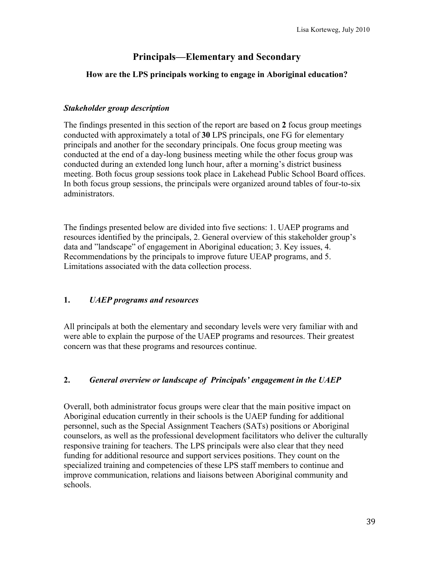# **Principals—Elementary and Secondary**

## **How are the LPS principals working to engage in Aboriginal education?**

### *Stakeholder group description*

The findings presented in this section of the report are based on **2** focus group meetings conducted with approximately a total of **30** LPS principals, one FG for elementary principals and another for the secondary principals. One focus group meeting was conducted at the end of a day-long business meeting while the other focus group was conducted during an extended long lunch hour, after a morning's district business meeting. Both focus group sessions took place in Lakehead Public School Board offices. In both focus group sessions, the principals were organized around tables of four-to-six administrators.

The findings presented below are divided into five sections: 1. UAEP programs and resources identified by the principals, 2. General overview of this stakeholder group's data and "landscape" of engagement in Aboriginal education; 3. Key issues, 4. Recommendations by the principals to improve future UEAP programs, and 5. Limitations associated with the data collection process.

# **1.** *UAEP programs and resources*

All principals at both the elementary and secondary levels were very familiar with and were able to explain the purpose of the UAEP programs and resources. Their greatest concern was that these programs and resources continue.

# **2.** *General overview or landscape of Principals' engagement in the UAEP*

Overall, both administrator focus groups were clear that the main positive impact on Aboriginal education currently in their schools is the UAEP funding for additional personnel, such as the Special Assignment Teachers (SATs) positions or Aboriginal counselors, as well as the professional development facilitators who deliver the culturally responsive training for teachers. The LPS principals were also clear that they need funding for additional resource and support services positions. They count on the specialized training and competencies of these LPS staff members to continue and improve communication, relations and liaisons between Aboriginal community and schools.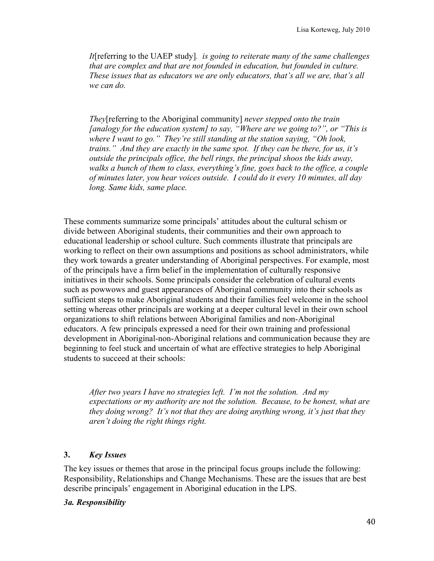*It*[referring to the UAEP study]*. is going to reiterate many of the same challenges that are complex and that are not founded in education, but founded in culture. These issues that as educators we are only educators, that's all we are, that's all we can do.*

*They*[referring to the Aboriginal community] *never stepped onto the train [analogy for the education system] to say, "Where are we going to?", or "This is where I want to go." They're still standing at the station saying, "Oh look, trains." And they are exactly in the same spot. If they can be there, for us, it's outside the principals office, the bell rings, the principal shoos the kids away, walks a bunch of them to class, everything's fine, goes back to the office, a couple of minutes later, you hear voices outside. I could do it every 10 minutes, all day long. Same kids, same place.*

These comments summarize some principals' attitudes about the cultural schism or divide between Aboriginal students, their communities and their own approach to educational leadership or school culture. Such comments illustrate that principals are working to reflect on their own assumptions and positions as school administrators, while they work towards a greater understanding of Aboriginal perspectives. For example, most of the principals have a firm belief in the implementation of culturally responsive initiatives in their schools. Some principals consider the celebration of cultural events such as powwows and guest appearances of Aboriginal community into their schools as sufficient steps to make Aboriginal students and their families feel welcome in the school setting whereas other principals are working at a deeper cultural level in their own school organizations to shift relations between Aboriginal families and non-Aboriginal educators. A few principals expressed a need for their own training and professional development in Aboriginal-non-Aboriginal relations and communication because they are beginning to feel stuck and uncertain of what are effective strategies to help Aboriginal students to succeed at their schools:

*After two years I have no strategies left. I'm not the solution. And my expectations or my authority are not the solution. Because, to be honest, what are they doing wrong? It's not that they are doing anything wrong, it's just that they aren't doing the right things right.*

### **3.** *Key Issues*

The key issues or themes that arose in the principal focus groups include the following: Responsibility, Relationships and Change Mechanisms. These are the issues that are best describe principals' engagement in Aboriginal education in the LPS.

### *3a. Responsibility*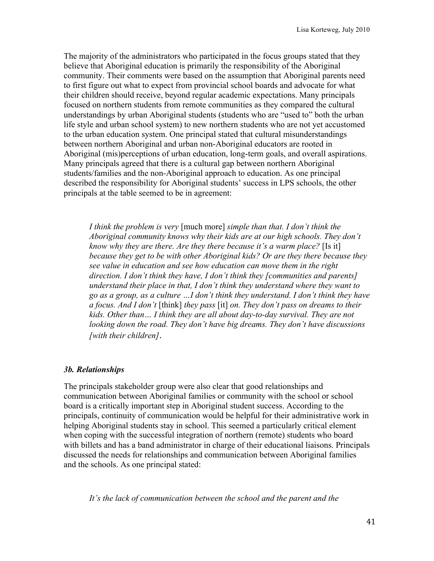The majority of the administrators who participated in the focus groups stated that they believe that Aboriginal education is primarily the responsibility of the Aboriginal community. Their comments were based on the assumption that Aboriginal parents need to first figure out what to expect from provincial school boards and advocate for what their children should receive, beyond regular academic expectations. Many principals focused on northern students from remote communities as they compared the cultural understandings by urban Aboriginal students (students who are "used to" both the urban life style and urban school system) to new northern students who are not yet accustomed to the urban education system. One principal stated that cultural misunderstandings between northern Aboriginal and urban non-Aboriginal educators are rooted in Aboriginal (mis)perceptions of urban education, long-term goals, and overall aspirations. Many principals agreed that there is a cultural gap between northern Aboriginal students/families and the non-Aboriginal approach to education. As one principal described the responsibility for Aboriginal students' success in LPS schools, the other principals at the table seemed to be in agreement:

*I think the problem is very* [much more] *simple than that. I don't think the Aboriginal community knows why their kids are at our high schools. They don't know why they are there. Are they there because it's a warm place?* [Is it] *because they get to be with other Aboriginal kids? Or are they there because they see value in education and see how education can move them in the right direction. I don't think they have, I don't think they [communities and parents] understand their place in that, I don't think they understand where they want to go as a group, as a culture …I don't think they understand. I don't think they have a focus. And I don't* [think] *they pass* [it] *on. They don't pass on dreams to their kids. Other than… I think they are all about day-to-day survival. They are not looking down the road. They don't have big dreams. They don't have discussions [with their children]*.

### *3b. Relationships*

The principals stakeholder group were also clear that good relationships and communication between Aboriginal families or community with the school or school board is a critically important step in Aboriginal student success. According to the principals, continuity of communication would be helpful for their administrative work in helping Aboriginal students stay in school. This seemed a particularly critical element when coping with the successful integration of northern (remote) students who board with billets and has a band administrator in charge of their educational liaisons. Principals discussed the needs for relationships and communication between Aboriginal families and the schools. As one principal stated:

*It's the lack of communication between the school and the parent and the*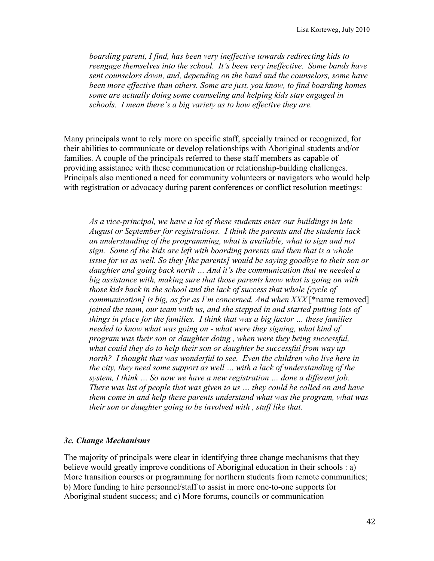*boarding parent, I find, has been very ineffective towards redirecting kids to reengage themselves into the school. It's been very ineffective. Some bands have sent counselors down, and, depending on the band and the counselors, some have been more effective than others. Some are just, you know, to find boarding homes some are actually doing some counseling and helping kids stay engaged in schools. I mean there's a big variety as to how effective they are.* 

Many principals want to rely more on specific staff, specially trained or recognized, for their abilities to communicate or develop relationships with Aboriginal students and/or families. A couple of the principals referred to these staff members as capable of providing assistance with these communication or relationship-building challenges. Principals also mentioned a need for community volunteers or navigators who would help with registration or advocacy during parent conferences or conflict resolution meetings:

*As a vice-principal, we have a lot of these students enter our buildings in late August or September for registrations. I think the parents and the students lack an understanding of the programming, what is available, what to sign and not sign. Some of the kids are left with boarding parents and then that is a whole issue for us as well. So they [the parents] would be saying goodbye to their son or daughter and going back north … And it's the communication that we needed a big assistance with, making sure that those parents know what is going on with those kids back in the school and the lack of success that whole [cycle of communication] is big, as far as I'm concerned. And when XXX* [\*name removed] *joined the team, our team with us, and she stepped in and started putting lots of things in place for the families. I think that was a big factor … these families needed to know what was going on - what were they signing, what kind of program was their son or daughter doing , when were they being successful, what could they do to help their son or daughter be successful from way up north? I thought that was wonderful to see. Even the children who live here in the city, they need some support as well … with a lack of understanding of the system, I think … So now we have a new registration … done a different job. There was list of people that was given to us … they could be called on and have them come in and help these parents understand what was the program, what was their son or daughter going to be involved with , stuff like that.*

### *3c. Change Mechanisms*

The majority of principals were clear in identifying three change mechanisms that they believe would greatly improve conditions of Aboriginal education in their schools : a) More transition courses or programming for northern students from remote communities; b) More funding to hire personnel/staff to assist in more one-to-one supports for Aboriginal student success; and c) More forums, councils or communication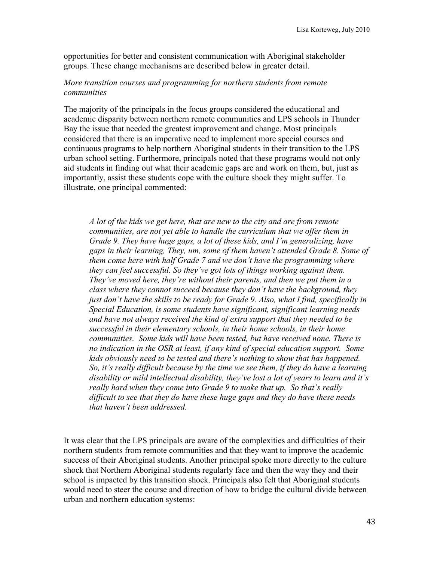opportunities for better and consistent communication with Aboriginal stakeholder groups. These change mechanisms are described below in greater detail.

#### *More transition courses and programming for northern students from remote communities*

The majority of the principals in the focus groups considered the educational and academic disparity between northern remote communities and LPS schools in Thunder Bay the issue that needed the greatest improvement and change. Most principals considered that there is an imperative need to implement more special courses and continuous programs to help northern Aboriginal students in their transition to the LPS urban school setting. Furthermore, principals noted that these programs would not only aid students in finding out what their academic gaps are and work on them, but, just as importantly, assist these students cope with the culture shock they might suffer. To illustrate, one principal commented:

*A lot of the kids we get here, that are new to the city and are from remote communities, are not yet able to handle the curriculum that we offer them in Grade 9. They have huge gaps, a lot of these kids, and I'm generalizing, have gaps in their learning, They, um, some of them haven't attended Grade 8. Some of them come here with half Grade 7 and we don't have the programming where they can feel successful. So they've got lots of things working against them. They've moved here, they're without their parents, and then we put them in a class where they cannot succeed because they don't have the background, they just don't have the skills to be ready for Grade 9. Also, what I find, specifically in Special Education, is some students have significant, significant learning needs and have not always received the kind of extra support that they needed to be successful in their elementary schools, in their home schools, in their home communities. Some kids will have been tested, but have received none. There is no indication in the OSR at least, if any kind of special education support. Some kids obviously need to be tested and there's nothing to show that has happened. So, it's really difficult because by the time we see them, if they do have a learning disability or mild intellectual disability, they've lost a lot of years to learn and it's really hard when they come into Grade 9 to make that up. So that's really difficult to see that they do have these huge gaps and they do have these needs that haven't been addressed.*

It was clear that the LPS principals are aware of the complexities and difficulties of their northern students from remote communities and that they want to improve the academic success of their Aboriginal students. Another principal spoke more directly to the culture shock that Northern Aboriginal students regularly face and then the way they and their school is impacted by this transition shock. Principals also felt that Aboriginal students would need to steer the course and direction of how to bridge the cultural divide between urban and northern education systems: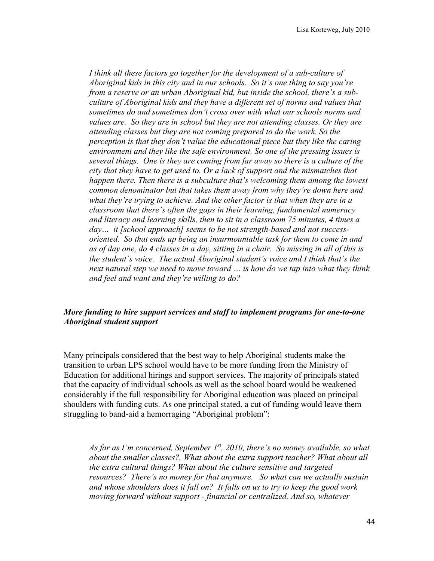*I think all these factors go together for the development of a sub-culture of Aboriginal kids in this city and in our schools. So it's one thing to say you're from a reserve or an urban Aboriginal kid, but inside the school, there's a subculture of Aboriginal kids and they have a different set of norms and values that sometimes do and sometimes don't cross over with what our schools norms and values are. So they are in school but they are not attending classes. Or they are attending classes but they are not coming prepared to do the work. So the perception is that they don't value the educational piece but they like the caring environment and they like the safe environment. So one of the pressing issues is several things. One is they are coming from far away so there is a culture of the city that they have to get used to. Or a lack of support and the mismatches that happen there. Then there is a subculture that's welcoming them among the lowest common denominator but that takes them away from why they're down here and what they're trying to achieve. And the other factor is that when they are in a classroom that there's often the gaps in their learning, fundamental numeracy and literacy and learning skills, then to sit in a classroom 75 minutes, 4 times a day… it [school approach] seems to be not strength-based and not successoriented. So that ends up being an insurmountable task for them to come in and as of day one, do 4 classes in a day, sitting in a chair. So missing in all of this is the student's voice. The actual Aboriginal student's voice and I think that's the next natural step we need to move toward … is how do we tap into what they think and feel and want and they're willing to do?*

# *More funding to hire support services and staff to implement programs for one-to-one Aboriginal student support*

Many principals considered that the best way to help Aboriginal students make the transition to urban LPS school would have to be more funding from the Ministry of Education for additional hirings and support services. The majority of principals stated that the capacity of individual schools as well as the school board would be weakened considerably if the full responsibility for Aboriginal education was placed on principal shoulders with funding cuts. As one principal stated, a cut of funding would leave them struggling to band-aid a hemorraging "Aboriginal problem":

*As far as I'm concerned, September 1st, 2010, there's no money available, so what about the smaller classes?, What about the extra support teacher? What about all the extra cultural things? What about the culture sensitive and targeted resources? There's no money for that anymore. So what can we actually sustain and whose shoulders does it fall on? It falls on us to try to keep the good work moving forward without support - financial or centralized. And so, whatever*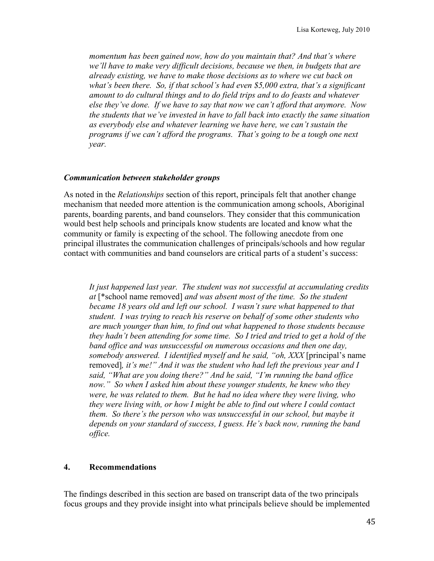*momentum has been gained now, how do you maintain that? And that's where we'll have to make very difficult decisions, because we then, in budgets that are already existing, we have to make those decisions as to where we cut back on what's been there. So, if that school's had even \$5,000 extra, that's a significant amount to do cultural things and to do field trips and to do feasts and whatever else they've done. If we have to say that now we can't afford that anymore. Now the students that we've invested in have to fall back into exactly the same situation as everybody else and whatever learning we have here, we can't sustain the programs if we can't afford the programs. That's going to be a tough one next year.*

#### *Communication between stakeholder groups*

As noted in the *Relationships* section of this report, principals felt that another change mechanism that needed more attention is the communication among schools, Aboriginal parents, boarding parents, and band counselors. They consider that this communication would best help schools and principals know students are located and know what the community or family is expecting of the school. The following anecdote from one principal illustrates the communication challenges of principals/schools and how regular contact with communities and band counselors are critical parts of a student's success:

*It just happened last year. The student was not successful at accumulating credits at* [\*school name removed] *and was absent most of the time. So the student became 18 years old and left our school. I wasn't sure what happened to that student. I was trying to reach his reserve on behalf of some other students who are much younger than him, to find out what happened to those students because they hadn't been attending for some time. So I tried and tried to get a hold of the band office and was unsuccessful on numerous occasions and then one day, somebody answered. I identified myself and he said, "oh, XXX* [principal's name removed]*, it's me!" And it was the student who had left the previous year and I said, "What are you doing there?" And he said, "I'm running the band office now." So when I asked him about these younger students, he knew who they were, he was related to them. But he had no idea where they were living, who they were living with, or how I might be able to find out where I could contact them. So there's the person who was unsuccessful in our school, but maybe it depends on your standard of success, I guess. He's back now, running the band office.* 

### **4. Recommendations**

The findings described in this section are based on transcript data of the two principals focus groups and they provide insight into what principals believe should be implemented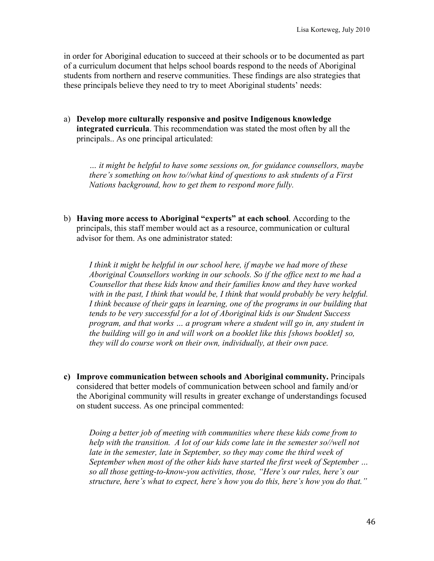in order for Aboriginal education to succeed at their schools or to be documented as part of a curriculum document that helps school boards respond to the needs of Aboriginal students from northern and reserve communities. These findings are also strategies that these principals believe they need to try to meet Aboriginal students' needs:

a) **Develop more culturally responsive and positve Indigenous knowledge integrated curricula**. This recommendation was stated the most often by all the principals.. As one principal articulated:

*… it might be helpful to have some sessions on, for guidance counsellors, maybe there's something on how to//what kind of questions to ask students of a First Nations background, how to get them to respond more fully.* 

b) **Having more access to Aboriginal "experts" at each school**. According to the principals, this staff member would act as a resource, communication or cultural advisor for them. As one administrator stated:

*I think it might be helpful in our school here, if maybe we had more of these Aboriginal Counsellors working in our schools. So if the office next to me had a Counsellor that these kids know and their families know and they have worked with in the past, I think that would be, I think that would probably be very helpful. I think because of their gaps in learning, one of the programs in our building that tends to be very successful for a lot of Aboriginal kids is our Student Success program, and that works … a program where a student will go in, any student in the building will go in and will work on a booklet like this [shows booklet] so, they will do course work on their own, individually, at their own pace.*

**c) Improve communication between schools and Aboriginal community.** Principals considered that better models of communication between school and family and/or the Aboriginal community will results in greater exchange of understandings focused on student success. As one principal commented:

*Doing a better job of meeting with communities where these kids come from to help with the transition. A lot of our kids come late in the semester so//well not late in the semester, late in September, so they may come the third week of September when most of the other kids have started the first week of September … so all those getting-to-know-you activities, those, "Here's our rules, here's our structure, here's what to expect, here's how you do this, here's how you do that."*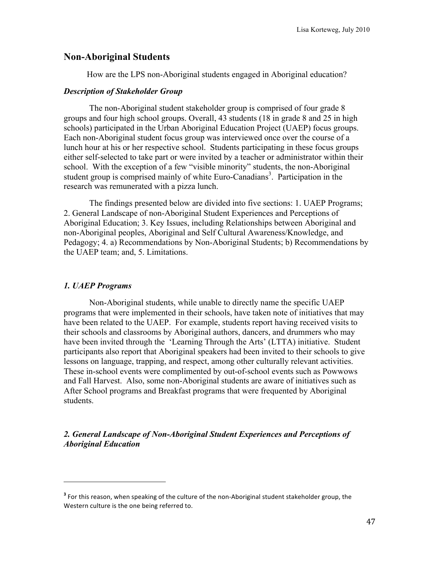# **Non-Aboriginal Students**

How are the LPS non-Aboriginal students engaged in Aboriginal education?

### *Description of Stakeholder Group*

The non-Aboriginal student stakeholder group is comprised of four grade 8 groups and four high school groups. Overall, 43 students (18 in grade 8 and 25 in high schools) participated in the Urban Aboriginal Education Project (UAEP) focus groups. Each non-Aboriginal student focus group was interviewed once over the course of a lunch hour at his or her respective school. Students participating in these focus groups either self-selected to take part or were invited by a teacher or administrator within their school. With the exception of a few "visible minority" students, the non-Aboriginal student group is comprised mainly of white Euro-Canadians<sup>3</sup>. Participation in the research was remunerated with a pizza lunch.

The findings presented below are divided into five sections: 1. UAEP Programs; 2. General Landscape of non-Aboriginal Student Experiences and Perceptions of Aboriginal Education; 3. Key Issues, including Relationships between Aboriginal and non-Aboriginal peoples, Aboriginal and Self Cultural Awareness/Knowledge, and Pedagogy; 4. a) Recommendations by Non-Aboriginal Students; b) Recommendations by the UAEP team; and, 5. Limitations.

# *1. UAEP Programs*

!!!!!!!!!!!!!!!!!!!!!!!!!!!!!!!!!!!!!!!!!!!!!!!!!!!!!!!

Non-Aboriginal students, while unable to directly name the specific UAEP programs that were implemented in their schools, have taken note of initiatives that may have been related to the UAEP. For example, students report having received visits to their schools and classrooms by Aboriginal authors, dancers, and drummers who may have been invited through the 'Learning Through the Arts' (LTTA) initiative. Student participants also report that Aboriginal speakers had been invited to their schools to give lessons on language, trapping, and respect, among other culturally relevant activities. These in-school events were complimented by out-of-school events such as Powwows and Fall Harvest. Also, some non-Aboriginal students are aware of initiatives such as After School programs and Breakfast programs that were frequented by Aboriginal students.

*2. General Landscape of Non-Aboriginal Student Experiences and Perceptions of Aboriginal Education*

<sup>&</sup>lt;sup>3</sup> For this reason, when speaking of the culture of the non-Aboriginal student stakeholder group, the Western culture is the one being referred to.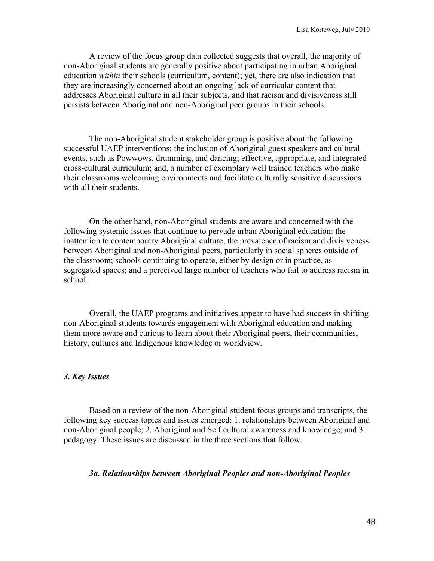A review of the focus group data collected suggests that overall, the majority of non-Aboriginal students are generally positive about participating in urban Aboriginal education *within* their schools (curriculum, content); yet, there are also indication that they are increasingly concerned about an ongoing lack of curricular content that addresses Aboriginal culture in all their subjects, and that racism and divisiveness still persists between Aboriginal and non-Aboriginal peer groups in their schools.

The non-Aboriginal student stakeholder group is positive about the following successful UAEP interventions: the inclusion of Aboriginal guest speakers and cultural events, such as Powwows, drumming, and dancing; effective, appropriate, and integrated cross-cultural curriculum; and, a number of exemplary well trained teachers who make their classrooms welcoming environments and facilitate culturally sensitive discussions with all their students.

On the other hand, non-Aboriginal students are aware and concerned with the following systemic issues that continue to pervade urban Aboriginal education: the inattention to contemporary Aboriginal culture; the prevalence of racism and divisiveness between Aboriginal and non-Aboriginal peers, particularly in social spheres outside of the classroom; schools continuing to operate, either by design or in practice, as segregated spaces; and a perceived large number of teachers who fail to address racism in school.

Overall, the UAEP programs and initiatives appear to have had success in shifting non-Aboriginal students towards engagement with Aboriginal education and making them more aware and curious to learn about their Aboriginal peers, their communities, history, cultures and Indigenous knowledge or worldview.

### *3. Key Issues*

Based on a review of the non-Aboriginal student focus groups and transcripts, the following key success topics and issues emerged: 1. relationships between Aboriginal and non-Aboriginal people; 2. Aboriginal and Self cultural awareness and knowledge; and 3. pedagogy. These issues are discussed in the three sections that follow.

### *3a. Relationships between Aboriginal Peoples and non-Aboriginal Peoples*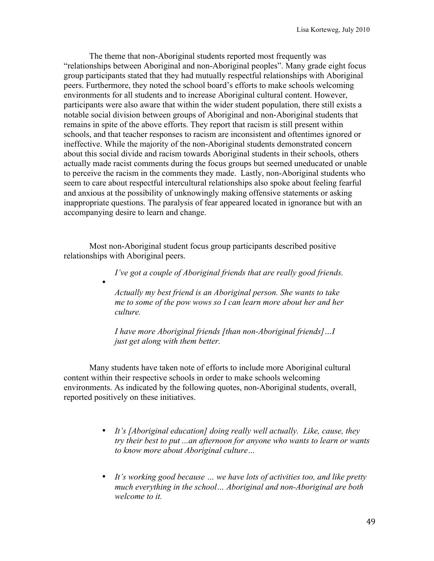The theme that non-Aboriginal students reported most frequently was "relationships between Aboriginal and non-Aboriginal peoples". Many grade eight focus group participants stated that they had mutually respectful relationships with Aboriginal peers. Furthermore, they noted the school board's efforts to make schools welcoming environments for all students and to increase Aboriginal cultural content. However, participants were also aware that within the wider student population, there still exists a notable social division between groups of Aboriginal and non-Aboriginal students that remains in spite of the above efforts. They report that racism is still present within schools, and that teacher responses to racism are inconsistent and oftentimes ignored or ineffective. While the majority of the non-Aboriginal students demonstrated concern about this social divide and racism towards Aboriginal students in their schools, others actually made racist comments during the focus groups but seemed uneducated or unable to perceive the racism in the comments they made. Lastly, non-Aboriginal students who seem to care about respectful intercultural relationships also spoke about feeling fearful and anxious at the possibility of unknowingly making offensive statements or asking inappropriate questions. The paralysis of fear appeared located in ignorance but with an accompanying desire to learn and change.

Most non-Aboriginal student focus group participants described positive relationships with Aboriginal peers.

•

*I've got a couple of Aboriginal friends that are really good friends.*

*Actually my best friend is an Aboriginal person. She wants to take me to some of the pow wows so I can learn more about her and her culture.* 

*I have more Aboriginal friends [than non-Aboriginal friends]…I just get along with them better.*

Many students have taken note of efforts to include more Aboriginal cultural content within their respective schools in order to make schools welcoming environments. As indicated by the following quotes, non-Aboriginal students, overall, reported positively on these initiatives.

- *It's [Aboriginal education] doing really well actually. Like, cause, they try their best to put ...an afternoon for anyone who wants to learn or wants to know more about Aboriginal culture…*
- *It's working good because … we have lots of activities too, and like pretty much everything in the school… Aboriginal and non-Aboriginal are both welcome to it.*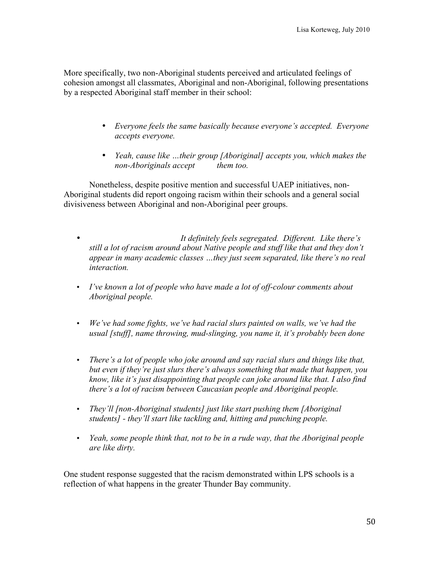More specifically, two non-Aboriginal students perceived and articulated feelings of cohesion amongst all classmates, Aboriginal and non-Aboriginal, following presentations by a respected Aboriginal staff member in their school:

- *Everyone feels the same basically because everyone's accepted. Everyone accepts everyone.*
- *Yeah, cause like …their group [Aboriginal] accepts you, which makes the non-Aboriginals accept them too.*

Nonetheless, despite positive mention and successful UAEP initiatives, non-Aboriginal students did report ongoing racism within their schools and a general social divisiveness between Aboriginal and non-Aboriginal peer groups.

- *It definitely feels segregated. Different. Like there's still a lot of racism around about Native people and stuff like that and they don't appear in many academic classes …they just seem separated, like there's no real interaction.*
- *I've known a lot of people who have made a lot of off-colour comments about Aboriginal people.*
- *We've had some fights, we've had racial slurs painted on walls, we've had the usual [stuff], name throwing, mud-slinging, you name it, it's probably been done*
- *There's a lot of people who joke around and say racial slurs and things like that, but even if they're just slurs there's always something that made that happen, you know, like it's just disappointing that people can joke around like that. I also find there's a lot of racism between Caucasian people and Aboriginal people.*
- *They'll [non-Aboriginal students] just like start pushing them [Aboriginal students] - they'll start like tackling and, hitting and punching people.*
- *Yeah, some people think that, not to be in a rude way, that the Aboriginal people are like dirty.*

One student response suggested that the racism demonstrated within LPS schools is a reflection of what happens in the greater Thunder Bay community.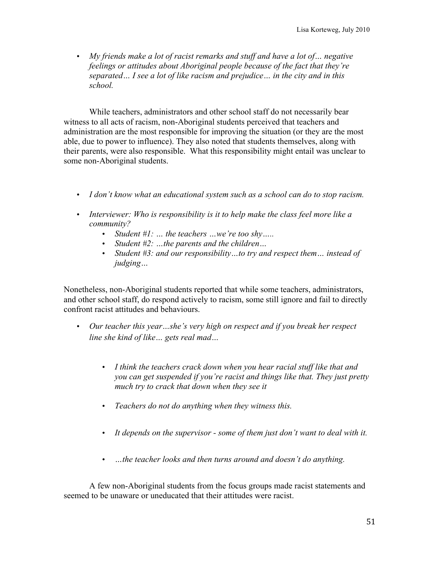• *My friends make a lot of racist remarks and stuff and have a lot of… negative feelings or attitudes about Aboriginal people because of the fact that they're separated… I see a lot of like racism and prejudice… in the city and in this school.*

While teachers, administrators and other school staff do not necessarily bear witness to all acts of racism, non-Aboriginal students perceived that teachers and administration are the most responsible for improving the situation (or they are the most able, due to power to influence). They also noted that students themselves, along with their parents, were also responsible. What this responsibility might entail was unclear to some non-Aboriginal students.

- *I don't know what an educational system such as a school can do to stop racism.*
- *Interviewer: Who is responsibility is it to help make the class feel more like a community?*
	- *Student #1: … the teachers …we're too shy…..*
	- *Student #2: …the parents and the children…*
	- *Student #3: and our responsibility…to try and respect them… instead of judging…*

Nonetheless, non-Aboriginal students reported that while some teachers, administrators, and other school staff, do respond actively to racism, some still ignore and fail to directly confront racist attitudes and behaviours.

- *Our teacher this year…she's very high on respect and if you break her respect line she kind of like… gets real mad…*
	- *I think the teachers crack down when you hear racial stuff like that and you can get suspended if you're racist and things like that. They just pretty much try to crack that down when they see it*
	- *Teachers do not do anything when they witness this.*
	- *It depends on the supervisor some of them just don't want to deal with it.*
	- *…the teacher looks and then turns around and doesn't do anything.*

A few non-Aboriginal students from the focus groups made racist statements and seemed to be unaware or uneducated that their attitudes were racist.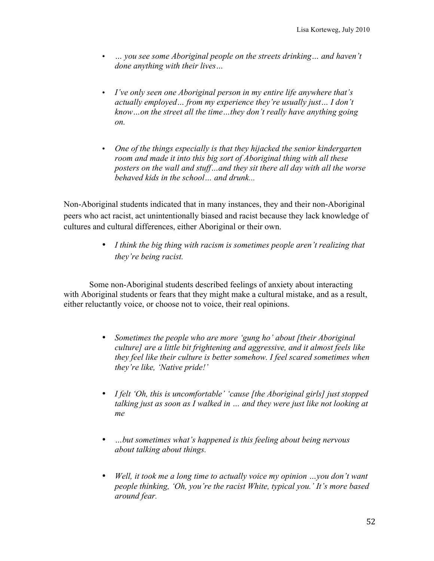- *… you see some Aboriginal people on the streets drinking… and haven't done anything with their lives…*
- *I've only seen one Aboriginal person in my entire life anywhere that's actually employed… from my experience they're usually just… I don't know…on the street all the time…they don't really have anything going on.*
- *One of the things especially is that they hijacked the senior kindergarten room and made it into this big sort of Aboriginal thing with all these posters on the wall and stuff…and they sit there all day with all the worse behaved kids in the school… and drunk...*

Non-Aboriginal students indicated that in many instances, they and their non-Aboriginal peers who act racist, act unintentionally biased and racist because they lack knowledge of cultures and cultural differences, either Aboriginal or their own.

> • *I think the big thing with racism is sometimes people aren't realizing that they're being racist.*

Some non-Aboriginal students described feelings of anxiety about interacting with Aboriginal students or fears that they might make a cultural mistake, and as a result, either reluctantly voice, or choose not to voice, their real opinions.

- *Sometimes the people who are more 'gung ho' about [their Aboriginal culture] are a little bit frightening and aggressive, and it almost feels like they feel like their culture is better somehow. I feel scared sometimes when they're like, 'Native pride!'*
- *I felt 'Oh, this is uncomfortable' 'cause [the Aboriginal girls] just stopped talking just as soon as I walked in … and they were just like not looking at me*
- *…but sometimes what's happened is this feeling about being nervous about talking about things.*
- *Well, it took me a long time to actually voice my opinion …you don't want people thinking, 'Oh, you're the racist White, typical you.' It's more based around fear.*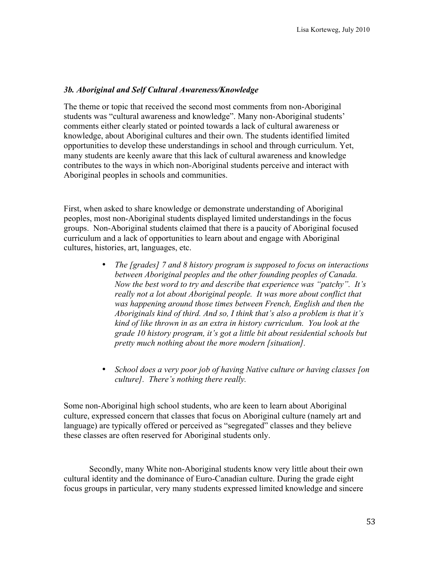### *3b. Aboriginal and Self Cultural Awareness/Knowledge*

The theme or topic that received the second most comments from non-Aboriginal students was "cultural awareness and knowledge". Many non-Aboriginal students' comments either clearly stated or pointed towards a lack of cultural awareness or knowledge, about Aboriginal cultures and their own. The students identified limited opportunities to develop these understandings in school and through curriculum. Yet, many students are keenly aware that this lack of cultural awareness and knowledge contributes to the ways in which non-Aboriginal students perceive and interact with Aboriginal peoples in schools and communities.

First, when asked to share knowledge or demonstrate understanding of Aboriginal peoples, most non-Aboriginal students displayed limited understandings in the focus groups. Non-Aboriginal students claimed that there is a paucity of Aboriginal focused curriculum and a lack of opportunities to learn about and engage with Aboriginal cultures, histories, art, languages, etc.

- *The [grades] 7 and 8 history program is supposed to focus on interactions between Aboriginal peoples and the other founding peoples of Canada. Now the best word to try and describe that experience was "patchy". It's really not a lot about Aboriginal people. It was more about conflict that was happening around those times between French, English and then the Aboriginals kind of third. And so, I think that's also a problem is that it's kind of like thrown in as an extra in history curriculum. You look at the grade 10 history program, it's got a little bit about residential schools but pretty much nothing about the more modern [situation].*
- *School does a very poor job of having Native culture or having classes [on culture]. There's nothing there really.*

Some non-Aboriginal high school students, who are keen to learn about Aboriginal culture, expressed concern that classes that focus on Aboriginal culture (namely art and language) are typically offered or perceived as "segregated" classes and they believe these classes are often reserved for Aboriginal students only.

Secondly, many White non-Aboriginal students know very little about their own cultural identity and the dominance of Euro-Canadian culture. During the grade eight focus groups in particular, very many students expressed limited knowledge and sincere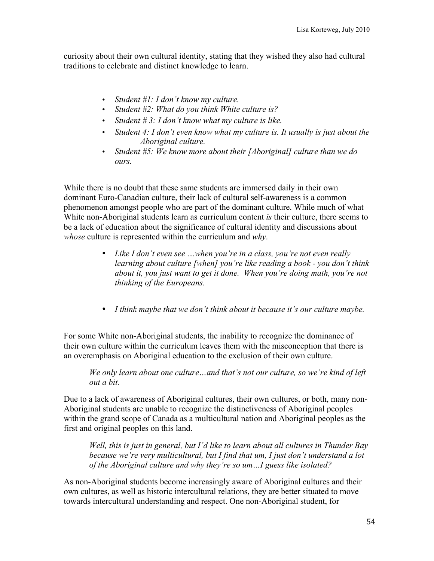curiosity about their own cultural identity, stating that they wished they also had cultural traditions to celebrate and distinct knowledge to learn.

- *Student #1: I don't know my culture.*
- *Student #2: What do you think White culture is?*
- *Student # 3: I don't know what my culture is like.*
- *Student 4: I don't even know what my culture is. It usually is just about the Aboriginal culture.*
- *Student #5: We know more about their [Aboriginal] culture than we do ours.*

While there is no doubt that these same students are immersed daily in their own dominant Euro-Canadian culture, their lack of cultural self-awareness is a common phenomenon amongst people who are part of the dominant culture. While much of what White non-Aboriginal students learn as curriculum content *is* their culture, there seems to be a lack of education about the significance of cultural identity and discussions about *whose* culture is represented within the curriculum and *why*.

- *Like I don't even see …when you're in a class, you're not even really learning about culture [when] you're like reading a book - you don't think about it, you just want to get it done. When you're doing math, you're not thinking of the Europeans.*
- *I think maybe that we don't think about it because it's our culture maybe.*

For some White non-Aboriginal students, the inability to recognize the dominance of their own culture within the curriculum leaves them with the misconception that there is an overemphasis on Aboriginal education to the exclusion of their own culture.

*We only learn about one culture…and that's not our culture, so we're kind of left out a bit.*

Due to a lack of awareness of Aboriginal cultures, their own cultures, or both, many non-Aboriginal students are unable to recognize the distinctiveness of Aboriginal peoples within the grand scope of Canada as a multicultural nation and Aboriginal peoples as the first and original peoples on this land.

*Well, this is just in general, but I'd like to learn about all cultures in Thunder Bay because we're very multicultural, but I find that um, I just don't understand a lot of the Aboriginal culture and why they're so um…I guess like isolated?* 

As non-Aboriginal students become increasingly aware of Aboriginal cultures and their own cultures, as well as historic intercultural relations, they are better situated to move towards intercultural understanding and respect. One non-Aboriginal student, for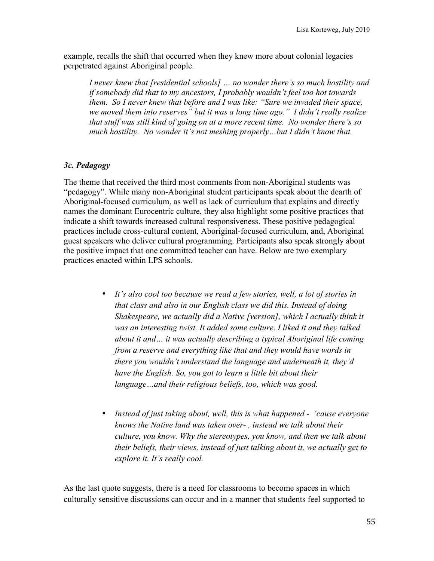example, recalls the shift that occurred when they knew more about colonial legacies perpetrated against Aboriginal people.

*I never knew that [residential schools] … no wonder there's so much hostility and if somebody did that to my ancestors, I probably wouldn't feel too hot towards them. So I never knew that before and I was like: "Sure we invaded their space, we moved them into reserves" but it was a long time ago." I didn't really realize that stuff was still kind of going on at a more recent time. No wonder there's so much hostility. No wonder it's not meshing properly…but I didn't know that.*

# *3c. Pedagogy*

The theme that received the third most comments from non-Aboriginal students was "pedagogy". While many non-Aboriginal student participants speak about the dearth of Aboriginal-focused curriculum, as well as lack of curriculum that explains and directly names the dominant Eurocentric culture, they also highlight some positive practices that indicate a shift towards increased cultural responsiveness. These positive pedagogical practices include cross-cultural content, Aboriginal-focused curriculum, and, Aboriginal guest speakers who deliver cultural programming. Participants also speak strongly about the positive impact that one committed teacher can have. Below are two exemplary practices enacted within LPS schools.

- *It's also cool too because we read a few stories, well, a lot of stories in that class and also in our English class we did this. Instead of doing Shakespeare, we actually did a Native [version], which I actually think it was an interesting twist. It added some culture. I liked it and they talked about it and… it was actually describing a typical Aboriginal life coming from a reserve and everything like that and they would have words in there you wouldn't understand the language and underneath it, they'd have the English. So, you got to learn a little bit about their language…and their religious beliefs, too, which was good.*
- *Instead of just taking about, well, this is what happened 'cause everyone knows the Native land was taken over- , instead we talk about their culture, you know. Why the stereotypes, you know, and then we talk about their beliefs, their views, instead of just talking about it, we actually get to explore it. It's really cool.*

As the last quote suggests, there is a need for classrooms to become spaces in which culturally sensitive discussions can occur and in a manner that students feel supported to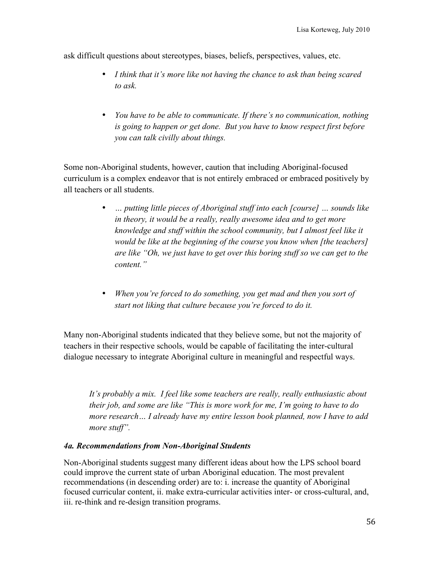ask difficult questions about stereotypes, biases, beliefs, perspectives, values, etc.

- *I think that it's more like not having the chance to ask than being scared to ask.*
- *You have to be able to communicate. If there's no communication, nothing is going to happen or get done. But you have to know respect first before you can talk civilly about things.*

Some non-Aboriginal students, however, caution that including Aboriginal-focused curriculum is a complex endeavor that is not entirely embraced or embraced positively by all teachers or all students.

- *… putting little pieces of Aboriginal stuff into each [course] … sounds like in theory, it would be a really, really awesome idea and to get more knowledge and stuff within the school community, but I almost feel like it would be like at the beginning of the course you know when [the teachers] are like "Oh, we just have to get over this boring stuff so we can get to the content."*
- *When you're forced to do something, you get mad and then you sort of start not liking that culture because you're forced to do it.*

Many non-Aboriginal students indicated that they believe some, but not the majority of teachers in their respective schools, would be capable of facilitating the inter-cultural dialogue necessary to integrate Aboriginal culture in meaningful and respectful ways.

*It's probably a mix. I feel like some teachers are really, really enthusiastic about their job, and some are like "This is more work for me, I'm going to have to do more research… I already have my entire lesson book planned, now I have to add more stuff".*

# *4a. Recommendations from Non-Aboriginal Students*

Non-Aboriginal students suggest many different ideas about how the LPS school board could improve the current state of urban Aboriginal education. The most prevalent recommendations (in descending order) are to: i. increase the quantity of Aboriginal focused curricular content, ii. make extra-curricular activities inter- or cross-cultural, and, iii. re-think and re-design transition programs.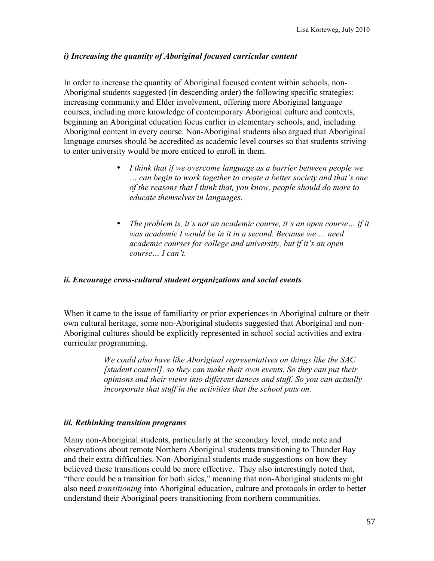# *i) Increasing the quantity of Aboriginal focused curricular content*

In order to increase the quantity of Aboriginal focused content within schools, non-Aboriginal students suggested (in descending order) the following specific strategies: increasing community and Elder involvement, offering more Aboriginal language courses, including more knowledge of contemporary Aboriginal culture and contexts, beginning an Aboriginal education focus earlier in elementary schools, and, including Aboriginal content in every course. Non-Aboriginal students also argued that Aboriginal language courses should be accredited as academic level courses so that students striving to enter university would be more enticed to enroll in them.

- *I think that if we overcome language as a barrier between people we … can begin to work together to create a better society and that's one of the reasons that I think that, you know, people should do more to educate themselves in languages.*
- *The problem is, it's not an academic course, it's an open course… if it was academic I would be in it in a second. Because we … need academic courses for college and university, but if it's an open course… I can't.*

### *ii. Encourage cross-cultural student organizations and social events*

When it came to the issue of familiarity or prior experiences in Aboriginal culture or their own cultural heritage, some non-Aboriginal students suggested that Aboriginal and non-Aboriginal cultures should be explicitly represented in school social activities and extracurricular programming.

> *We could also have like Aboriginal representatives on things like the SAC [student council], so they can make their own events. So they can put their opinions and their views into different dances and stuff. So you can actually incorporate that stuff in the activities that the school puts on.*

### *iii. Rethinking transition programs*

Many non-Aboriginal students, particularly at the secondary level, made note and observations about remote Northern Aboriginal students transitioning to Thunder Bay and their extra difficulties. Non-Aboriginal students made suggestions on how they believed these transitions could be more effective. They also interestingly noted that, "there could be a transition for both sides," meaning that non-Aboriginal students might also need *transitioning* into Aboriginal education, culture and protocols in order to better understand their Aboriginal peers transitioning from northern communities.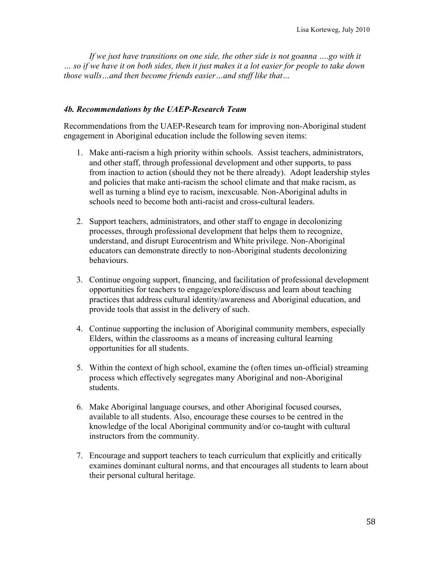If we just have transitions on one side, the other side is not goanna ....go with it *… so if we have it on both sides, then it just makes it a lot easier for people to take down those walls…and then become friends easier…and stuff like that…*

### *4b. Recommendations by the UAEP-Research Team*

Recommendations from the UAEP-Research team for improving non-Aboriginal student engagement in Aboriginal education include the following seven items:

- 1. Make anti-racism a high priority within schools. Assist teachers, administrators, and other staff, through professional development and other supports, to pass from inaction to action (should they not be there already). Adopt leadership styles and policies that make anti-racism the school climate and that make racism, as well as turning a blind eye to racism, inexcusable. Non-Aboriginal adults in schools need to become both anti-racist and cross-cultural leaders.
- 2. Support teachers, administrators, and other staff to engage in decolonizing processes, through professional development that helps them to recognize, understand, and disrupt Eurocentrism and White privilege. Non-Aboriginal educators can demonstrate directly to non-Aboriginal students decolonizing behaviours.
- 3. Continue ongoing support, financing, and facilitation of professional development opportunities for teachers to engage/explore/discuss and learn about teaching practices that address cultural identity/awareness and Aboriginal education, and provide tools that assist in the delivery of such.
- 4. Continue supporting the inclusion of Aboriginal community members, especially Elders, within the classrooms as a means of increasing cultural learning opportunities for all students.
- 5. Within the context of high school, examine the (often times un-official) streaming process which effectively segregates many Aboriginal and non-Aboriginal students.
- 6. Make Aboriginal language courses, and other Aboriginal focused courses, available to all students. Also, encourage these courses to be centred in the knowledge of the local Aboriginal community and/or co-taught with cultural instructors from the community.
- 7. Encourage and support teachers to teach curriculum that explicitly and critically examines dominant cultural norms, and that encourages all students to learn about their personal cultural heritage.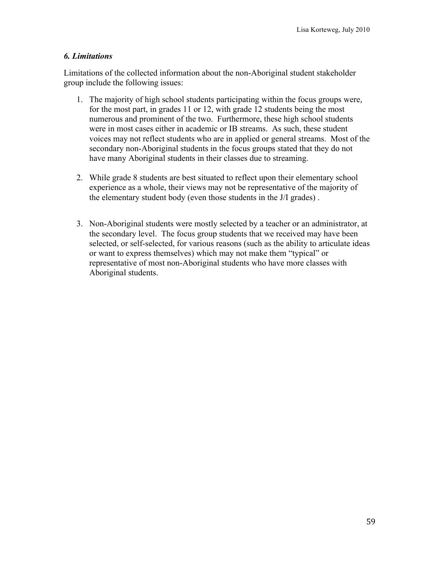# *6. Limitations*

Limitations of the collected information about the non-Aboriginal student stakeholder group include the following issues:

- 1. The majority of high school students participating within the focus groups were, for the most part, in grades 11 or 12, with grade 12 students being the most numerous and prominent of the two. Furthermore, these high school students were in most cases either in academic or IB streams. As such, these student voices may not reflect students who are in applied or general streams. Most of the secondary non-Aboriginal students in the focus groups stated that they do not have many Aboriginal students in their classes due to streaming.
- 2. While grade 8 students are best situated to reflect upon their elementary school experience as a whole, their views may not be representative of the majority of the elementary student body (even those students in the J/I grades) .
- 3. Non-Aboriginal students were mostly selected by a teacher or an administrator, at the secondary level. The focus group students that we received may have been selected, or self-selected, for various reasons (such as the ability to articulate ideas or want to express themselves) which may not make them "typical" or representative of most non-Aboriginal students who have more classes with Aboriginal students.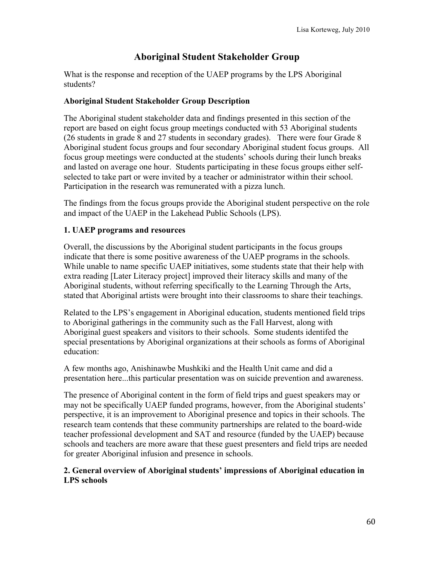# **Aboriginal Student Stakeholder Group**

What is the response and reception of the UAEP programs by the LPS Aboriginal students?

# **Aboriginal Student Stakeholder Group Description**

The Aboriginal student stakeholder data and findings presented in this section of the report are based on eight focus group meetings conducted with 53 Aboriginal students (26 students in grade 8 and 27 students in secondary grades). There were four Grade 8 Aboriginal student focus groups and four secondary Aboriginal student focus groups. All focus group meetings were conducted at the students' schools during their lunch breaks and lasted on average one hour. Students participating in these focus groups either selfselected to take part or were invited by a teacher or administrator within their school. Participation in the research was remunerated with a pizza lunch.

The findings from the focus groups provide the Aboriginal student perspective on the role and impact of the UAEP in the Lakehead Public Schools (LPS).

# **1. UAEP programs and resources**

Overall, the discussions by the Aboriginal student participants in the focus groups indicate that there is some positive awareness of the UAEP programs in the schools. While unable to name specific UAEP initiatives, some students state that their help with extra reading [Later Literacy project] improved their literacy skills and many of the Aboriginal students, without referring specifically to the Learning Through the Arts, stated that Aboriginal artists were brought into their classrooms to share their teachings.

Related to the LPS's engagement in Aboriginal education, students mentioned field trips to Aboriginal gatherings in the community such as the Fall Harvest, along with Aboriginal guest speakers and visitors to their schools. Some students identifed the special presentations by Aboriginal organizations at their schools as forms of Aboriginal education:

A few months ago, Anishinawbe Mushkiki and the Health Unit came and did a presentation here...this particular presentation was on suicide prevention and awareness.

The presence of Aboriginal content in the form of field trips and guest speakers may or may not be specifically UAEP funded programs, however, from the Aboriginal students' perspective, it is an improvement to Aboriginal presence and topics in their schools. The research team contends that these community partnerships are related to the board-wide teacher professional development and SAT and resource (funded by the UAEP) because schools and teachers are more aware that these guest presenters and field trips are needed for greater Aboriginal infusion and presence in schools.

# **2. General overview of Aboriginal students' impressions of Aboriginal education in LPS schools**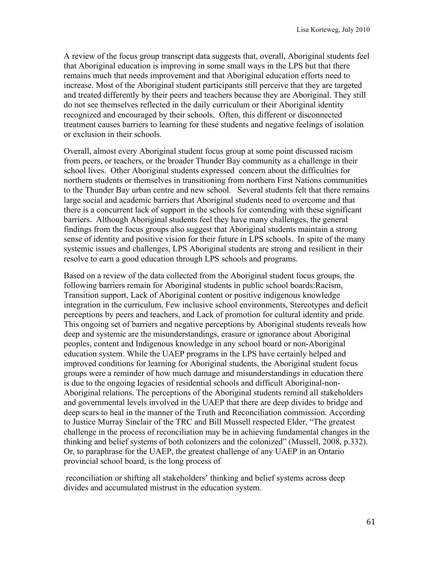A review of the focus group transcript data suggests that, overall, Aboriginal students feel that Aboriginal education is improving in some small ways in the LPS but that there remains much that needs improvement and that Aboriginal education efforts need to increase. Most of the Aboriginal student participants still perceive that they are targeted and treated differently by their peers and teachers because they are Aboriginal. They still do not see themselves reflected in the daily curriculum or their Aboriginal identity recognized and encouraged by their schools. Often, this different or disconnected treatment causes barriers to learning for these students and negative feelings of isolation or exclusion in their schools.

Overall, almost every Aboriginal student focus group at some point discussed racism from peers, or teachers, or the broader Thunder Bay community as a challenge in their school lives. Other Aboriginal students expressed concern about the difficulties for northern students or themselves in transitioning from northern First Nations communities to the Thunder Bay urban centre and new school. Several students felt that there remains large social and academic barriers that Aboriginal students need to overcome and that there is a concurrent lack of support in the schools for contending with these significant barriers. Although Aboriginal students feel they have many challenges, the general findings from the focus groups also suggest that Aboriginal students maintain a strong sense of identity and positive vision for their future in LPS schools. In spite of the many systemic issues and challenges, LPS Aboriginal students are strong and resilient in their resolve to earn a good education through LPS schools and programs.

Based on a review of the data collected from the Aboriginal student focus groups, the following barriers remain for Aboriginal students in public school boards:Racism, Transition support, Lack of Aboriginal content or positive indigenous knowledge integration in the curriculum, Few inclusive school environments, Stereotypes and deficit perceptions by peers and teachers, and Lack of promotion for cultural identity and pride. This ongoing set of barriers and negative perceptions by Aboriginal students reveals how deep and systemic are the misunderstandings, erasure or ignorance about Aboriginal peoples, content and Indigenous knowledge in any school board or non-Aboriginal education system. While the UAEP programs in the LPS have certainly helped and improved conditions for learning for Aboriginal students, the Aboriginal student focus groups were a reminder of how much damage and misunderstandings in education there is due to the ongoing legacies of residential schools and difficult Aboriginal-non-Aboriginal relations. The perceptions of the Aboriginal students remind all stakeholders and governmental levels involved in the UAEP that there are deep divides to bridge and deep scars to heal in the manner of the Truth and Reconciliation commission. According to Justice Murray Sinclair of the TRC and Bill Mussell respected Elder, "The greatest challenge in the process of reconciliation may be in achieving fundamental changes in the thinking and belief systems of both colonizers and the colonized" (Mussell, 2008, p.332). Or, to paraphrase for the UAEP, the greatest challenge of any UAEP in an Ontario provincial school board, is the long process of

 reconciliation or shifting all stakeholders' thinking and belief systems across deep divides and accumulated mistrust in the education system.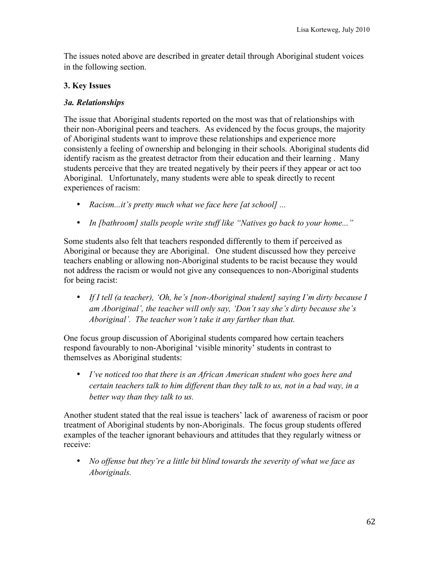The issues noted above are described in greater detail through Aboriginal student voices in the following section.

# **3. Key Issues**

# *3a. Relationships*

The issue that Aboriginal students reported on the most was that of relationships with their non-Aboriginal peers and teachers. As evidenced by the focus groups, the majority of Aboriginal students want to improve these relationships and experience more consistenly a feeling of ownership and belonging in their schools. Aboriginal students did identify racism as the greatest detractor from their education and their learning . Many students perceive that they are treated negatively by their peers if they appear or act too Aboriginal. Unfortunately, many students were able to speak directly to recent experiences of racism:

- *Racism...it's pretty much what we face here [at school] ...*
- *In [bathroom] stalls people write stuff like "Natives go back to your home..."*

Some students also felt that teachers responded differently to them if perceived as Aboriginal or because they are Aboriginal. One student discussed how they perceive teachers enabling or allowing non-Aboriginal students to be racist because they would not address the racism or would not give any consequences to non-Aboriginal students for being racist:

• *If I tell (a teacher), 'Oh, he's [non-Aboriginal student] saying I'm dirty because I am Aboriginal', the teacher will only say, 'Don't say she's dirty because she's Aboriginal'. The teacher won't take it any farther than that.*

One focus group discussion of Aboriginal students compared how certain teachers respond favourably to non-Aboriginal 'visible minority' students in contrast to themselves as Aboriginal students:

• *I've noticed too that there is an African American student who goes here and certain teachers talk to him different than they talk to us, not in a bad way, in a better way than they talk to us.*

Another student stated that the real issue is teachers' lack of awareness of racism or poor treatment of Aboriginal students by non-Aboriginals. The focus group students offered examples of the teacher ignorant behaviours and attitudes that they regularly witness or receive:

• *No offense but they're a little bit blind towards the severity of what we face as Aboriginals.*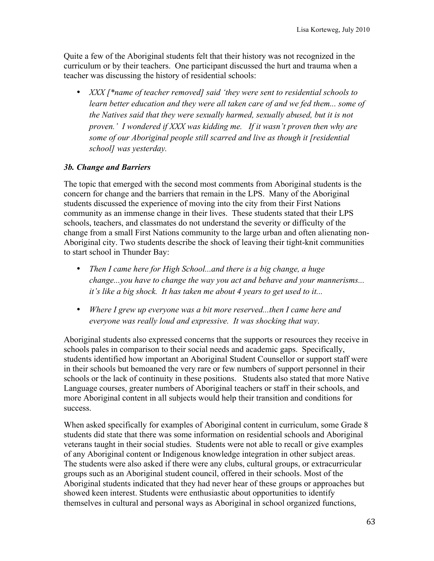Quite a few of the Aboriginal students felt that their history was not recognized in the curriculum or by their teachers. One participant discussed the hurt and trauma when a teacher was discussing the history of residential schools:

• *XXX [\*name of teacher removed] said 'they were sent to residential schools to learn better education and they were all taken care of and we fed them... some of the Natives said that they were sexually harmed, sexually abused, but it is not proven.' I wondered if XXX was kidding me. If it wasn't proven then why are some of our Aboriginal people still scarred and live as though it [residential school] was yesterday.* 

# *3b. Change and Barriers*

The topic that emerged with the second most comments from Aboriginal students is the concern for change and the barriers that remain in the LPS. Many of the Aboriginal students discussed the experience of moving into the city from their First Nations community as an immense change in their lives. These students stated that their LPS schools, teachers, and classmates do not understand the severity or difficulty of the change from a small First Nations community to the large urban and often alienating non-Aboriginal city. Two students describe the shock of leaving their tight-knit communities to start school in Thunder Bay:

- *Then I came here for High School...and there is a big change, a huge change...you have to change the way you act and behave and your mannerisms... it's like a big shock. It has taken me about 4 years to get used to it...*
- *Where I grew up everyone was a bit more reserved...then I came here and everyone was really loud and expressive. It was shocking that way*.

Aboriginal students also expressed concerns that the supports or resources they receive in schools pales in comparison to their social needs and academic gaps. Specifically, students identified how important an Aboriginal Student Counsellor or support staff were in their schools but bemoaned the very rare or few numbers of support personnel in their schools or the lack of continuity in these positions. Students also stated that more Native Language courses, greater numbers of Aboriginal teachers or staff in their schools, and more Aboriginal content in all subjects would help their transition and conditions for success.

When asked specifically for examples of Aboriginal content in curriculum, some Grade 8 students did state that there was some information on residential schools and Aboriginal veterans taught in their social studies. Students were not able to recall or give examples of any Aboriginal content or Indigenous knowledge integration in other subject areas. The students were also asked if there were any clubs, cultural groups, or extracurricular groups such as an Aboriginal student council, offered in their schools. Most of the Aboriginal students indicated that they had never hear of these groups or approaches but showed keen interest. Students were enthusiastic about opportunities to identify themselves in cultural and personal ways as Aboriginal in school organized functions,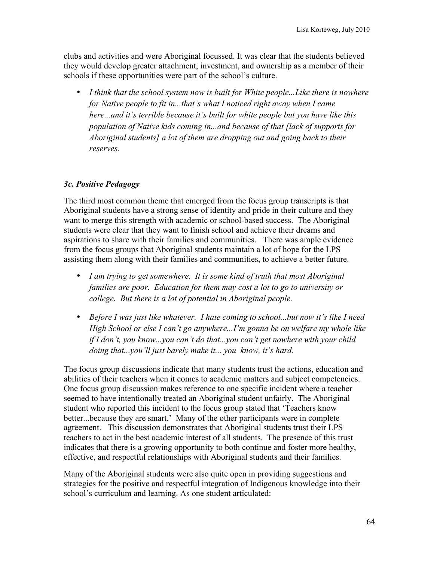clubs and activities and were Aboriginal focussed. It was clear that the students believed they would develop greater attachment, investment, and ownership as a member of their schools if these opportunities were part of the school's culture.

• *I think that the school system now is built for White people...Like there is nowhere for Native people to fit in...that's what I noticed right away when I came here...and it's terrible because it's built for white people but you have like this population of Native kids coming in...and because of that [lack of supports for Aboriginal students] a lot of them are dropping out and going back to their reserves.*

# *3c. Positive Pedagogy*

The third most common theme that emerged from the focus group transcripts is that Aboriginal students have a strong sense of identity and pride in their culture and they want to merge this strength with academic or school-based success. The Aboriginal students were clear that they want to finish school and achieve their dreams and aspirations to share with their families and communities. There was ample evidence from the focus groups that Aboriginal students maintain a lot of hope for the LPS assisting them along with their families and communities, to achieve a better future.

- *I am trying to get somewhere. It is some kind of truth that most Aboriginal families are poor. Education for them may cost a lot to go to university or college. But there is a lot of potential in Aboriginal people.*
- *Before I was just like whatever. I hate coming to school...but now it's like I need High School or else I can't go anywhere...I'm gonna be on welfare my whole like if I don't, you know...you can't do that...you can't get nowhere with your child doing that...you'll just barely make it... you know, it's hard.*

The focus group discussions indicate that many students trust the actions, education and abilities of their teachers when it comes to academic matters and subject competencies. One focus group discussion makes reference to one specific incident where a teacher seemed to have intentionally treated an Aboriginal student unfairly. The Aboriginal student who reported this incident to the focus group stated that 'Teachers know better...because they are smart.' Many of the other participants were in complete agreement. This discussion demonstrates that Aboriginal students trust their LPS teachers to act in the best academic interest of all students. The presence of this trust indicates that there is a growing opportunity to both continue and foster more healthy, effective, and respectful relationships with Aboriginal students and their families.

Many of the Aboriginal students were also quite open in providing suggestions and strategies for the positive and respectful integration of Indigenous knowledge into their school's curriculum and learning. As one student articulated: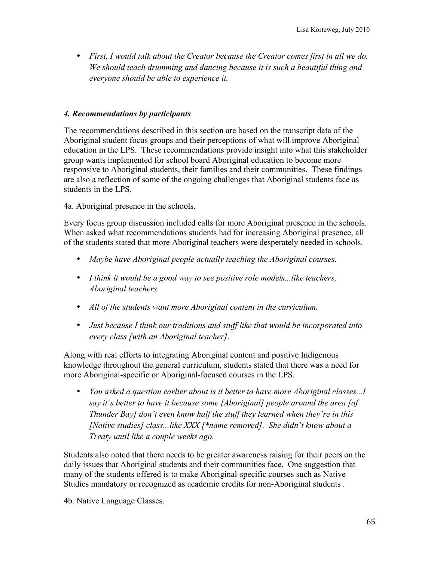• *First, I would talk about the Creator because the Creator comes first in all we do. We should teach drumming and dancing because it is such a beautiful thing and everyone should be able to experience it.*

# *4. Recommendations by participants*

The recommendations described in this section are based on the transcript data of the Aboriginal student focus groups and their perceptions of what will improve Aboriginal education in the LPS. These recommendations provide insight into what this stakeholder group wants implemented for school board Aboriginal education to become more responsive to Aboriginal students, their families and their communities. These findings are also a reflection of some of the ongoing challenges that Aboriginal students face as students in the LPS.

4a. Aboriginal presence in the schools.

Every focus group discussion included calls for more Aboriginal presence in the schools. When asked what recommendations students had for increasing Aboriginal presence, all of the students stated that more Aboriginal teachers were desperately needed in schools.

- *Maybe have Aboriginal people actually teaching the Aboriginal courses.*
- *I think it would be a good way to see positive role models...like teachers, Aboriginal teachers.*
- *All of the students want more Aboriginal content in the curriculum.*
- *Just because I think our traditions and stuff like that would be incorporated into every class [with an Aboriginal teacher].*

Along with real efforts to integrating Aboriginal content and positive Indigenous knowledge throughout the general curriculum, students stated that there was a need for more Aboriginal-specific or Aboriginal-focused courses in the LPS.

• *You asked a question earlier about is it better to have more Aboriginal classes...I say it's better to have it because some [Aboriginal] people around the area [of Thunder Bay] don't even know half the stuff they learned when they're in this [Native studies] class...like XXX [\*name removed]. She didn't know about a Treaty until like a couple weeks ago.*

Students also noted that there needs to be greater awareness raising for their peers on the daily issues that Aboriginal students and their communities face. One suggestion that many of the students offered is to make Aboriginal-specific courses such as Native Studies mandatory or recognized as academic credits for non-Aboriginal students .

4b. Native Language Classes.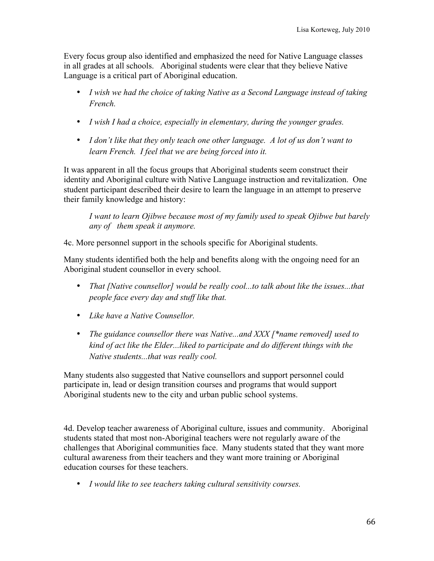Every focus group also identified and emphasized the need for Native Language classes in all grades at all schools. Aboriginal students were clear that they believe Native Language is a critical part of Aboriginal education.

- *I wish we had the choice of taking Native as a Second Language instead of taking French.*
- *I wish I had a choice, especially in elementary, during the younger grades.*
- *I don't like that they only teach one other language. A lot of us don't want to learn French. I feel that we are being forced into it.*

It was apparent in all the focus groups that Aboriginal students seem construct their identity and Aboriginal culture with Native Language instruction and revitalization. One student participant described their desire to learn the language in an attempt to preserve their family knowledge and history:

*I want to learn Ojibwe because most of my family used to speak Ojibwe but barely any of them speak it anymore.*

4c. More personnel support in the schools specific for Aboriginal students.

Many students identified both the help and benefits along with the ongoing need for an Aboriginal student counsellor in every school.

- *That [Native counsellor] would be really cool...to talk about like the issues...that people face every day and stuff like that.*
- *Like have a Native Counsellor.*
- *The guidance counsellor there was Native...and XXX [\*name removed] used to kind of act like the Elder...liked to participate and do different things with the Native students...that was really cool.*

Many students also suggested that Native counsellors and support personnel could participate in, lead or design transition courses and programs that would support Aboriginal students new to the city and urban public school systems.

4d. Develop teacher awareness of Aboriginal culture, issues and community. Aboriginal students stated that most non-Aboriginal teachers were not regularly aware of the challenges that Aboriginal communities face. Many students stated that they want more cultural awareness from their teachers and they want more training or Aboriginal education courses for these teachers.

• *I would like to see teachers taking cultural sensitivity courses.*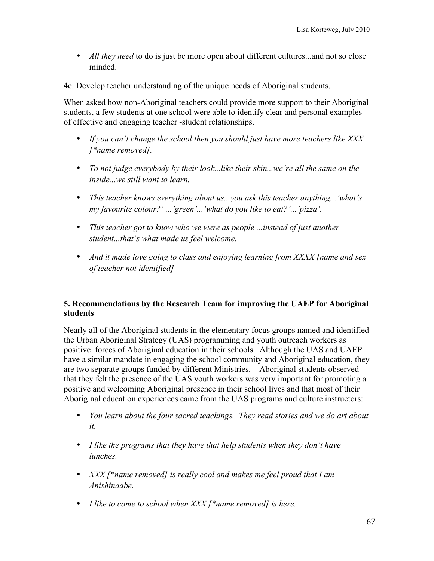- *All they need* to do is just be more open about different cultures...and not so close minded.
- 4e. Develop teacher understanding of the unique needs of Aboriginal students.

When asked how non-Aboriginal teachers could provide more support to their Aboriginal students, a few students at one school were able to identify clear and personal examples of effective and engaging teacher -student relationships.

- *If you can't change the school then you should just have more teachers like XXX [\*name removed].*
- *To not judge everybody by their look...like their skin...we're all the same on the inside...we still want to learn.*
- *This teacher knows everything about us...you ask this teacher anything...'what's my favourite colour?' ...'green'...'what do you like to eat?'...'pizza'.*
- *This teacher got to know who we were as people ...instead of just another student...that's what made us feel welcome.*
- *And it made love going to class and enjoying learning from XXXX [name and sex of teacher not identified]*

# **5. Recommendations by the Research Team for improving the UAEP for Aboriginal students**

Nearly all of the Aboriginal students in the elementary focus groups named and identified the Urban Aboriginal Strategy (UAS) programming and youth outreach workers as positive forces of Aboriginal education in their schools. Although the UAS and UAEP have a similar mandate in engaging the school community and Aboriginal education, they are two separate groups funded by different Ministries. Aboriginal students observed that they felt the presence of the UAS youth workers was very important for promoting a positive and welcoming Aboriginal presence in their school lives and that most of their Aboriginal education experiences came from the UAS programs and culture instructors:

- *You learn about the four sacred teachings. They read stories and we do art about it.*
- *I like the programs that they have that help students when they don't have lunches.*
- *XXX [\*name removed] is really cool and makes me feel proud that I am Anishinaabe.*
- *I like to come to school when XXX [\*name removed] is here.*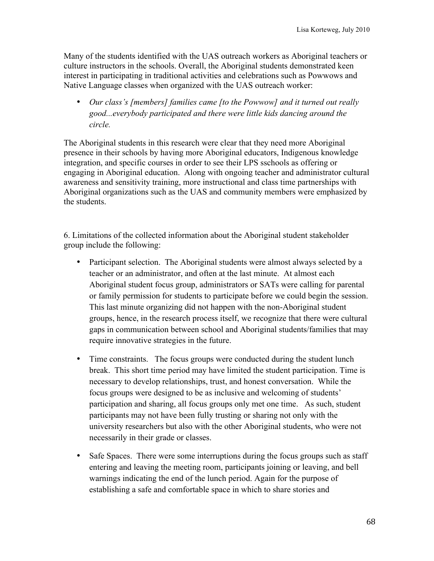Many of the students identified with the UAS outreach workers as Aboriginal teachers or culture instructors in the schools. Overall, the Aboriginal students demonstrated keen interest in participating in traditional activities and celebrations such as Powwows and Native Language classes when organized with the UAS outreach worker:

• *Our class's [members] families came [to the Powwow] and it turned out really good...everybody participated and there were little kids dancing around the circle.*

The Aboriginal students in this research were clear that they need more Aboriginal presence in their schools by having more Aboriginal educators, Indigenous knowledge integration, and specific courses in order to see their LPS sschools as offering or engaging in Aboriginal education. Along with ongoing teacher and administrator cultural awareness and sensitivity training, more instructional and class time partnerships with Aboriginal organizations such as the UAS and community members were emphasized by the students.

6. Limitations of the collected information about the Aboriginal student stakeholder group include the following:

- Participant selection. The Aboriginal students were almost always selected by a teacher or an administrator, and often at the last minute. At almost each Aboriginal student focus group, administrators or SATs were calling for parental or family permission for students to participate before we could begin the session. This last minute organizing did not happen with the non-Aboriginal student groups, hence, in the research process itself, we recognize that there were cultural gaps in communication between school and Aboriginal students/families that may require innovative strategies in the future.
- Time constraints. The focus groups were conducted during the student lunch break. This short time period may have limited the student participation. Time is necessary to develop relationships, trust, and honest conversation. While the focus groups were designed to be as inclusive and welcoming of students' participation and sharing, all focus groups only met one time. As such, student participants may not have been fully trusting or sharing not only with the university researchers but also with the other Aboriginal students, who were not necessarily in their grade or classes.
- Safe Spaces. There were some interruptions during the focus groups such as staff entering and leaving the meeting room, participants joining or leaving, and bell warnings indicating the end of the lunch period. Again for the purpose of establishing a safe and comfortable space in which to share stories and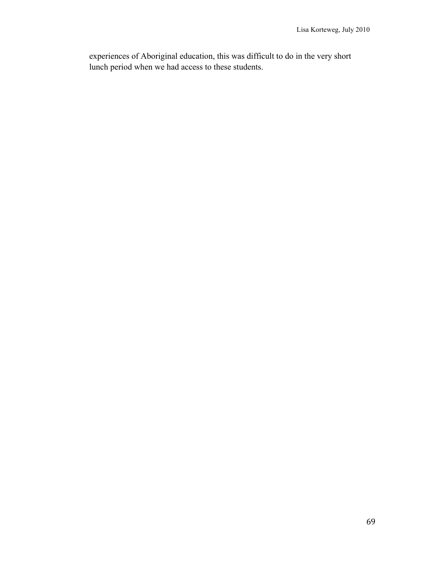experiences of Aboriginal education, this was difficult to do in the very short lunch period when we had access to these students.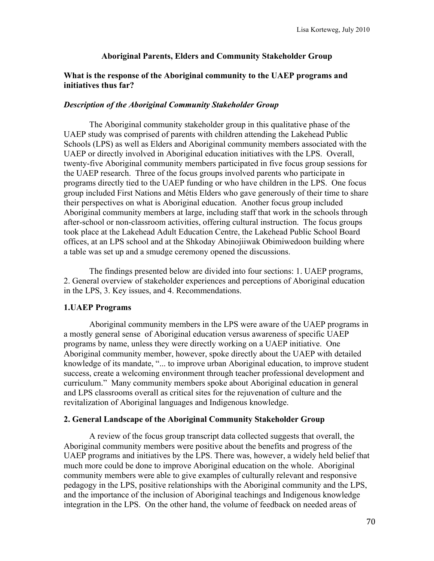## **Aboriginal Parents, Elders and Community Stakeholder Group**

### **What is the response of the Aboriginal community to the UAEP programs and initiatives thus far?**

### *Description of the Aboriginal Community Stakeholder Group*

The Aboriginal community stakeholder group in this qualitative phase of the UAEP study was comprised of parents with children attending the Lakehead Public Schools (LPS) as well as Elders and Aboriginal community members associated with the UAEP or directly involved in Aboriginal education initiatives with the LPS. Overall, twenty-five Aboriginal community members participated in five focus group sessions for the UAEP research. Three of the focus groups involved parents who participate in programs directly tied to the UAEP funding or who have children in the LPS. One focus group included First Nations and Métis Elders who gave generously of their time to share their perspectives on what is Aboriginal education. Another focus group included Aboriginal community members at large, including staff that work in the schools through after-school or non-classroom activities, offering cultural instruction. The focus groups took place at the Lakehead Adult Education Centre, the Lakehead Public School Board offices, at an LPS school and at the Shkoday Abinojiiwak Obimiwedoon building where a table was set up and a smudge ceremony opened the discussions.

The findings presented below are divided into four sections: 1. UAEP programs, 2. General overview of stakeholder experiences and perceptions of Aboriginal education in the LPS, 3. Key issues, and 4. Recommendations.

### **1.UAEP Programs**

Aboriginal community members in the LPS were aware of the UAEP programs in a mostly general sense of Aboriginal education versus awareness of specific UAEP programs by name, unless they were directly working on a UAEP initiative. One Aboriginal community member, however, spoke directly about the UAEP with detailed knowledge of its mandate, "... to improve urban Aboriginal education, to improve student success, create a welcoming environment through teacher professional development and curriculum." Many community members spoke about Aboriginal education in general and LPS classrooms overall as critical sites for the rejuvenation of culture and the revitalization of Aboriginal languages and Indigenous knowledge.

### **2. General Landscape of the Aboriginal Community Stakeholder Group**

A review of the focus group transcript data collected suggests that overall, the Aboriginal community members were positive about the benefits and progress of the UAEP programs and initiatives by the LPS. There was, however, a widely held belief that much more could be done to improve Aboriginal education on the whole. Aboriginal community members were able to give examples of culturally relevant and responsive pedagogy in the LPS, positive relationships with the Aboriginal community and the LPS, and the importance of the inclusion of Aboriginal teachings and Indigenous knowledge integration in the LPS. On the other hand, the volume of feedback on needed areas of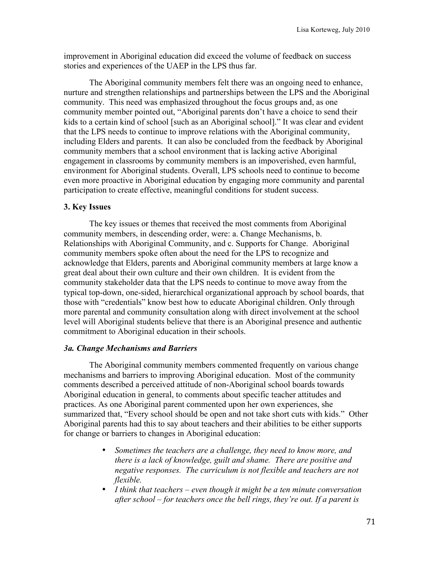improvement in Aboriginal education did exceed the volume of feedback on success stories and experiences of the UAEP in the LPS thus far.

The Aboriginal community members felt there was an ongoing need to enhance, nurture and strengthen relationships and partnerships between the LPS and the Aboriginal community. This need was emphasized throughout the focus groups and, as one community member pointed out, "Aboriginal parents don't have a choice to send their kids to a certain kind of school [such as an Aboriginal school]." It was clear and evident that the LPS needs to continue to improve relations with the Aboriginal community, including Elders and parents. It can also be concluded from the feedback by Aboriginal community members that a school environment that is lacking active Aboriginal engagement in classrooms by community members is an impoverished, even harmful, environment for Aboriginal students. Overall, LPS schools need to continue to become even more proactive in Aboriginal education by engaging more community and parental participation to create effective, meaningful conditions for student success.

### **3. Key Issues**

The key issues or themes that received the most comments from Aboriginal community members, in descending order, were: a. Change Mechanisms, b. Relationships with Aboriginal Community, and c. Supports for Change. Aboriginal community members spoke often about the need for the LPS to recognize and acknowledge that Elders, parents and Aboriginal community members at large know a great deal about their own culture and their own children. It is evident from the community stakeholder data that the LPS needs to continue to move away from the typical top-down, one-sided, hierarchical organizational approach by school boards, that those with "credentials" know best how to educate Aboriginal children. Only through more parental and community consultation along with direct involvement at the school level will Aboriginal students believe that there is an Aboriginal presence and authentic commitment to Aboriginal education in their schools.

### *3a. Change Mechanisms and Barriers*

The Aboriginal community members commented frequently on various change mechanisms and barriers to improving Aboriginal education. Most of the community comments described a perceived attitude of non-Aboriginal school boards towards Aboriginal education in general, to comments about specific teacher attitudes and practices. As one Aboriginal parent commented upon her own experiences, she summarized that, "Every school should be open and not take short cuts with kids." Other Aboriginal parents had this to say about teachers and their abilities to be either supports for change or barriers to changes in Aboriginal education:

- *Sometimes the teachers are a challenge, they need to know more, and there is a lack of knowledge, guilt and shame. There are positive and negative responses. The curriculum is not flexible and teachers are not flexible.*
- *I think that teachers even though it might be a ten minute conversation after school – for teachers once the bell rings, they're out. If a parent is*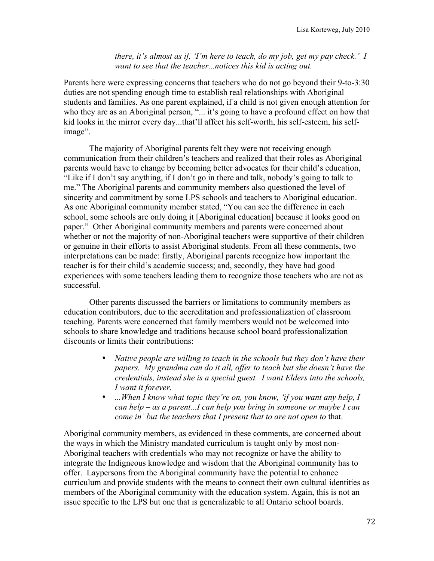*there, it's almost as if, 'I'm here to teach, do my job, get my pay check.' I want to see that the teacher...notices this kid is acting out.*

Parents here were expressing concerns that teachers who do not go beyond their 9-to-3:30 duties are not spending enough time to establish real relationships with Aboriginal students and families. As one parent explained, if a child is not given enough attention for who they are as an Aboriginal person, "... it's going to have a profound effect on how that kid looks in the mirror every day...that'll affect his self-worth, his self-esteem, his selfimage".

The majority of Aboriginal parents felt they were not receiving enough communication from their children's teachers and realized that their roles as Aboriginal parents would have to change by becoming better advocates for their child's education, "Like if I don't say anything, if I don't go in there and talk, nobody's going to talk to me." The Aboriginal parents and community members also questioned the level of sincerity and commitment by some LPS schools and teachers to Aboriginal education. As one Aboriginal community member stated, "You can see the difference in each school, some schools are only doing it [Aboriginal education] because it looks good on paper." Other Aboriginal community members and parents were concerned about whether or not the majority of non-Aboriginal teachers were supportive of their children or genuine in their efforts to assist Aboriginal students. From all these comments, two interpretations can be made: firstly, Aboriginal parents recognize how important the teacher is for their child's academic success; and, secondly, they have had good experiences with some teachers leading them to recognize those teachers who are not as successful.

Other parents discussed the barriers or limitations to community members as education contributors, due to the accreditation and professionalization of classroom teaching. Parents were concerned that family members would not be welcomed into schools to share knowledge and traditions because school board professionalization discounts or limits their contributions:

- *Native people are willing to teach in the schools but they don't have their papers. My grandma can do it all, offer to teach but she doesn't have the credentials, instead she is a special guest. I want Elders into the schools, I want it forever.*
- *...When I know what topic they're on, you know, 'if you want any help, I can help – as a parent...I can help you bring in someone or maybe I can come in' but the teachers that I present that to are not open to* that.

Aboriginal community members, as evidenced in these comments, are concerned about the ways in which the Ministry mandated curriculum is taught only by most non-Aboriginal teachers with credentials who may not recognize or have the ability to integrate the Indigneous knowledge and wisdom that the Aboriginal community has to offer. Laypersons from the Aboriginal community have the potential to enhance curriculum and provide students with the means to connect their own cultural identities as members of the Aboriginal community with the education system. Again, this is not an issue specific to the LPS but one that is generalizable to all Ontario school boards.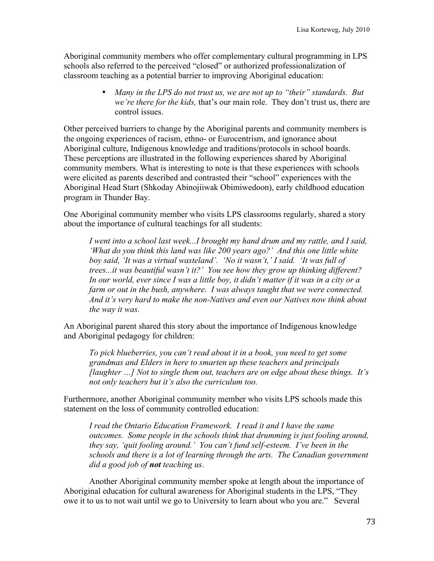Aboriginal community members who offer complementary cultural programming in LPS schools also referred to the perceived "closed" or authorized professionalization of classroom teaching as a potential barrier to improving Aboriginal education:

> • *Many in the LPS do not trust us, we are not up to "their" standards. But we're there for the kids,* that's our main role. They don't trust us, there are control issues.

Other perceived barriers to change by the Aboriginal parents and community members is the ongoing experiences of racism, ethno- or Eurocentrism, and ignorance about Aboriginal culture, Indigenous knowledge and traditions/protocols in school boards. These perceptions are illustrated in the following experiences shared by Aboriginal community members. What is interesting to note is that these experiences with schools were elicited as parents described and contrasted their "school" experiences with the Aboriginal Head Start (Shkoday Abinojiiwak Obimiwedoon), early childhood education program in Thunder Bay.

One Aboriginal community member who visits LPS classrooms regularly, shared a story about the importance of cultural teachings for all students:

*I went into a school last week...I brought my hand drum and my rattle, and I said, 'What do you think this land was like 200 years ago?' And this one little white boy said, 'It was a virtual wasteland'. 'No it wasn't,' I said. 'It was full of trees...it was beautiful wasn't it?' You see how they grow up thinking different? In our world, ever since I was a little boy, it didn't matter if it was in a city or a farm or out in the bush, anywhere. I was always taught that we were connected. And it's very hard to make the non-Natives and even our Natives now think about the way it was.*

An Aboriginal parent shared this story about the importance of Indigenous knowledge and Aboriginal pedagogy for children:

*To pick blueberries, you can't read about it in a book, you need to get some grandmas and Elders in here to smarten up these teachers and principals [laughter …] Not to single them out, teachers are on edge about these things. It's not only teachers but it's also the curriculum too.*

Furthermore, another Aboriginal community member who visits LPS schools made this statement on the loss of community controlled education:

*I read the Ontario Education Framework. I read it and I have the same outcomes. Some people in the schools think that drumming is just fooling around, they say, 'quit fooling around.' You can't fund self-esteem. I've been in the schools and there is a lot of learning through the arts. The Canadian government did a good job of not teaching us*.

Another Aboriginal community member spoke at length about the importance of Aboriginal education for cultural awareness for Aboriginal students in the LPS, "They owe it to us to not wait until we go to University to learn about who you are." Several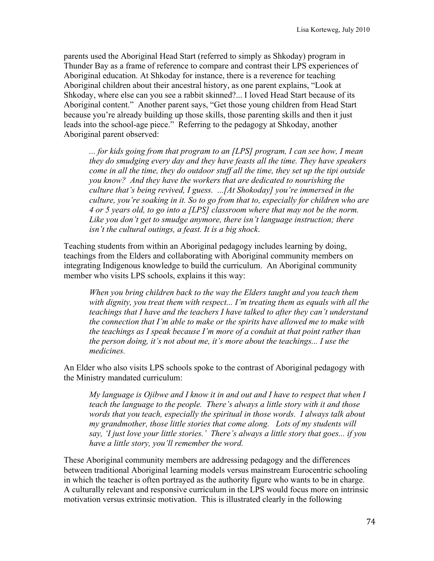parents used the Aboriginal Head Start (referred to simply as Shkoday) program in Thunder Bay as a frame of reference to compare and contrast their LPS experiences of Aboriginal education. At Shkoday for instance, there is a reverence for teaching Aboriginal children about their ancestral history, as one parent explains, "Look at Shkoday, where else can you see a rabbit skinned?... I loved Head Start because of its Aboriginal content." Another parent says, "Get those young children from Head Start because you're already building up those skills, those parenting skills and then it just leads into the school-age piece." Referring to the pedagogy at Shkoday, another Aboriginal parent observed:

*... for kids going from that program to an [LPS] program, I can see how, I mean they do smudging every day and they have feasts all the time. They have speakers come in all the time, they do outdoor stuff all the time, they set up the tipi outside you know? And they have the workers that are dedicated to nourishing the culture that's being revived, I guess. ...[At Shokoday] you're immersed in the culture, you're soaking in it. So to go from that to, especially for children who are 4 or 5 years old, to go into a [LPS] classroom where that may not be the norm. Like you don't get to smudge anymore, there isn't language instruction; there isn't the cultural outings, a feast. It is a big shock*.

Teaching students from within an Aboriginal pedagogy includes learning by doing, teachings from the Elders and collaborating with Aboriginal community members on integrating Indigenous knowledge to build the curriculum. An Aboriginal community member who visits LPS schools, explains it this way:

*When you bring children back to the way the Elders taught and you teach them with dignity, you treat them with respect... I'm treating them as equals with all the teachings that I have and the teachers I have talked to after they can't understand the connection that I'm able to make or the spirits have allowed me to make with the teachings as I speak because I'm more of a conduit at that point rather than the person doing, it's not about me, it's more about the teachings... I use the medicines.*

An Elder who also visits LPS schools spoke to the contrast of Aboriginal pedagogy with the Ministry mandated curriculum:

*My language is Ojibwe and I know it in and out and I have to respect that when I teach the language to the people. There's always a little story with it and those*  words that you teach, especially the spiritual in those words. I always talk about *my grandmother, those little stories that come along. Lots of my students will say, 'I just love your little stories.' There's always a little story that goes... if you have a little story, you'll remember the word.*

These Aboriginal community members are addressing pedagogy and the differences between traditional Aboriginal learning models versus mainstream Eurocentric schooling in which the teacher is often portrayed as the authority figure who wants to be in charge. A culturally relevant and responsive curriculum in the LPS would focus more on intrinsic motivation versus extrinsic motivation. This is illustrated clearly in the following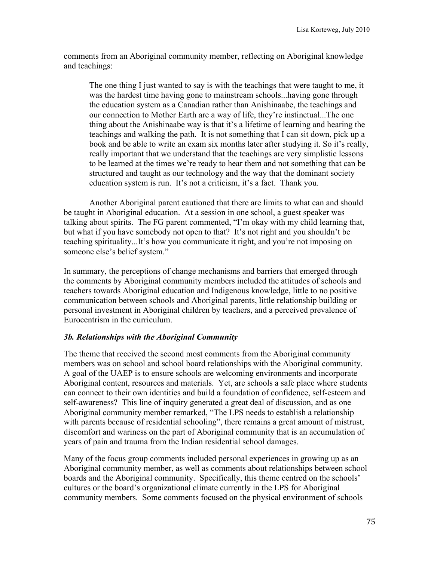comments from an Aboriginal community member, reflecting on Aboriginal knowledge and teachings:

The one thing I just wanted to say is with the teachings that were taught to me, it was the hardest time having gone to mainstream schools...having gone through the education system as a Canadian rather than Anishinaabe, the teachings and our connection to Mother Earth are a way of life, they're instinctual...The one thing about the Anishinaabe way is that it's a lifetime of learning and hearing the teachings and walking the path. It is not something that I can sit down, pick up a book and be able to write an exam six months later after studying it. So it's really, really important that we understand that the teachings are very simplistic lessons to be learned at the times we're ready to hear them and not something that can be structured and taught as our technology and the way that the dominant society education system is run. It's not a criticism, it's a fact. Thank you.

Another Aboriginal parent cautioned that there are limits to what can and should be taught in Aboriginal education. At a session in one school, a guest speaker was talking about spirits. The FG parent commented, "I'm okay with my child learning that, but what if you have somebody not open to that? It's not right and you shouldn't be teaching spirituality...It's how you communicate it right, and you're not imposing on someone else's belief system."

In summary, the perceptions of change mechanisms and barriers that emerged through the comments by Aboriginal community members included the attitudes of schools and teachers towards Aboriginal education and Indigenous knowledge, little to no positive communication between schools and Aboriginal parents, little relationship building or personal investment in Aboriginal children by teachers, and a perceived prevalence of Eurocentrism in the curriculum.

## *3b. Relationships with the Aboriginal Community*

The theme that received the second most comments from the Aboriginal community members was on school and school board relationships with the Aboriginal community. A goal of the UAEP is to ensure schools are welcoming environments and incorporate Aboriginal content, resources and materials. Yet, are schools a safe place where students can connect to their own identities and build a foundation of confidence, self-esteem and self-awareness? This line of inquiry generated a great deal of discussion, and as one Aboriginal community member remarked, "The LPS needs to establish a relationship with parents because of residential schooling", there remains a great amount of mistrust, discomfort and wariness on the part of Aboriginal community that is an accumulation of years of pain and trauma from the Indian residential school damages.

Many of the focus group comments included personal experiences in growing up as an Aboriginal community member, as well as comments about relationships between school boards and the Aboriginal community. Specifically, this theme centred on the schools' cultures or the board's organizational climate currently in the LPS for Aboriginal community members. Some comments focused on the physical environment of schools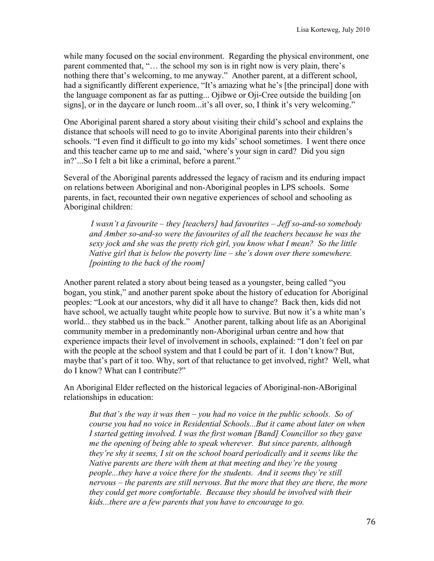while many focused on the social environment. Regarding the physical environment, one parent commented that, "… the school my son is in right now is very plain, there's nothing there that's welcoming, to me anyway." Another parent, at a different school, had a significantly different experience, "It's amazing what he's [the principal] done with the language component as far as putting... Ojibwe or Oji-Cree outside the building [on signs], or in the daycare or lunch room...it's all over, so, I think it's very welcoming."

One Aboriginal parent shared a story about visiting their child's school and explains the distance that schools will need to go to invite Aboriginal parents into their children's schools. "I even find it difficult to go into my kids' school sometimes. I went there once and this teacher came up to me and said, 'where's your sign in card? Did you sign in?'...So I felt a bit like a criminal, before a parent."

Several of the Aboriginal parents addressed the legacy of racism and its enduring impact on relations between Aboriginal and non-Aboriginal peoples in LPS schools. Some parents, in fact, recounted their own negative experiences of school and schooling as Aboriginal children:

*I wasn't a favourite – they [teachers] had favourites – Jeff so-and-so somebody*  and Amber so-and-so were the favourites of all the teachers because he was the *sexy jock and she was the pretty rich girl, you know what I mean? So the little Native girl that is below the poverty line – she's down over there somewhere. [pointing to the back of the room]*

Another parent related a story about being teased as a youngster, being called "you bogan, you stink," and another parent spoke about the history of education for Aboriginal peoples: "Look at our ancestors, why did it all have to change? Back then, kids did not have school, we actually taught white people how to survive. But now it's a white man's world... they stabbed us in the back." Another parent, talking about life as an Aboriginal community member in a predominantly non-Aboriginal urban centre and how that experience impacts their level of involvement in schools, explained: "I don't feel on par with the people at the school system and that I could be part of it. I don't know? But, maybe that's part of it too. Why, sort of that reluctance to get involved, right? Well, what do I know? What can I contribute?"

An Aboriginal Elder reflected on the historical legacies of Aboriginal-non-ABoriginal relationships in education:

*But that's the way it was then – you had no voice in the public schools. So of course you had no voice in Residential Schools...But it came about later on when I started getting involved. I was the first woman [Band] Councillor so they gave me the opening of being able to speak wherever. But since parents, although they're shy it seems, I sit on the school board periodically and it seems like the Native parents are there with them at that meeting and they're the young people...they have a voice there for the students. And it seems they're still nervous – the parents are still nervous. But the more that they are there, the more they could get more comfortable. Because they should be involved with their kids...there are a few parents that you have to encourage to go.*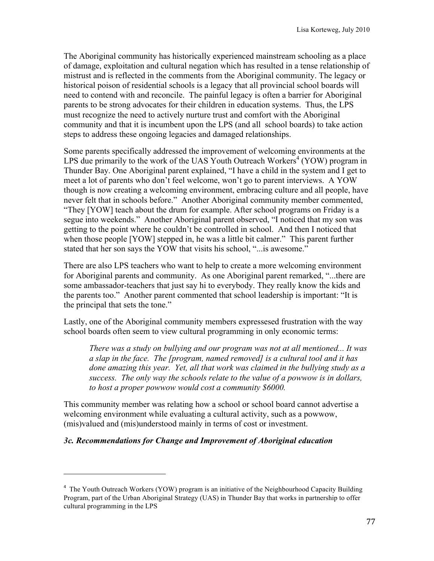The Aboriginal community has historically experienced mainstream schooling as a place of damage, exploitation and cultural negation which has resulted in a tense relationship of mistrust and is reflected in the comments from the Aboriginal community. The legacy or historical poison of residential schools is a legacy that all provincial school boards will need to contend with and reconcile. The painful legacy is often a barrier for Aboriginal parents to be strong advocates for their children in education systems. Thus, the LPS must recognize the need to actively nurture trust and comfort with the Aboriginal community and that it is incumbent upon the LPS (and all school boards) to take action steps to address these ongoing legacies and damaged relationships.

Some parents specifically addressed the improvement of welcoming environments at the LPS due primarily to the work of the UAS Youth Outreach Workers<sup>4</sup> (YOW) program in Thunder Bay. One Aboriginal parent explained, "I have a child in the system and I get to meet a lot of parents who don't feel welcome, won't go to parent interviews. A YOW though is now creating a welcoming environment, embracing culture and all people, have never felt that in schools before." Another Aboriginal community member commented, "They [YOW] teach about the drum for example. After school programs on Friday is a segue into weekends." Another Aboriginal parent observed, "I noticed that my son was getting to the point where he couldn't be controlled in school. And then I noticed that when those people [YOW] stepped in, he was a little bit calmer." This parent further stated that her son says the YOW that visits his school, "...is awesome."

There are also LPS teachers who want to help to create a more welcoming environment for Aboriginal parents and community. As one Aboriginal parent remarked, "...there are some ambassador-teachers that just say hi to everybody. They really know the kids and the parents too." Another parent commented that school leadership is important: "It is the principal that sets the tone."

Lastly, one of the Aboriginal community members expressesed frustration with the way school boards often seem to view cultural programming in only economic terms:

*There was a study on bullying and our program was not at all mentioned... It was a slap in the face. The [program, named removed] is a cultural tool and it has done amazing this year. Yet, all that work was claimed in the bullying study as a success. The only way the schools relate to the value of a powwow is in dollars, to host a proper powwow would cost a community \$6000.*

This community member was relating how a school or school board cannot advertise a welcoming environment while evaluating a cultural activity, such as a powwow, (mis)valued and (mis)understood mainly in terms of cost or investment.

## *3c. Recommendations for Change and Improvement of Aboriginal education*

!!!!!!!!!!!!!!!!!!!!!!!!!!!!!!!!!!!!!!!!!!!!!!!!!!!!!!!

<sup>&</sup>lt;sup>4</sup> The Youth Outreach Workers (YOW) program is an initiative of the Neighbourhood Capacity Building Program, part of the Urban Aboriginal Strategy (UAS) in Thunder Bay that works in partnership to offer cultural programming in the LPS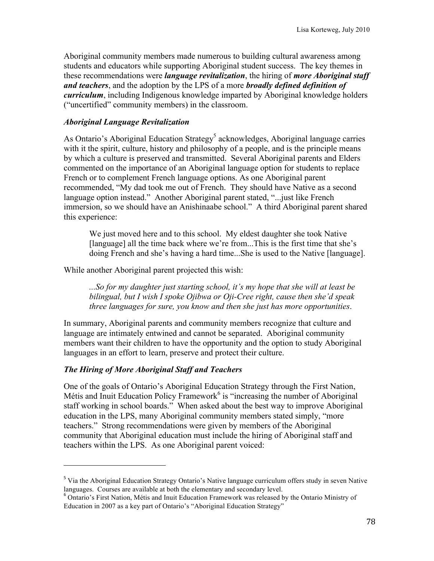Aboriginal community members made numerous to building cultural awareness among students and educators while supporting Aboriginal student success. The key themes in these recommendations were *language revitalization*, the hiring of *more Aboriginal staff and teachers*, and the adoption by the LPS of a more *broadly defined definition of curriculum*, including Indigenous knowledge imparted by Aboriginal knowledge holders ("uncertified" community members) in the classroom.

#### *Aboriginal Language Revitalization*

As Ontario's Aboriginal Education Strategy<sup>5</sup> acknowledges, Aboriginal language carries with it the spirit, culture, history and philosophy of a people, and is the principle means by which a culture is preserved and transmitted. Several Aboriginal parents and Elders commented on the importance of an Aboriginal language option for students to replace French or to complement French language options. As one Aboriginal parent recommended, "My dad took me out of French. They should have Native as a second language option instead." Another Aboriginal parent stated, "...just like French immersion, so we should have an Anishinaabe school." A third Aboriginal parent shared this experience:

We just moved here and to this school. My eldest daughter she took Native [language] all the time back where we're from...This is the first time that she's doing French and she's having a hard time...She is used to the Native [language].

While another Aboriginal parent projected this wish:

*...So for my daughter just starting school, it's my hope that she will at least be bilingual, but I wish I spoke Ojibwa or Oji-Cree right, cause then she'd speak three languages for sure, you know and then she just has more opportunities*.

In summary, Aboriginal parents and community members recognize that culture and language are intimately entwined and cannot be separated. Aboriginal community members want their children to have the opportunity and the option to study Aboriginal languages in an effort to learn, preserve and protect their culture.

## *The Hiring of More Aboriginal Staff and Teachers*

!!!!!!!!!!!!!!!!!!!!!!!!!!!!!!!!!!!!!!!!!!!!!!!!!!!!!!!

One of the goals of Ontario's Aboriginal Education Strategy through the First Nation, Métis and Inuit Education Policy Framework<sup>6</sup> is "increasing the number of Aboriginal staff working in school boards." When asked about the best way to improve Aboriginal education in the LPS, many Aboriginal community members stated simply, "more teachers." Strong recommendations were given by members of the Aboriginal community that Aboriginal education must include the hiring of Aboriginal staff and teachers within the LPS. As one Aboriginal parent voiced:

<sup>&</sup>lt;sup>5</sup> Via the Aboriginal Education Strategy Ontario's Native language curriculum offers study in seven Native languages. Courses are available at both the elementary and secondary level.

<sup>6</sup> Ontario's First Nation, Métis and Inuit Education Framework was released by the Ontario Ministry of Education in 2007 as a key part of Ontario's "Aboriginal Education Strategy"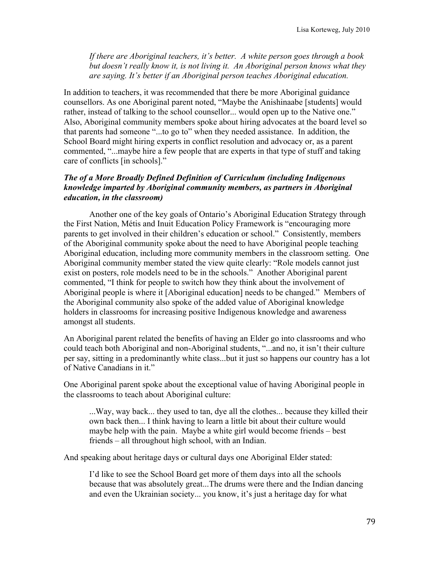*If there are Aboriginal teachers, it's better. A white person goes through a book but doesn't really know it, is not living it. An Aboriginal person knows what they are saying. It's better if an Aboriginal person teaches Aboriginal education.* 

In addition to teachers, it was recommended that there be more Aboriginal guidance counsellors. As one Aboriginal parent noted, "Maybe the Anishinaabe [students] would rather, instead of talking to the school counsellor... would open up to the Native one." Also, Aboriginal community members spoke about hiring advocates at the board level so that parents had someone "...to go to" when they needed assistance. In addition, the School Board might hiring experts in conflict resolution and advocacy or, as a parent commented, "...maybe hire a few people that are experts in that type of stuff and taking care of conflicts [in schools]."

#### *The of a More Broadly Defined Definition of Curriculum (including Indigenous knowledge imparted by Aboriginal community members, as partners in Aboriginal education, in the classroom)*

Another one of the key goals of Ontario's Aboriginal Education Strategy through the First Nation, Métis and Inuit Education Policy Framework is "encouraging more parents to get involved in their children's education or school." Consistently, members of the Aboriginal community spoke about the need to have Aboriginal people teaching Aboriginal education, including more community members in the classroom setting. One Aboriginal community member stated the view quite clearly: "Role models cannot just exist on posters, role models need to be in the schools." Another Aboriginal parent commented, "I think for people to switch how they think about the involvement of Aboriginal people is where it [Aboriginal education] needs to be changed." Members of the Aboriginal community also spoke of the added value of Aboriginal knowledge holders in classrooms for increasing positive Indigenous knowledge and awareness amongst all students.

An Aboriginal parent related the benefits of having an Elder go into classrooms and who could teach both Aboriginal and non-Aboriginal students, "...and no, it isn't their culture per say, sitting in a predominantly white class...but it just so happens our country has a lot of Native Canadians in it."

One Aboriginal parent spoke about the exceptional value of having Aboriginal people in the classrooms to teach about Aboriginal culture:

...Way, way back... they used to tan, dye all the clothes... because they killed their own back then... I think having to learn a little bit about their culture would maybe help with the pain. Maybe a white girl would become friends – best friends – all throughout high school, with an Indian.

And speaking about heritage days or cultural days one Aboriginal Elder stated:

I'd like to see the School Board get more of them days into all the schools because that was absolutely great...The drums were there and the Indian dancing and even the Ukrainian society... you know, it's just a heritage day for what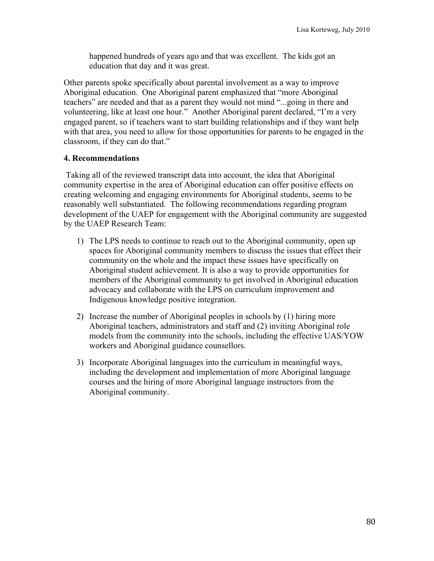happened hundreds of years ago and that was excellent. The kids got an education that day and it was great.

Other parents spoke specifically about parental involvement as a way to improve Aboriginal education. One Aboriginal parent emphasized that "more Aboriginal teachers" are needed and that as a parent they would not mind "...going in there and volunteering, like at least one hour." Another Aboriginal parent declared, "I'm a very engaged parent, so if teachers want to start building relationships and if they want help with that area, you need to allow for those opportunities for parents to be engaged in the classroom, if they can do that."

## **4. Recommendations**

 Taking all of the reviewed transcript data into account, the idea that Aboriginal community expertise in the area of Aboriginal education can offer positive effects on creating welcoming and engaging environments for Aboriginal students, seems to be reasonably well substantiated. The following recommendations regarding program development of the UAEP for engagement with the Aboriginal community are suggested by the UAEP Research Team:

- 1) The LPS needs to continue to reach out to the Aboriginal community, open up spaces for Aboriginal community members to discuss the issues that effect their community on the whole and the impact these issues have specifically on Aboriginal student achievement. It is also a way to provide opportunities for members of the Aboriginal community to get involved in Aboriginal education advocacy and collaborate with the LPS on curriculum improvement and Indigenous knowledge positive integration.
- 2) Increase the number of Aboriginal peoples in schools by (1) hiring more Aboriginal teachers, administrators and staff and (2) inviting Aboriginal role models from the community into the schools, including the effective UAS/YOW workers and Aboriginal guidance counsellors.
- 3) Incorporate Aboriginal languages into the curriculum in meaningful ways, including the development and implementation of more Aboriginal language courses and the hiring of more Aboriginal language instructors from the Aboriginal community.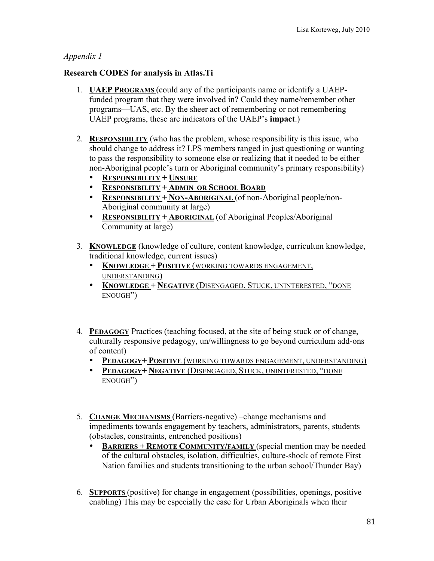## *Appendix 1*

## **Research CODES for analysis in Atlas.Ti**

- 1. **UAEP PROGRAMS** (could any of the participants name or identify a UAEPfunded program that they were involved in? Could they name/remember other programs—UAS, etc. By the sheer act of remembering or not remembering UAEP programs, these are indicators of the UAEP's **impact**.)
- 2. **RESPONSIBILITY** (who has the problem, whose responsibility is this issue, who should change to address it? LPS members ranged in just questioning or wanting to pass the responsibility to someone else or realizing that it needed to be either non-Aboriginal people's turn or Aboriginal community's primary responsibility)
	- **RESPONSIBILITY + UNSURE**
	- **RESPONSIBILITY + ADMIN OR SCHOOL BOARD**
	- **RESPONSIBILITY + NON-ABORIGINAL** (of non-Aboriginal people/non-Aboriginal community at large)
	- **RESPONSIBILITY + ABORIGINAL** (of Aboriginal Peoples/Aboriginal Community at large)
- 3. **KNOWLEDGE** (knowledge of culture, content knowledge, curriculum knowledge, traditional knowledge, current issues)
	- **KNOWLEDGE + POSITIVE** (WORKING TOWARDS ENGAGEMENT, UNDERSTANDING)
	- **KNOWLEDGE + NEGATIVE** (DISENGAGED, STUCK, UNINTERESTED, "DONE ENOUGH")
- 4. **PEDAGOGY** Practices (teaching focused, at the site of being stuck or of change, culturally responsive pedagogy, un/willingness to go beyond curriculum add-ons of content)
	- **PEDAGOGY+ POSITIVE** (WORKING TOWARDS ENGAGEMENT, UNDERSTANDING)
	- **PEDAGOGY+ NEGATIVE** (DISENGAGED, STUCK, UNINTERESTED, "DONE ENOUGH")
- 5. **CHANGE MECHANISMS** (Barriers-negative) –change mechanisms and impediments towards engagement by teachers, administrators, parents, students (obstacles, constraints, entrenched positions)
	- **BARRIERS + REMOTE COMMUNITY/FAMILY** (special mention may be needed of the cultural obstacles, isolation, difficulties, culture-shock of remote First Nation families and students transitioning to the urban school/Thunder Bay)
- 6. **SUPPORTS** (positive) for change in engagement (possibilities, openings, positive enabling) This may be especially the case for Urban Aboriginals when their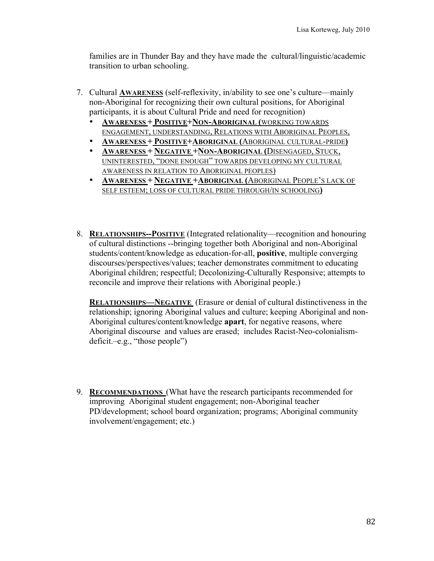families are in Thunder Bay and they have made the cultural/linguistic/academic transition to urban schooling.

- 7. Cultural **AWARENESS** (self-reflexivity, in/ability to see one's culture—mainly non-Aboriginal for recognizing their own cultural positions, for Aboriginal participants, it is about Cultural Pride and need for recognition)
	- **AWARENESS + POSITIVE+NON-ABORIGINAL (**WORKING TOWARDS ENGAGEMENT, UNDERSTANDING, RELATIONS WITH ABORIGINAL PEOPLES,
	- **AWARENESS + POSITIVE+ABORIGINAL (**ABORIGINAL CULTURAL-PRIDE**)**
	- **AWARENESS + NEGATIVE +NON-ABORIGINAL (**DISENGAGED, STUCK, UNINTERESTED, "DONE ENOUGH" TOWARDS DEVELOPING MY CULTURAL AWARENESS IN RELATION TO ABORIGINAL PEOPLES)
	- **AWARENESS + NEGATIVE +ABORIGINAL (**ABORIGINAL PEOPLE'S LACK OF SELF ESTEEM; LOSS OF CULTURAL PRIDE THROUGH/IN SCHOOLING**)**
- 8. **RELATIONSHIPS--POSITIVE** (Integrated relationality—recognition and honouring of cultural distinctions --bringing together both Aboriginal and non-Aboriginal students/content/knowledge as education-for-all, **positive**, multiple converging discourses/perspectives/values; teacher demonstrates commitment to educating Aboriginal children; respectful; Decolonizing-Culturally Responsive; attempts to reconcile and improve their relations with Aboriginal people.)

**RELATIONSHIPS—NEGATIVE** (Erasure or denial of cultural distinctiveness in the relationship; ignoring Aboriginal values and culture; keeping Aboriginal and non-Aboriginal cultures/content/knowledge **apart**, for negative reasons, where Aboriginal discourse and values are erased; includes Racist-Neo-colonialismdeficit.–e.g., "those people")

9. **RECOMMENDATIONS** (What have the research participants recommended for improving Aboriginal student engagement; non-Aboriginal teacher PD/development; school board organization; programs; Aboriginal community involvement/engagement; etc.)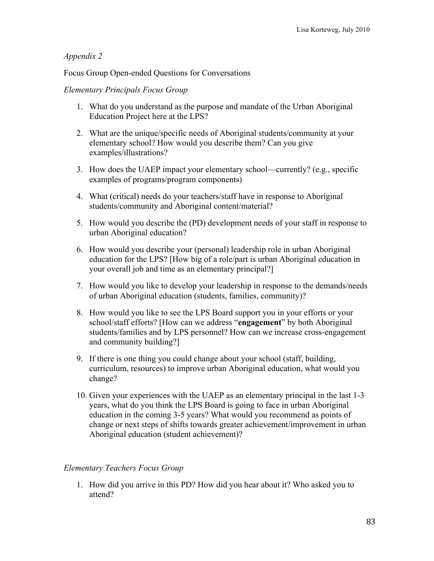## *Appendix 2*

Focus Group Open-ended Questions for Conversations

## *Elementary Principals Focus Group*

- 1. What do you understand as the purpose and mandate of the Urban Aboriginal Education Project here at the LPS?
- 2. What are the unique/specific needs of Aboriginal students/community at your elementary school? How would you describe them? Can you give examples/illustrations?
- 3. How does the UAEP impact your elementary school—currently? (e.g., specific examples of programs/program components)
- 4. What (critical) needs do your teachers/staff have in response to Aboriginal students/community and Aboriginal content/material?
- 5. How would you describe the (PD) development needs of your staff in response to urban Aboriginal education?
- 6. How would you describe your (personal) leadership role in urban Aboriginal education for the LPS? [How big of a role/part is urban Aboriginal education in your overall job and time as an elementary principal?]
- 7. How would you like to develop your leadership in response to the demands/needs of urban Aboriginal education (students, families, community)?
- 8. How would you like to see the LPS Board support you in your efforts or your school/staff efforts? [How can we address "**engagement**" by both Aboriginal students/families and by LPS personnel? How can we increase cross-engagement and community building?]
- 9. If there is one thing you could change about your school (staff, building, curriculum, resources) to improve urban Aboriginal education, what would you change?
- 10. Given your experiences with the UAEP as an elementary principal in the last 1-3 years, what do you think the LPS Board is going to face in urban Aboriginal education in the coming 3-5 years? What would you recommend as points of change or next steps of shifts towards greater achievement/improvement in urban Aboriginal education (student achievement)?

# *Elementary Teachers Focus Group*

1. How did you arrive in this PD? How did you hear about it? Who asked you to attend?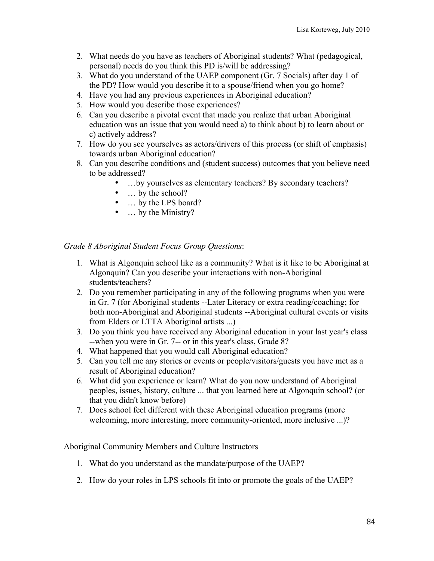- 2. What needs do you have as teachers of Aboriginal students? What (pedagogical, personal) needs do you think this PD is/will be addressing?
- 3. What do you understand of the UAEP component (Gr. 7 Socials) after day 1 of the PD? How would you describe it to a spouse/friend when you go home?
- 4. Have you had any previous experiences in Aboriginal education?
- 5. How would you describe those experiences?
- 6. Can you describe a pivotal event that made you realize that urban Aboriginal education was an issue that you would need a) to think about b) to learn about or c) actively address?
- 7. How do you see yourselves as actors/drivers of this process (or shift of emphasis) towards urban Aboriginal education?
- 8. Can you describe conditions and (student success) outcomes that you believe need to be addressed?
	- …by yourselves as elementary teachers? By secondary teachers?
		- ... by the school?
	- ... by the LPS board?
	- … by the Ministry?

## *Grade 8 Aboriginal Student Focus Group Questions*:

- 1. What is Algonquin school like as a community? What is it like to be Aboriginal at Algonquin? Can you describe your interactions with non-Aboriginal students/teachers?
- 2. Do you remember participating in any of the following programs when you were in Gr. 7 (for Aboriginal students --Later Literacy or extra reading/coaching; for both non-Aboriginal and Aboriginal students --Aboriginal cultural events or visits from Elders or LTTA Aboriginal artists ...)
- 3. Do you think you have received any Aboriginal education in your last year's class --when you were in Gr. 7-- or in this year's class, Grade 8?
- 4. What happened that you would call Aboriginal education?
- 5. Can you tell me any stories or events or people/visitors/guests you have met as a result of Aboriginal education?
- 6. What did you experience or learn? What do you now understand of Aboriginal peoples, issues, history, culture ... that you learned here at Algonquin school? (or that you didn't know before)
- 7. Does school feel different with these Aboriginal education programs (more welcoming, more interesting, more community-oriented, more inclusive ...)?

Aboriginal Community Members and Culture Instructors

- 1. What do you understand as the mandate/purpose of the UAEP?
- 2. How do your roles in LPS schools fit into or promote the goals of the UAEP?